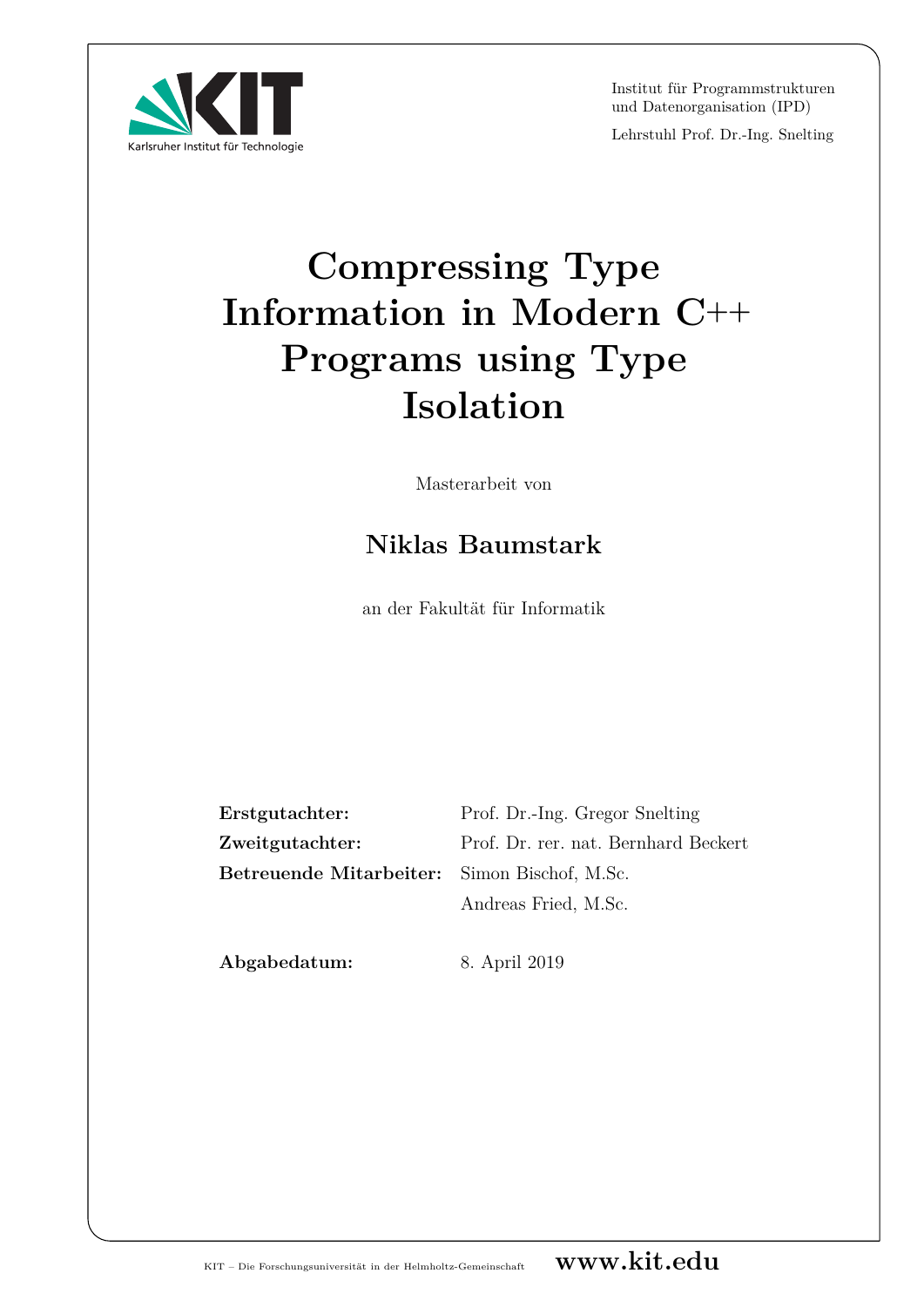Institut für Programmstrukturen und Datenorganisation (IPD)

Lehrstuhl Prof. Dr.-Ing. Snelting

# **Compressing Type Information in Modern C++ Programs using Type Isolation**

Masterarbeit von

## **Niklas Baumstark**

an der Fakultät für Informatik

| Erstgutachter:                               | Prof. Dr.-Ing. Gregor Snelting       |
|----------------------------------------------|--------------------------------------|
| Zweitgutachter:                              | Prof. Dr. rer. nat. Bernhard Beckert |
| Betreuende Mitarbeiter: Simon Bischof, M.Sc. |                                      |
|                                              | Andreas Fried, M.Sc.                 |

**Abgabedatum:** 8. April 2019

Karlsruher Institut für Technologie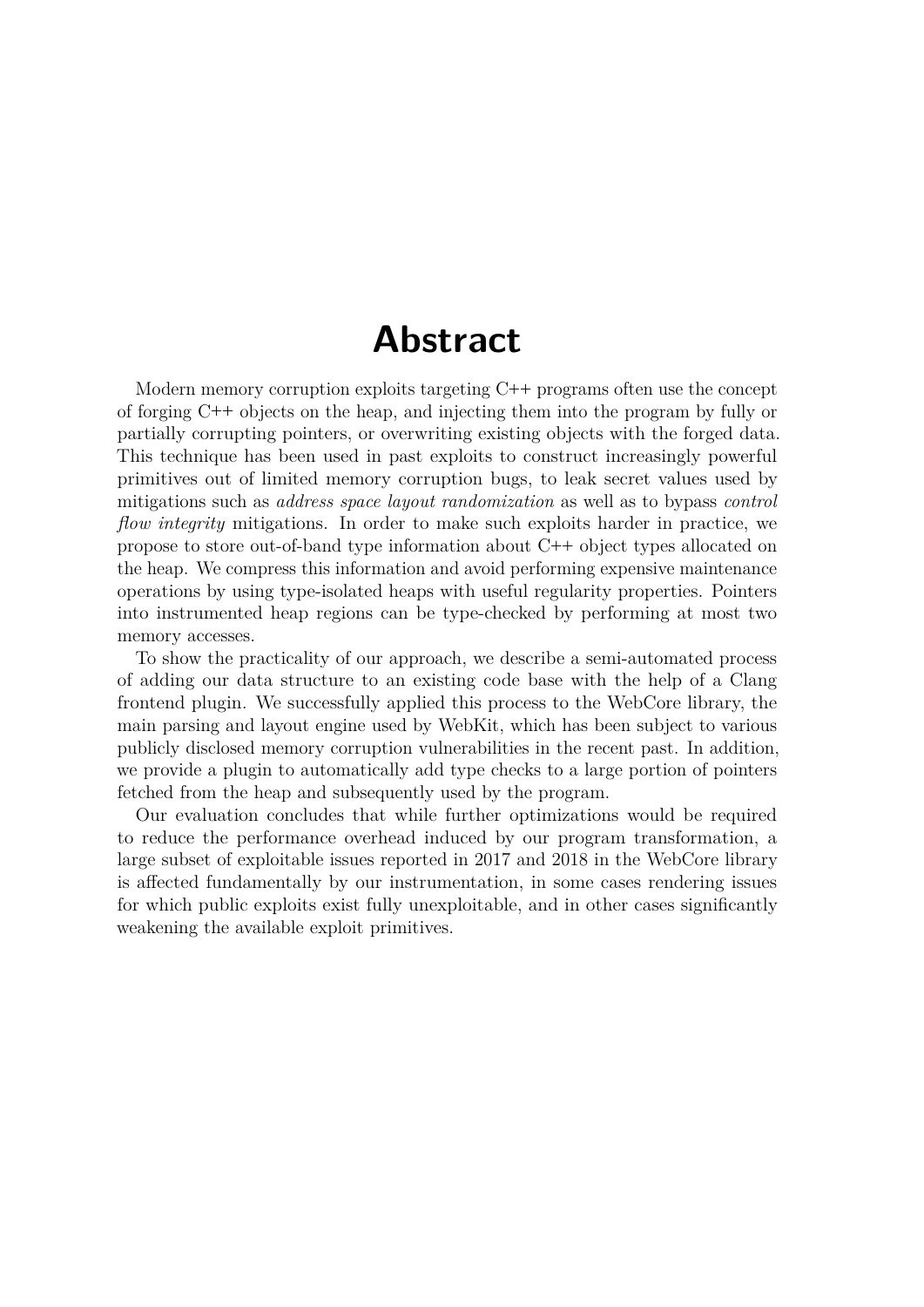## **Abstract**

Modern memory corruption exploits targeting C**++** programs often use the concept of forging C**++** objects on the heap, and injecting them into the program by fully or partially corrupting pointers, or overwriting existing objects with the forged data. This technique has been used in past exploits to construct increasingly powerful primitives out of limited memory corruption bugs, to leak secret values used by mitigations such as *address space layout randomization* as well as to bypass *control flow integrity* mitigations. In order to make such exploits harder in practice, we propose to store out-of-band type information about C**++** object types allocated on the heap. We compress this information and avoid performing expensive maintenance operations by using type-isolated heaps with useful regularity properties. Pointers into instrumented heap regions can be type-checked by performing at most two memory accesses.

To show the practicality of our approach, we describe a semi-automated process of adding our data structure to an existing code base with the help of a Clang frontend plugin. We successfully applied this process to the WebCore library, the main parsing and layout engine used by WebKit, which has been subject to various publicly disclosed memory corruption vulnerabilities in the recent past. In addition, we provide a plugin to automatically add type checks to a large portion of pointers fetched from the heap and subsequently used by the program.

Our evaluation concludes that while further optimizations would be required to reduce the performance overhead induced by our program transformation, a large subset of exploitable issues reported in 2017 and 2018 in the WebCore library is affected fundamentally by our instrumentation, in some cases rendering issues for which public exploits exist fully unexploitable, and in other cases significantly weakening the available exploit primitives.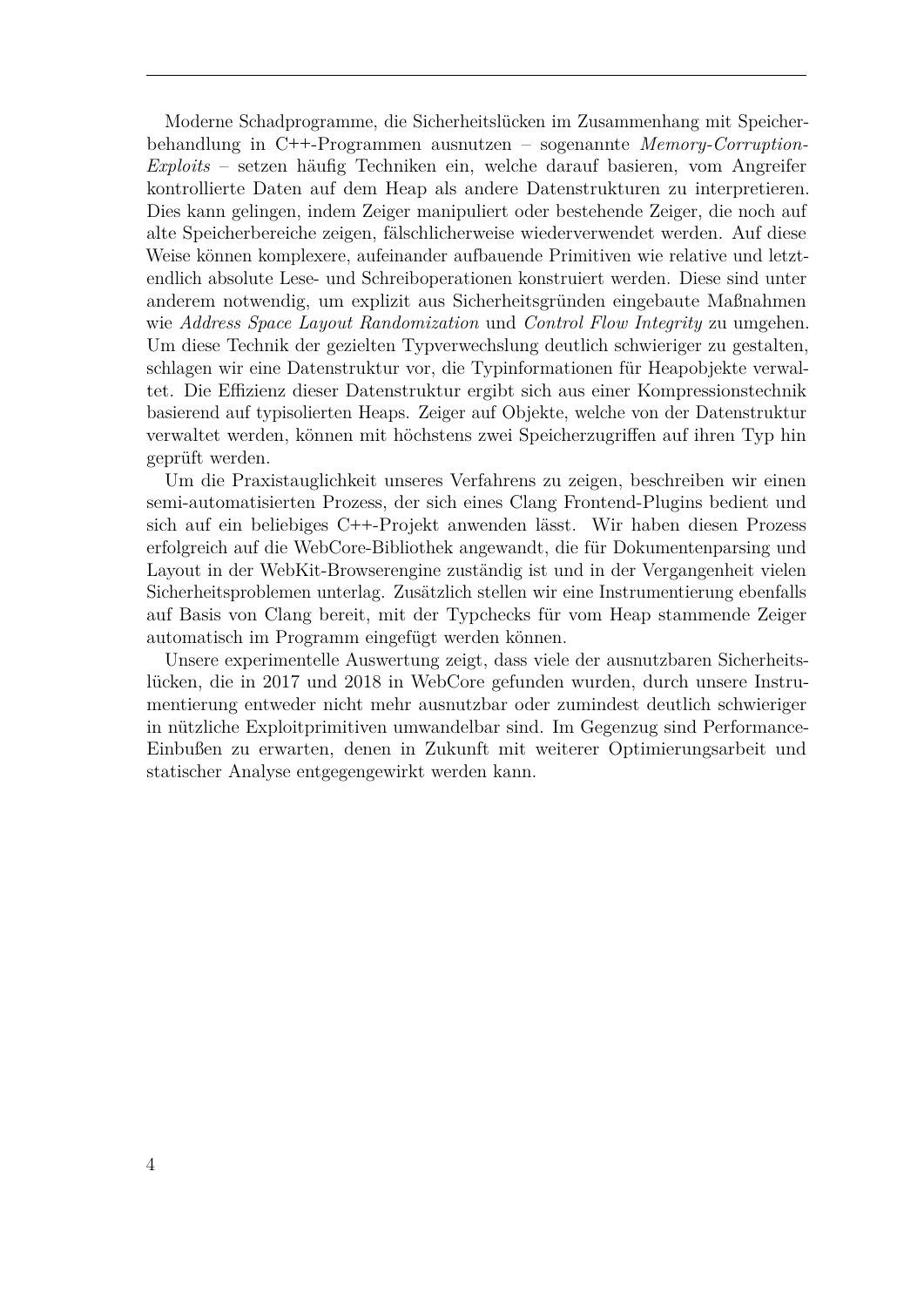Moderne Schadprogramme, die Sicherheitslücken im Zusammenhang mit Speicherbehandlung in C**++**-Programmen ausnutzen – sogenannte *Memory-Corruption-Exploits* – setzen häufig Techniken ein, welche darauf basieren, vom Angreifer kontrollierte Daten auf dem Heap als andere Datenstrukturen zu interpretieren. Dies kann gelingen, indem Zeiger manipuliert oder bestehende Zeiger, die noch auf alte Speicherbereiche zeigen, fälschlicherweise wiederverwendet werden. Auf diese Weise können komplexere, aufeinander aufbauende Primitiven wie relative und letztendlich absolute Lese- und Schreiboperationen konstruiert werden. Diese sind unter anderem notwendig, um explizit aus Sicherheitsgründen eingebaute Maßnahmen wie *Address Space Layout Randomization* und *Control Flow Integrity* zu umgehen. Um diese Technik der gezielten Typverwechslung deutlich schwieriger zu gestalten, schlagen wir eine Datenstruktur vor, die Typinformationen für Heapobjekte verwaltet. Die Effizienz dieser Datenstruktur ergibt sich aus einer Kompressionstechnik basierend auf typisolierten Heaps. Zeiger auf Objekte, welche von der Datenstruktur verwaltet werden, können mit höchstens zwei Speicherzugriffen auf ihren Typ hin geprüft werden.

Um die Praxistauglichkeit unseres Verfahrens zu zeigen, beschreiben wir einen semi-automatisierten Prozess, der sich eines Clang Frontend-Plugins bedient und sich auf ein beliebiges C**++**-Projekt anwenden lässt. Wir haben diesen Prozess erfolgreich auf die WebCore-Bibliothek angewandt, die für Dokumentenparsing und Layout in der WebKit-Browserengine zuständig ist und in der Vergangenheit vielen Sicherheitsproblemen unterlag. Zusätzlich stellen wir eine Instrumentierung ebenfalls auf Basis von Clang bereit, mit der Typchecks für vom Heap stammende Zeiger automatisch im Programm eingefügt werden können.

Unsere experimentelle Auswertung zeigt, dass viele der ausnutzbaren Sicherheitslücken, die in 2017 und 2018 in WebCore gefunden wurden, durch unsere Instrumentierung entweder nicht mehr ausnutzbar oder zumindest deutlich schwieriger in nützliche Exploitprimitiven umwandelbar sind. Im Gegenzug sind Performance-Einbußen zu erwarten, denen in Zukunft mit weiterer Optimierungsarbeit und statischer Analyse entgegengewirkt werden kann.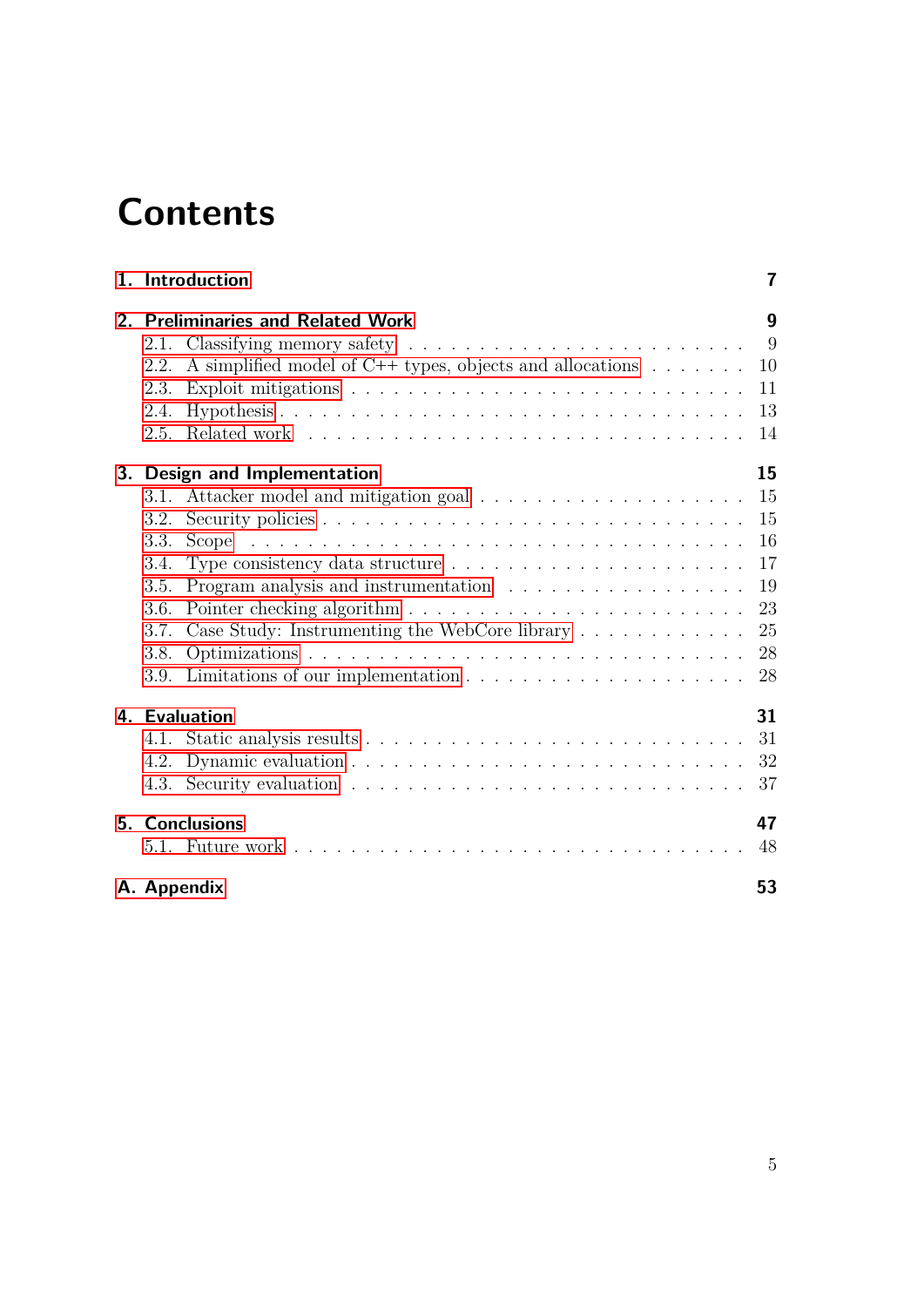# **Contents**

|      | 1. Introduction                                                                      | 7  |
|------|--------------------------------------------------------------------------------------|----|
|      | 2. Preliminaries and Related Work                                                    | 9  |
|      |                                                                                      | 9  |
| 2.2. | A simplified model of C++ types, objects and allocations $\dots \dots$               | 10 |
| 2.3. | Exploit mitigations $\ldots \ldots \ldots \ldots \ldots \ldots \ldots \ldots \ldots$ | 11 |
| 2.4. |                                                                                      | 13 |
| 2.5. |                                                                                      | 14 |
|      | 3. Design and Implementation                                                         | 15 |
| 3.1. |                                                                                      | 15 |
| 3.2. |                                                                                      | 15 |
| 3.3. | Scope                                                                                | 16 |
| 3.4. |                                                                                      | 17 |
| 3.5. |                                                                                      | 19 |
| 3.6. |                                                                                      | 23 |
| 3.7. | Case Study: Instrumenting the WebCore library                                        | 25 |
| 3.8. |                                                                                      | 28 |
|      | 3.9. Limitations of our implementation $\dots \dots \dots \dots \dots \dots \dots$   | 28 |
|      | 4. Evaluation                                                                        | 31 |
|      |                                                                                      | 31 |
| 4.2. |                                                                                      | 32 |
|      |                                                                                      | 37 |
|      | 5. Conclusions                                                                       | 47 |
|      |                                                                                      | 48 |
|      | A. Appendix                                                                          | 53 |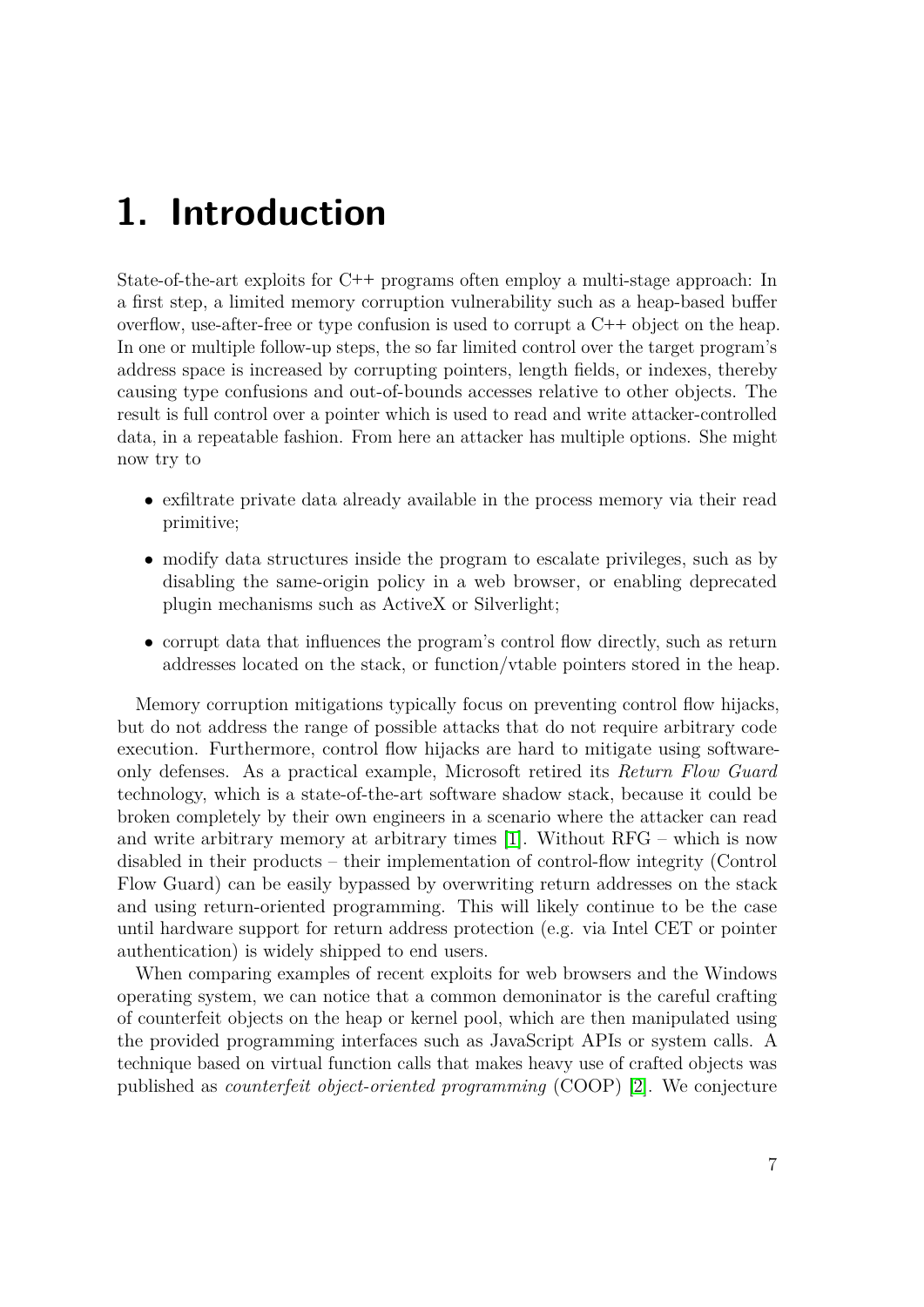## <span id="page-6-0"></span>**1. Introduction**

State-of-the-art exploits for C**++** programs often employ a multi-stage approach: In a first step, a limited memory corruption vulnerability such as a heap-based buffer overflow, use-after-free or type confusion is used to corrupt a C**++** object on the heap. In one or multiple follow-up steps, the so far limited control over the target program's address space is increased by corrupting pointers, length fields, or indexes, thereby causing type confusions and out-of-bounds accesses relative to other objects. The result is full control over a pointer which is used to read and write attacker-controlled data, in a repeatable fashion. From here an attacker has multiple options. She might now try to

- exfiltrate private data already available in the process memory via their read primitive;
- modify data structures inside the program to escalate privileges, such as by disabling the same-origin policy in a web browser, or enabling deprecated plugin mechanisms such as ActiveX or Silverlight;
- corrupt data that influences the program's control flow directly, such as return addresses located on the stack, or function/vtable pointers stored in the heap.

Memory corruption mitigations typically focus on preventing control flow hijacks, but do not address the range of possible attacks that do not require arbitrary code execution. Furthermore, control flow hijacks are hard to mitigate using softwareonly defenses. As a practical example, Microsoft retired its *Return Flow Guard* technology, which is a state-of-the-art software shadow stack, because it could be broken completely by their own engineers in a scenario where the attacker can read and write arbitrary memory at arbitrary times [\[1\]](#page-48-0). Without RFG – which is now disabled in their products – their implementation of control-flow integrity (Control Flow Guard) can be easily bypassed by overwriting return addresses on the stack and using return-oriented programming. This will likely continue to be the case until hardware support for return address protection (e.g. via Intel CET or pointer authentication) is widely shipped to end users.

When comparing examples of recent exploits for web browsers and the Windows operating system, we can notice that a common demoninator is the careful crafting of counterfeit objects on the heap or kernel pool, which are then manipulated using the provided programming interfaces such as JavaScript APIs or system calls. A technique based on virtual function calls that makes heavy use of crafted objects was published as *counterfeit object-oriented programming* (COOP) [\[2\]](#page-48-1). We conjecture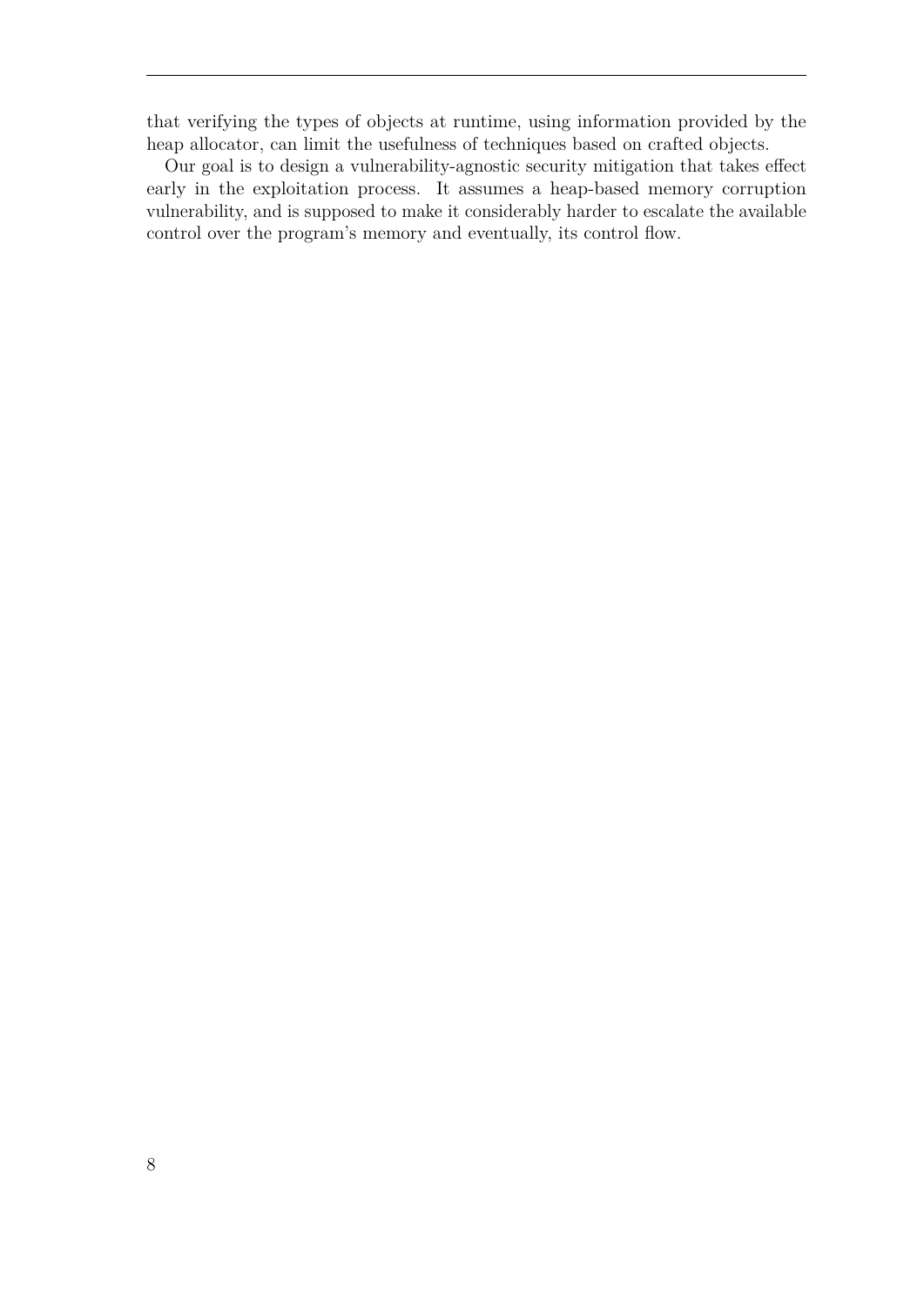that verifying the types of objects at runtime, using information provided by the heap allocator, can limit the usefulness of techniques based on crafted objects.

Our goal is to design a vulnerability-agnostic security mitigation that takes effect early in the exploitation process. It assumes a heap-based memory corruption vulnerability, and is supposed to make it considerably harder to escalate the available control over the program's memory and eventually, its control flow.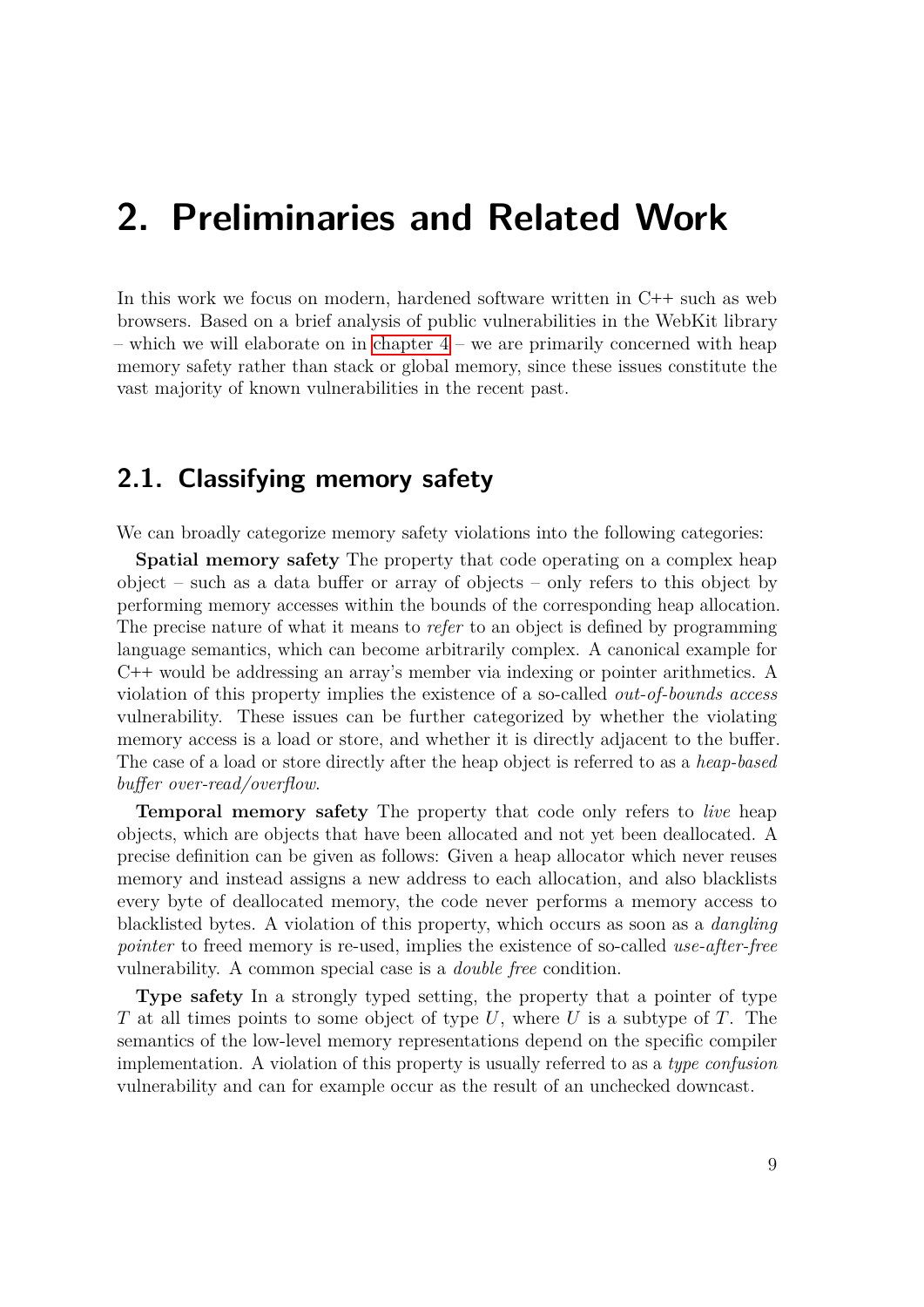## <span id="page-8-0"></span>**2. Preliminaries and Related Work**

In this work we focus on modern, hardened software written in C**++** such as web browsers. Based on a brief analysis of public vulnerabilities in the WebKit library – which we will elaborate on in [chapter 4](#page-30-0) – we are primarily concerned with heap memory safety rather than stack or global memory, since these issues constitute the vast majority of known vulnerabilities in the recent past.

## <span id="page-8-1"></span>**2.1. Classifying memory safety**

We can broadly categorize memory safety violations into the following categories:

**Spatial memory safety** The property that code operating on a complex heap object – such as a data buffer or array of objects – only refers to this object by performing memory accesses within the bounds of the corresponding heap allocation. The precise nature of what it means to *refer* to an object is defined by programming language semantics, which can become arbitrarily complex. A canonical example for C**++** would be addressing an array's member via indexing or pointer arithmetics. A violation of this property implies the existence of a so-called *out-of-bounds access* vulnerability. These issues can be further categorized by whether the violating memory access is a load or store, and whether it is directly adjacent to the buffer. The case of a load or store directly after the heap object is referred to as a *heap-based buffer over-read/overflow*.

**Temporal memory safety** The property that code only refers to *live* heap objects, which are objects that have been allocated and not yet been deallocated. A precise definition can be given as follows: Given a heap allocator which never reuses memory and instead assigns a new address to each allocation, and also blacklists every byte of deallocated memory, the code never performs a memory access to blacklisted bytes. A violation of this property, which occurs as soon as a *dangling pointer* to freed memory is re-used, implies the existence of so-called *use-after-free* vulnerability. A common special case is a *double free* condition.

**Type safety** In a strongly typed setting, the property that a pointer of type *T* at all times points to some object of type *U*, where *U* is a subtype of *T*. The semantics of the low-level memory representations depend on the specific compiler implementation. A violation of this property is usually referred to as a *type confusion* vulnerability and can for example occur as the result of an unchecked downcast.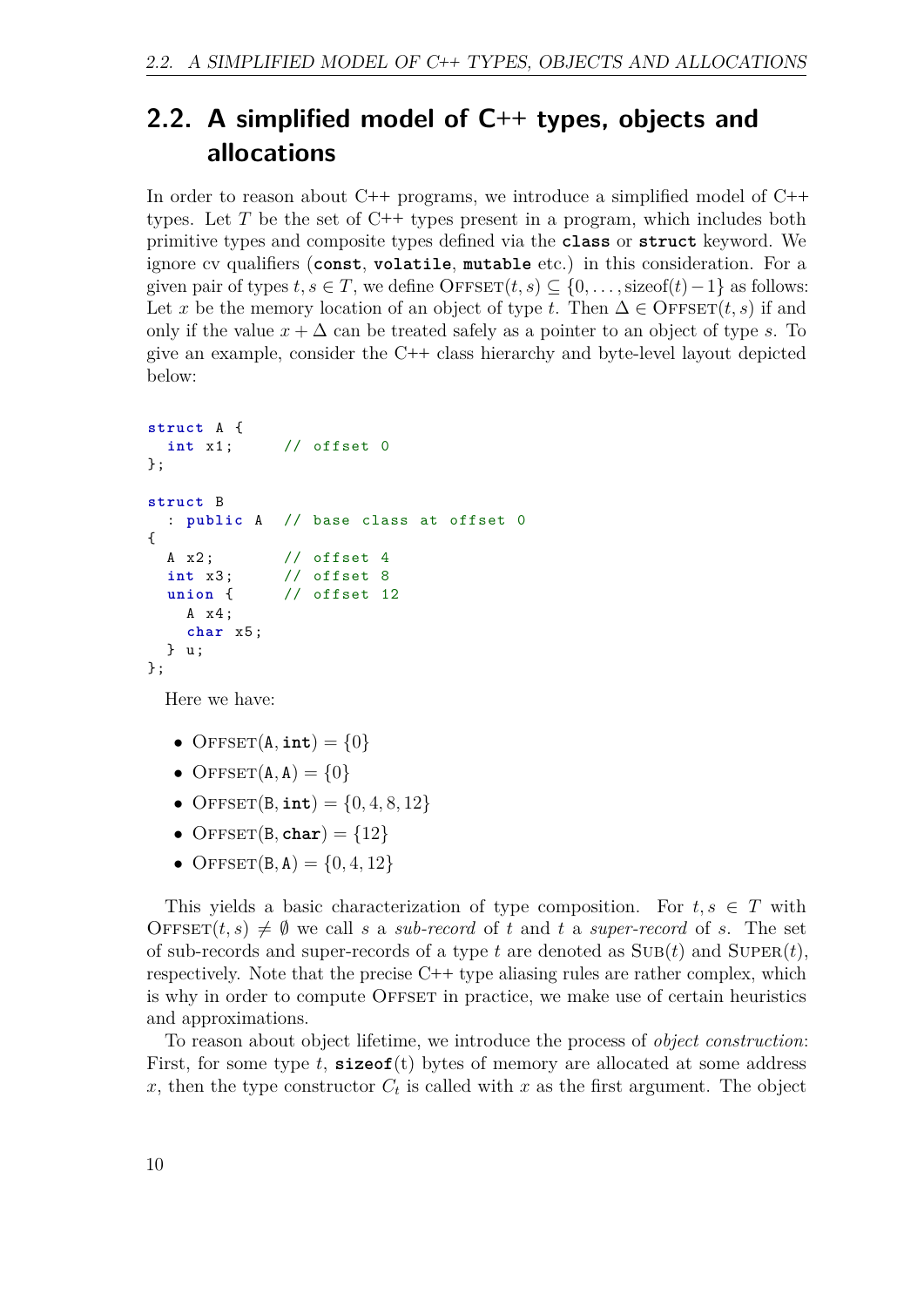## <span id="page-9-0"></span>**2.2. A simplified model of C++ types, objects and allocations**

In order to reason about C**++** programs, we introduce a simplified model of C**++** types. Let *T* be the set of C**++** types present in a program, which includes both primitive types and composite types defined via the **class** or **struct** keyword. We ignore cv qualifiers (**const**, **volatile**, **mutable** etc.) in this consideration. For a given pair of types  $t, s \in T$ , we define  $\text{OFFSET}(t, s) \subseteq \{0, \ldots, \text{sizeof}(t) - 1\}$  as follows: Let *x* be the memory location of an object of type *t*. Then  $\Delta \in \text{OFFSET}(t, s)$  if and only if the value  $x + \Delta$  can be treated safely as a pointer to an object of type *s*. To give an example, consider the C**++** class hierarchy and byte-level layout depicted below:

```
struct A {
 int x1 ; // offset 0
};
struct B
  : public A // base class at offset 0
{
 A x2; // offset 4
 int x3 ; // offset 8
 union { // offset 12
   A x4 ;
   char x5 ;
  } u ;
};
```
Here we have:

- OFFSET $(A, int) = \{0\}$
- OFFSET $(A, A) = \{0\}$
- OFFSET $(B, int) = \{0, 4, 8, 12\}$
- OFFSET $(B, \text{char}) = \{12\}$
- OFFSET $(B, A) = \{0, 4, 12\}$

This yields a basic characterization of type composition. For  $t, s \in T$  with OFFSET $(t, s) \neq \emptyset$  we call *s* a *sub-record* of *t* and *t* a *super-record* of *s*. The set of sub-records and super-records of a type  $t$  are denoted as  $SUB(t)$  and  $SuperER(t)$ , respectively. Note that the precise C**++** type aliasing rules are rather complex, which is why in order to compute OFFSET in practice, we make use of certain heuristics and approximations.

To reason about object lifetime, we introduce the process of *object construction*: First, for some type *t*, **sizeof**(t) bytes of memory are allocated at some address *x*, then the type constructor  $C_t$  is called with *x* as the first argument. The object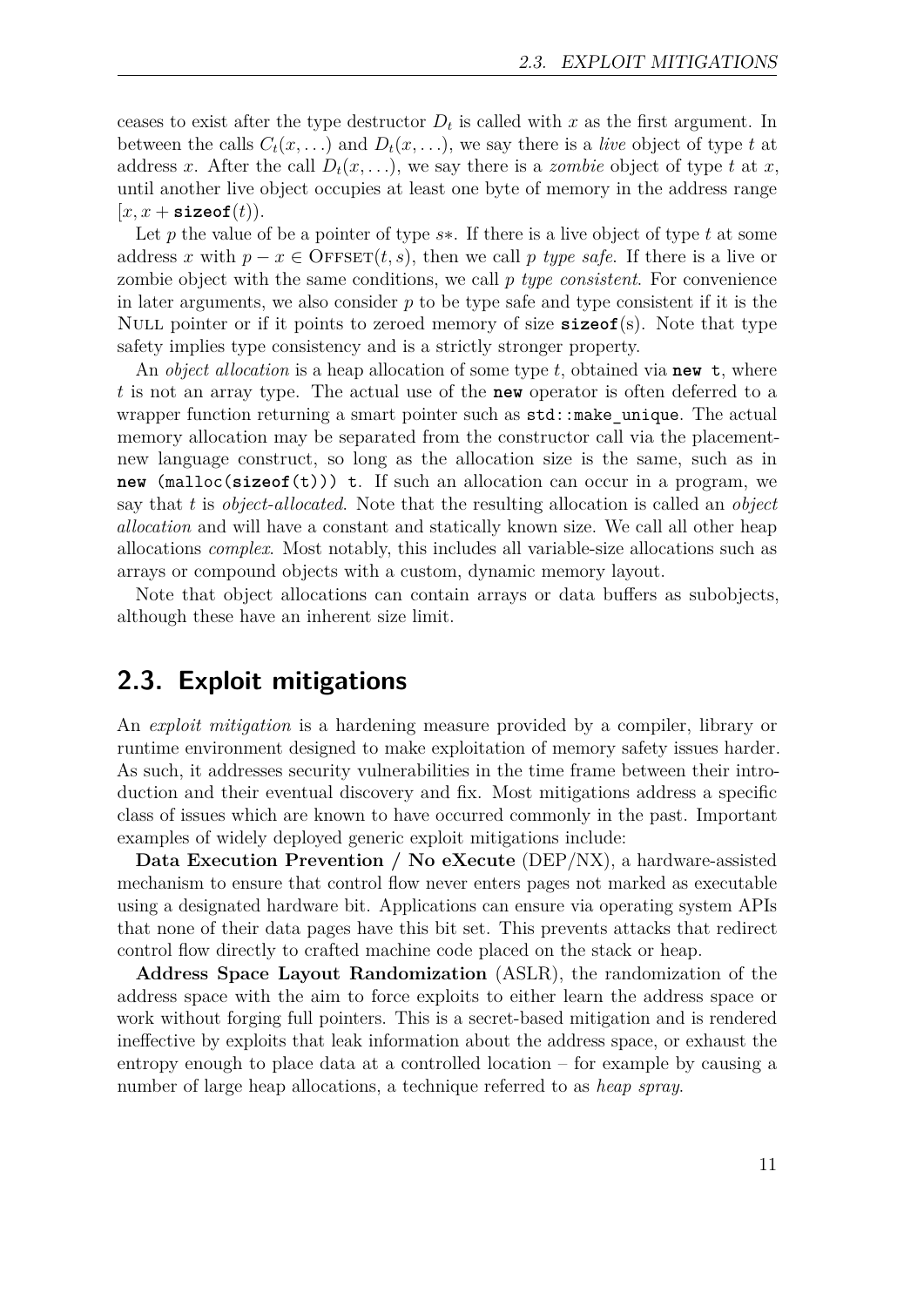ceases to exist after the type destructor  $D_t$  is called with  $x$  as the first argument. In between the calls  $C_t(x, \ldots)$  and  $D_t(x, \ldots)$ , we say there is a *live* object of type *t* at address *x*. After the call  $D_t(x, \ldots)$ , we say there is a *zombie* object of type *t* at *x*, until another live object occupies at least one byte of memory in the address range  $[x, x + \texttt{sizeof}(t)).$ 

Let *p* the value of be a pointer of type *s*∗. If there is a live object of type *t* at some address *x* with  $p - x \in$  OFFSET $(t, s)$ , then we call *p* type safe. If there is a live or zombie object with the same conditions, we call *p type consistent*. For convenience in later arguments, we also consider *p* to be type safe and type consistent if it is the Null pointer or if it points to zeroed memory of size **sizeof**(s). Note that type safety implies type consistency and is a strictly stronger property.

An *object allocation* is a heap allocation of some type *t*, obtained via **new** t, where *t* is not an array type. The actual use of the **new** operator is often deferred to a wrapper function returning a smart pointer such as  $std::make\_unique$ . The actual memory allocation may be separated from the constructor call via the placementnew language construct, so long as the allocation size is the same, such as in **new** (malloc(**sizeof**(t))) t. If such an allocation can occur in a program, we say that *t* is *object-allocated*. Note that the resulting allocation is called an *object allocation* and will have a constant and statically known size. We call all other heap allocations *complex*. Most notably, this includes all variable-size allocations such as arrays or compound objects with a custom, dynamic memory layout.

Note that object allocations can contain arrays or data buffers as subobjects, although these have an inherent size limit.

## <span id="page-10-0"></span>**2.3. Exploit mitigations**

An *exploit mitigation* is a hardening measure provided by a compiler, library or runtime environment designed to make exploitation of memory safety issues harder. As such, it addresses security vulnerabilities in the time frame between their introduction and their eventual discovery and fix. Most mitigations address a specific class of issues which are known to have occurred commonly in the past. Important examples of widely deployed generic exploit mitigations include:

**Data Execution Prevention / No eXecute** (DEP/NX), a hardware-assisted mechanism to ensure that control flow never enters pages not marked as executable using a designated hardware bit. Applications can ensure via operating system APIs that none of their data pages have this bit set. This prevents attacks that redirect control flow directly to crafted machine code placed on the stack or heap.

**Address Space Layout Randomization** (ASLR), the randomization of the address space with the aim to force exploits to either learn the address space or work without forging full pointers. This is a secret-based mitigation and is rendered ineffective by exploits that leak information about the address space, or exhaust the entropy enough to place data at a controlled location – for example by causing a number of large heap allocations, a technique referred to as *heap spray*.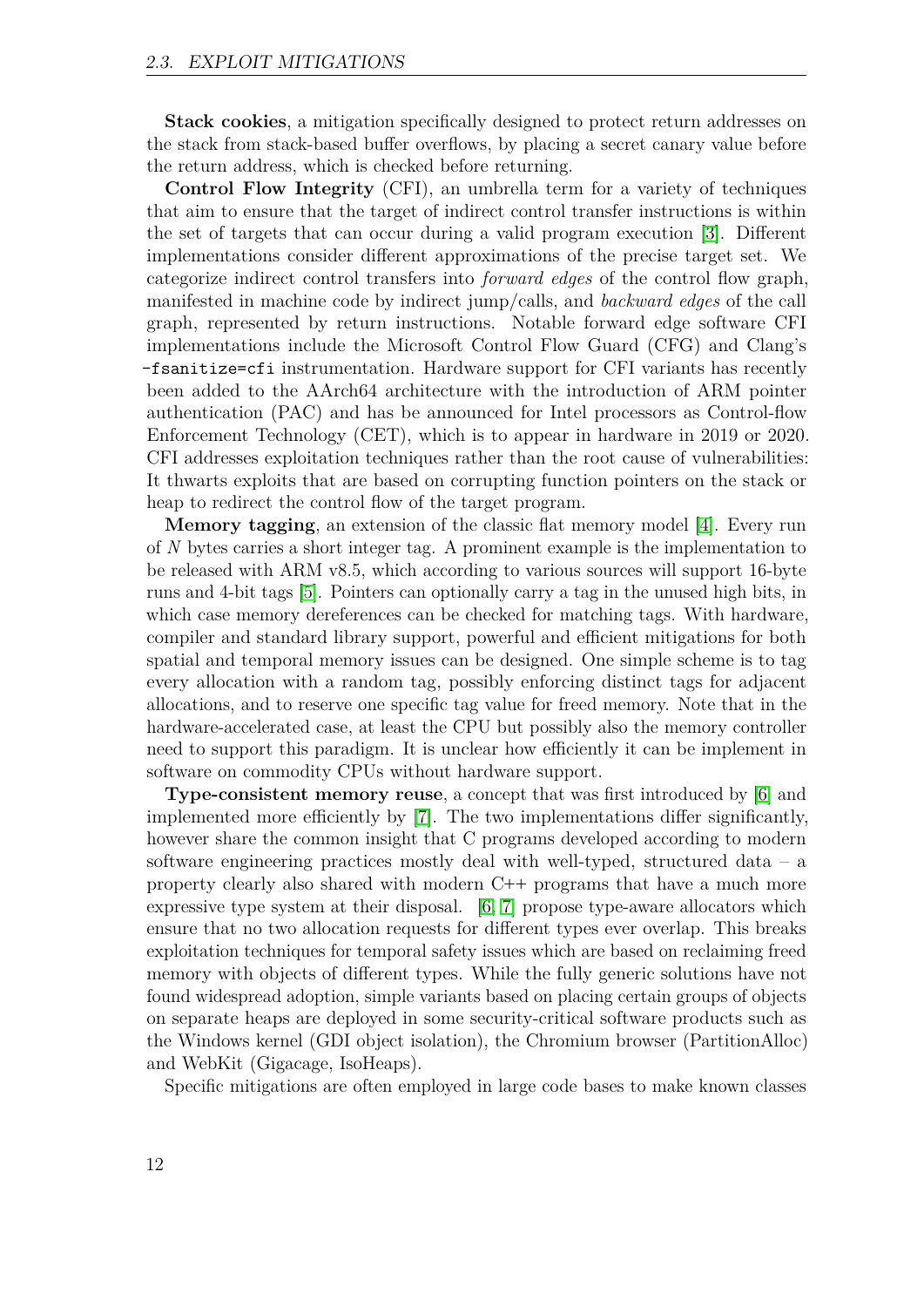**Stack cookies**, a mitigation specifically designed to protect return addresses on the stack from stack-based buffer overflows, by placing a secret canary value before the return address, which is checked before returning.

**Control Flow Integrity** (CFI), an umbrella term for a variety of techniques that aim to ensure that the target of indirect control transfer instructions is within the set of targets that can occur during a valid program execution [\[3\]](#page-48-2). Different implementations consider different approximations of the precise target set. We categorize indirect control transfers into *forward edges* of the control flow graph, manifested in machine code by indirect jump/calls, and *backward edges* of the call graph, represented by return instructions. Notable forward edge software CFI implementations include the Microsoft Control Flow Guard (CFG) and Clang's -fsanitize=cfi instrumentation. Hardware support for CFI variants has recently been added to the AArch64 architecture with the introduction of ARM pointer authentication (PAC) and has be announced for Intel processors as Control-flow Enforcement Technology (CET), which is to appear in hardware in 2019 or 2020. CFI addresses exploitation techniques rather than the root cause of vulnerabilities: It thwarts exploits that are based on corrupting function pointers on the stack or heap to redirect the control flow of the target program.

**Memory tagging**, an extension of the classic flat memory model [\[4\]](#page-48-3). Every run of *N* bytes carries a short integer tag. A prominent example is the implementation to be released with ARM v8.5, which according to various sources will support 16-byte runs and 4-bit tags [\[5\]](#page-48-4). Pointers can optionally carry a tag in the unused high bits, in which case memory dereferences can be checked for matching tags. With hardware, compiler and standard library support, powerful and efficient mitigations for both spatial and temporal memory issues can be designed. One simple scheme is to tag every allocation with a random tag, possibly enforcing distinct tags for adjacent allocations, and to reserve one specific tag value for freed memory. Note that in the hardware-accelerated case, at least the CPU but possibly also the memory controller need to support this paradigm. It is unclear how efficiently it can be implement in software on commodity CPUs without hardware support.

**Type-consistent memory reuse**, a concept that was first introduced by [\[6\]](#page-48-5) and implemented more efficiently by [\[7\]](#page-48-6). The two implementations differ significantly, however share the common insight that C programs developed according to modern software engineering practices mostly deal with well-typed, structured data – a property clearly also shared with modern C**++** programs that have a much more expressive type system at their disposal. [\[6,](#page-48-5) [7\]](#page-48-6) propose type-aware allocators which ensure that no two allocation requests for different types ever overlap. This breaks exploitation techniques for temporal safety issues which are based on reclaiming freed memory with objects of different types. While the fully generic solutions have not found widespread adoption, simple variants based on placing certain groups of objects on separate heaps are deployed in some security-critical software products such as the Windows kernel (GDI object isolation), the Chromium browser (PartitionAlloc) and WebKit (Gigacage, IsoHeaps).

Specific mitigations are often employed in large code bases to make known classes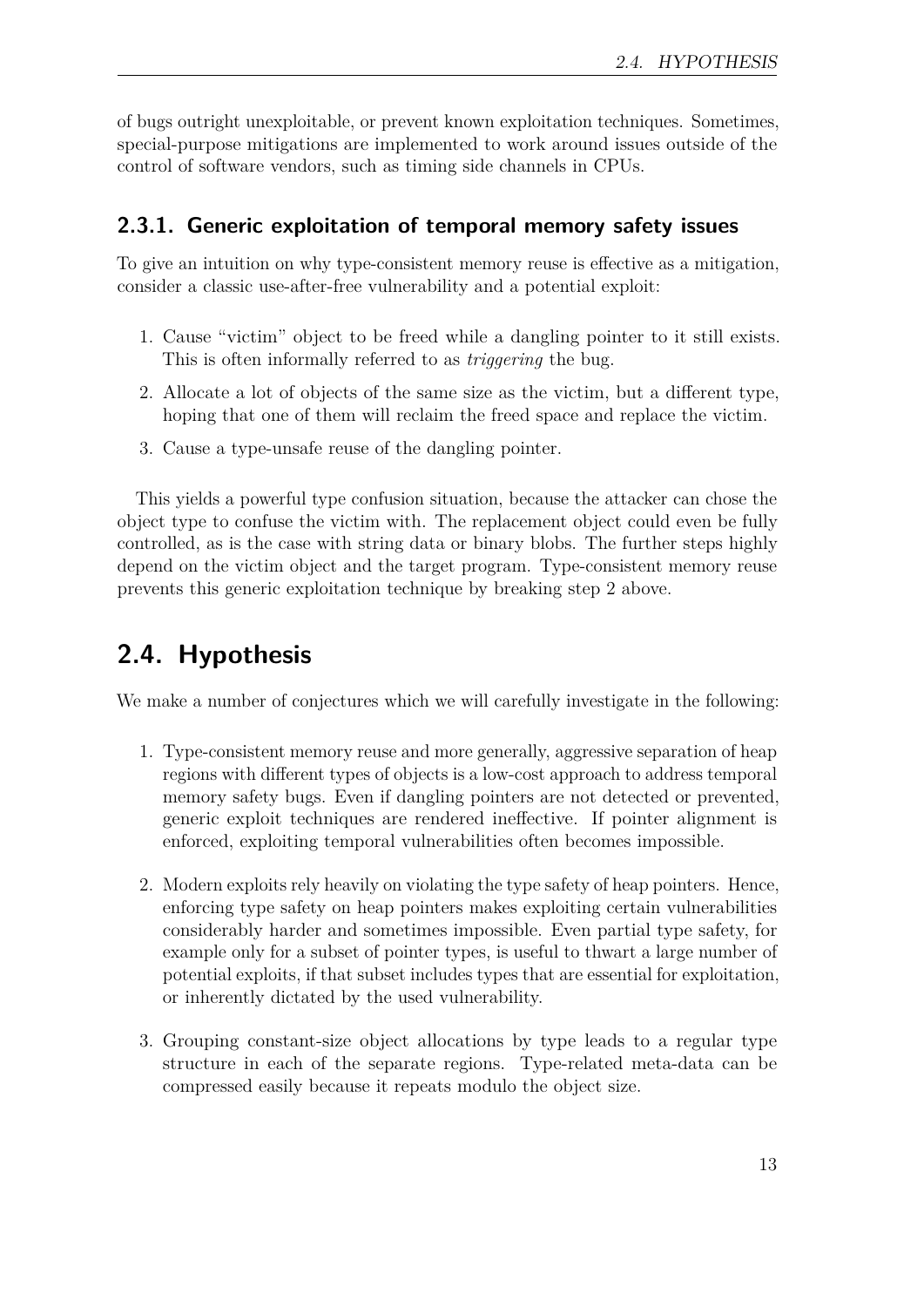of bugs outright unexploitable, or prevent known exploitation techniques. Sometimes, special-purpose mitigations are implemented to work around issues outside of the control of software vendors, such as timing side channels in CPUs.

### **2.3.1. Generic exploitation of temporal memory safety issues**

To give an intuition on why type-consistent memory reuse is effective as a mitigation, consider a classic use-after-free vulnerability and a potential exploit:

- 1. Cause "victim" object to be freed while a dangling pointer to it still exists. This is often informally referred to as *triggering* the bug.
- 2. Allocate a lot of objects of the same size as the victim, but a different type, hoping that one of them will reclaim the freed space and replace the victim.
- 3. Cause a type-unsafe reuse of the dangling pointer.

This yields a powerful type confusion situation, because the attacker can chose the object type to confuse the victim with. The replacement object could even be fully controlled, as is the case with string data or binary blobs. The further steps highly depend on the victim object and the target program. Type-consistent memory reuse prevents this generic exploitation technique by breaking step 2 above.

## <span id="page-12-0"></span>**2.4. Hypothesis**

We make a number of conjectures which we will carefully investigate in the following:

- 1. Type-consistent memory reuse and more generally, aggressive separation of heap regions with different types of objects is a low-cost approach to address temporal memory safety bugs. Even if dangling pointers are not detected or prevented, generic exploit techniques are rendered ineffective. If pointer alignment is enforced, exploiting temporal vulnerabilities often becomes impossible.
- 2. Modern exploits rely heavily on violating the type safety of heap pointers. Hence, enforcing type safety on heap pointers makes exploiting certain vulnerabilities considerably harder and sometimes impossible. Even partial type safety, for example only for a subset of pointer types, is useful to thwart a large number of potential exploits, if that subset includes types that are essential for exploitation, or inherently dictated by the used vulnerability.
- 3. Grouping constant-size object allocations by type leads to a regular type structure in each of the separate regions. Type-related meta-data can be compressed easily because it repeats modulo the object size.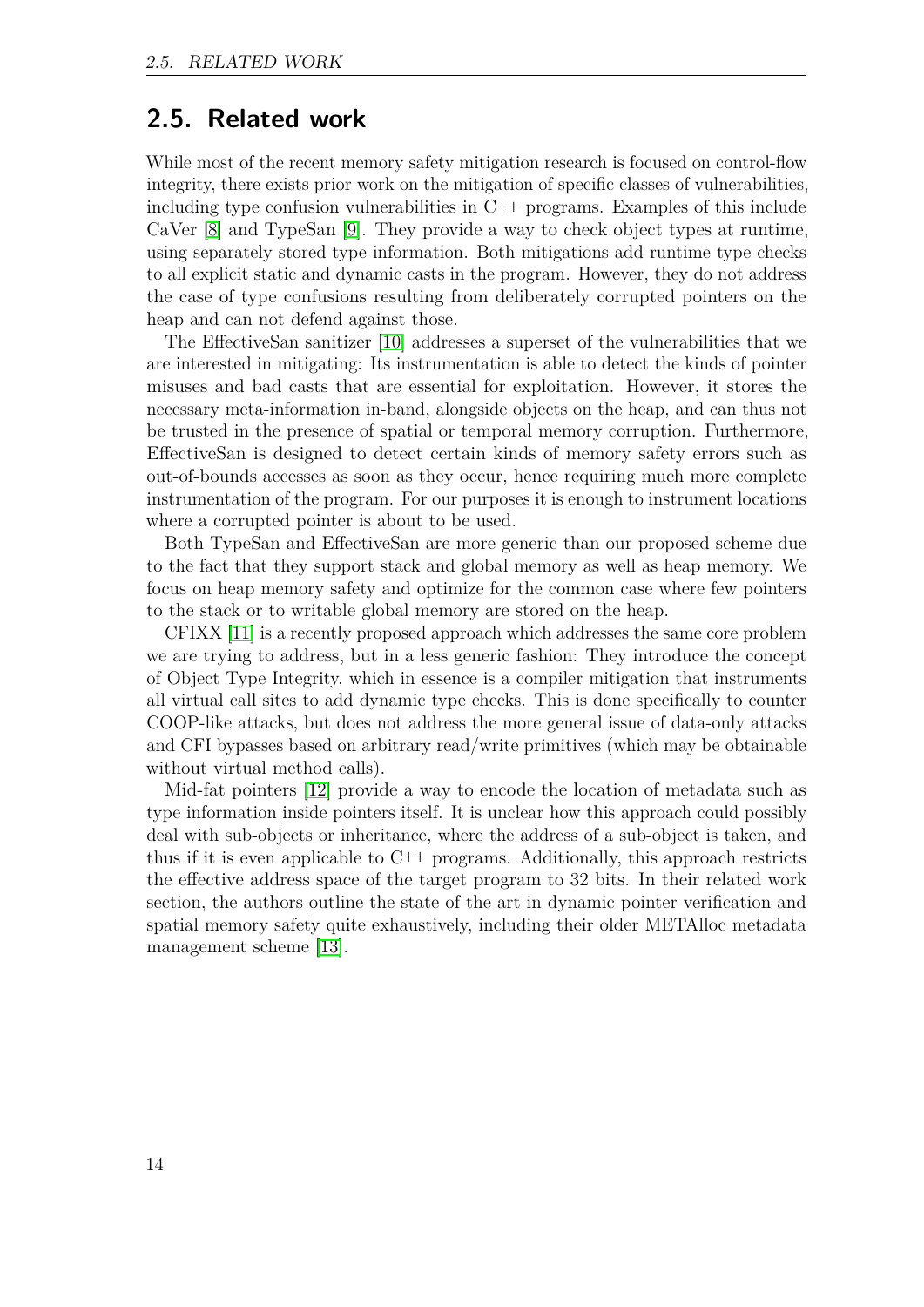### <span id="page-13-0"></span>**2.5. Related work**

While most of the recent memory safety mitigation research is focused on control-flow integrity, there exists prior work on the mitigation of specific classes of vulnerabilities, including type confusion vulnerabilities in C**++** programs. Examples of this include CaVer [\[8\]](#page-48-7) and TypeSan [\[9\]](#page-48-8). They provide a way to check object types at runtime, using separately stored type information. Both mitigations add runtime type checks to all explicit static and dynamic casts in the program. However, they do not address the case of type confusions resulting from deliberately corrupted pointers on the heap and can not defend against those.

The EffectiveSan sanitizer [\[10\]](#page-49-0) addresses a superset of the vulnerabilities that we are interested in mitigating: Its instrumentation is able to detect the kinds of pointer misuses and bad casts that are essential for exploitation. However, it stores the necessary meta-information in-band, alongside objects on the heap, and can thus not be trusted in the presence of spatial or temporal memory corruption. Furthermore, EffectiveSan is designed to detect certain kinds of memory safety errors such as out-of-bounds accesses as soon as they occur, hence requiring much more complete instrumentation of the program. For our purposes it is enough to instrument locations where a corrupted pointer is about to be used.

Both TypeSan and EffectiveSan are more generic than our proposed scheme due to the fact that they support stack and global memory as well as heap memory. We focus on heap memory safety and optimize for the common case where few pointers to the stack or to writable global memory are stored on the heap.

CFIXX [\[11\]](#page-49-1) is a recently proposed approach which addresses the same core problem we are trying to address, but in a less generic fashion: They introduce the concept of Object Type Integrity, which in essence is a compiler mitigation that instruments all virtual call sites to add dynamic type checks. This is done specifically to counter COOP-like attacks, but does not address the more general issue of data-only attacks and CFI bypasses based on arbitrary read/write primitives (which may be obtainable without virtual method calls).

Mid-fat pointers [\[12\]](#page-49-2) provide a way to encode the location of metadata such as type information inside pointers itself. It is unclear how this approach could possibly deal with sub-objects or inheritance, where the address of a sub-object is taken, and thus if it is even applicable to C**++** programs. Additionally, this approach restricts the effective address space of the target program to 32 bits. In their related work section, the authors outline the state of the art in dynamic pointer verification and spatial memory safety quite exhaustively, including their older METAlloc metadata management scheme [\[13\]](#page-49-3).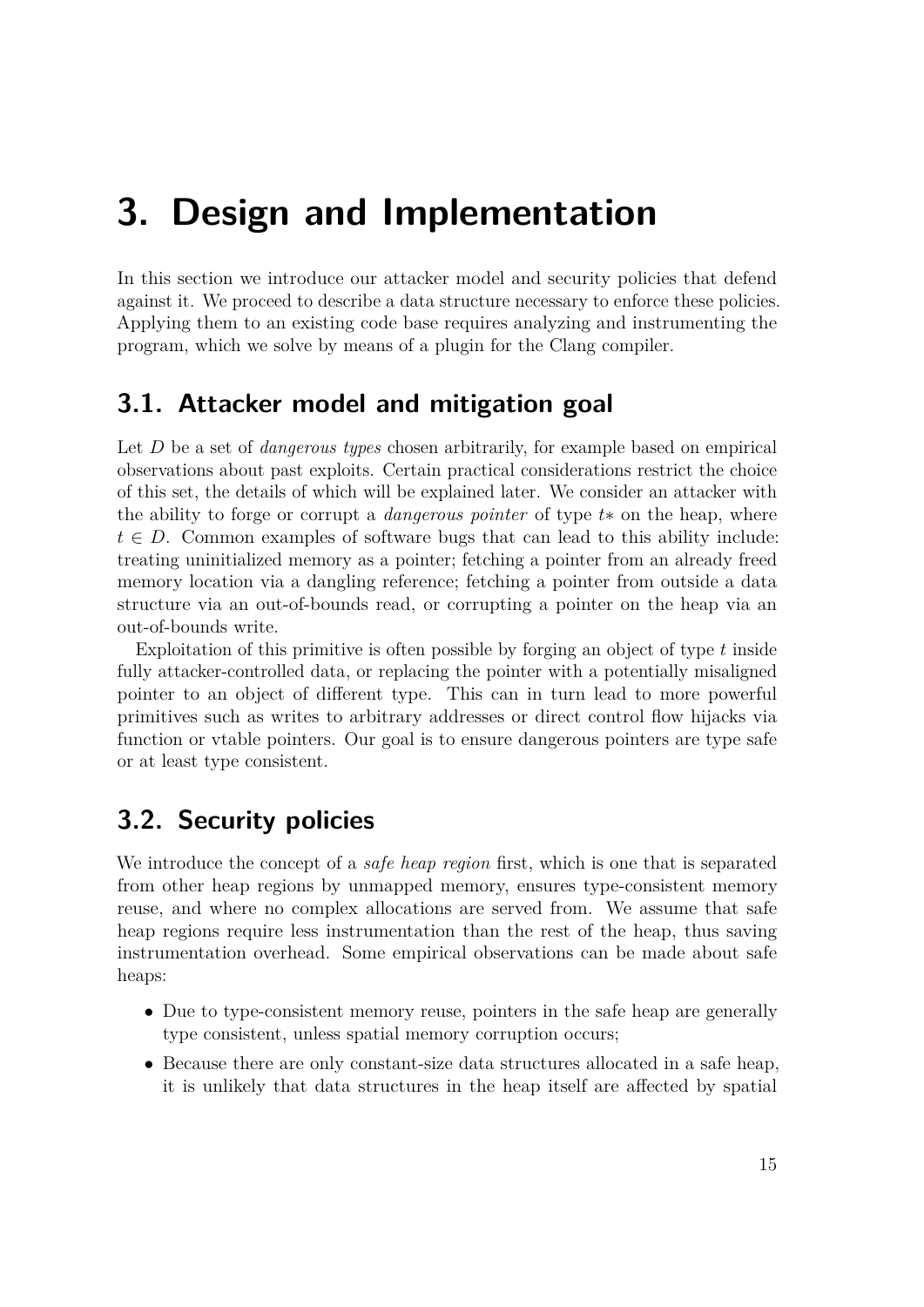## <span id="page-14-0"></span>**3. Design and Implementation**

In this section we introduce our attacker model and security policies that defend against it. We proceed to describe a data structure necessary to enforce these policies. Applying them to an existing code base requires analyzing and instrumenting the program, which we solve by means of a plugin for the Clang compiler.

## <span id="page-14-1"></span>**3.1. Attacker model and mitigation goal**

Let *D* be a set of *dangerous types* chosen arbitrarily, for example based on empirical observations about past exploits. Certain practical considerations restrict the choice of this set, the details of which will be explained later. We consider an attacker with the ability to forge or corrupt a *dangerous pointer* of type *t*∗ on the heap, where  $t \in D$ . Common examples of software bugs that can lead to this ability include: treating uninitialized memory as a pointer; fetching a pointer from an already freed memory location via a dangling reference; fetching a pointer from outside a data structure via an out-of-bounds read, or corrupting a pointer on the heap via an out-of-bounds write.

Exploitation of this primitive is often possible by forging an object of type *t* inside fully attacker-controlled data, or replacing the pointer with a potentially misaligned pointer to an object of different type. This can in turn lead to more powerful primitives such as writes to arbitrary addresses or direct control flow hijacks via function or vtable pointers. Our goal is to ensure dangerous pointers are type safe or at least type consistent.

## <span id="page-14-2"></span>**3.2. Security policies**

We introduce the concept of a *safe heap region* first, which is one that is separated from other heap regions by unmapped memory, ensures type-consistent memory reuse, and where no complex allocations are served from. We assume that safe heap regions require less instrumentation than the rest of the heap, thus saving instrumentation overhead. Some empirical observations can be made about safe heaps:

- Due to type-consistent memory reuse, pointers in the safe heap are generally type consistent, unless spatial memory corruption occurs;
- Because there are only constant-size data structures allocated in a safe heap, it is unlikely that data structures in the heap itself are affected by spatial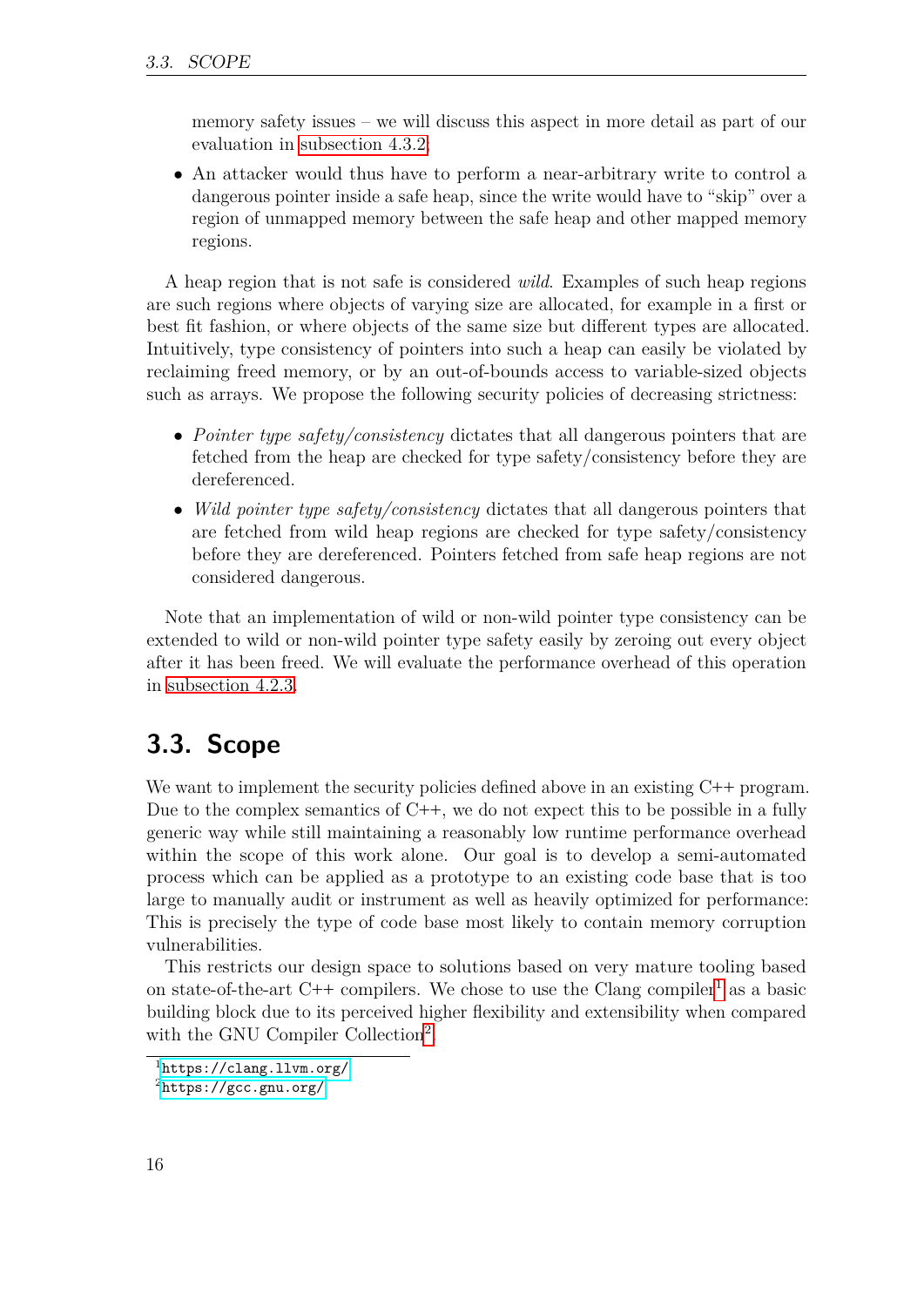memory safety issues – we will discuss this aspect in more detail as part of our evaluation in [subsection 4.3.2;](#page-44-0)

• An attacker would thus have to perform a near-arbitrary write to control a dangerous pointer inside a safe heap, since the write would have to "skip" over a region of unmapped memory between the safe heap and other mapped memory regions.

A heap region that is not safe is considered *wild*. Examples of such heap regions are such regions where objects of varying size are allocated, for example in a first or best fit fashion, or where objects of the same size but different types are allocated. Intuitively, type consistency of pointers into such a heap can easily be violated by reclaiming freed memory, or by an out-of-bounds access to variable-sized objects such as arrays. We propose the following security policies of decreasing strictness:

- *Pointer type safety/consistency* dictates that all dangerous pointers that are fetched from the heap are checked for type safety/consistency before they are dereferenced.
- *Wild pointer type safety/consistency* dictates that all dangerous pointers that are fetched from wild heap regions are checked for type safety/consistency before they are dereferenced. Pointers fetched from safe heap regions are not considered dangerous.

Note that an implementation of wild or non-wild pointer type consistency can be extended to wild or non-wild pointer type safety easily by zeroing out every object after it has been freed. We will evaluate the performance overhead of this operation in [subsection 4.2.3.](#page-33-0)

## <span id="page-15-0"></span>**3.3. Scope**

We want to implement the security policies defined above in an existing C**++** program. Due to the complex semantics of C**++**, we do not expect this to be possible in a fully generic way while still maintaining a reasonably low runtime performance overhead within the scope of this work alone. Our goal is to develop a semi-automated process which can be applied as a prototype to an existing code base that is too large to manually audit or instrument as well as heavily optimized for performance: This is precisely the type of code base most likely to contain memory corruption vulnerabilities.

This restricts our design space to solutions based on very mature tooling based on state-of-the-art  $C++$  compilers. We chose to use the Clang compiler<sup>[1](#page-15-1)</sup> as a basic building block due to its perceived higher flexibility and extensibility when compared with the GNU Compiler Collection<sup>[2](#page-15-2)</sup>.

<span id="page-15-1"></span><sup>1</sup><https://clang.llvm.org/>

<span id="page-15-2"></span><sup>2</sup><https://gcc.gnu.org/>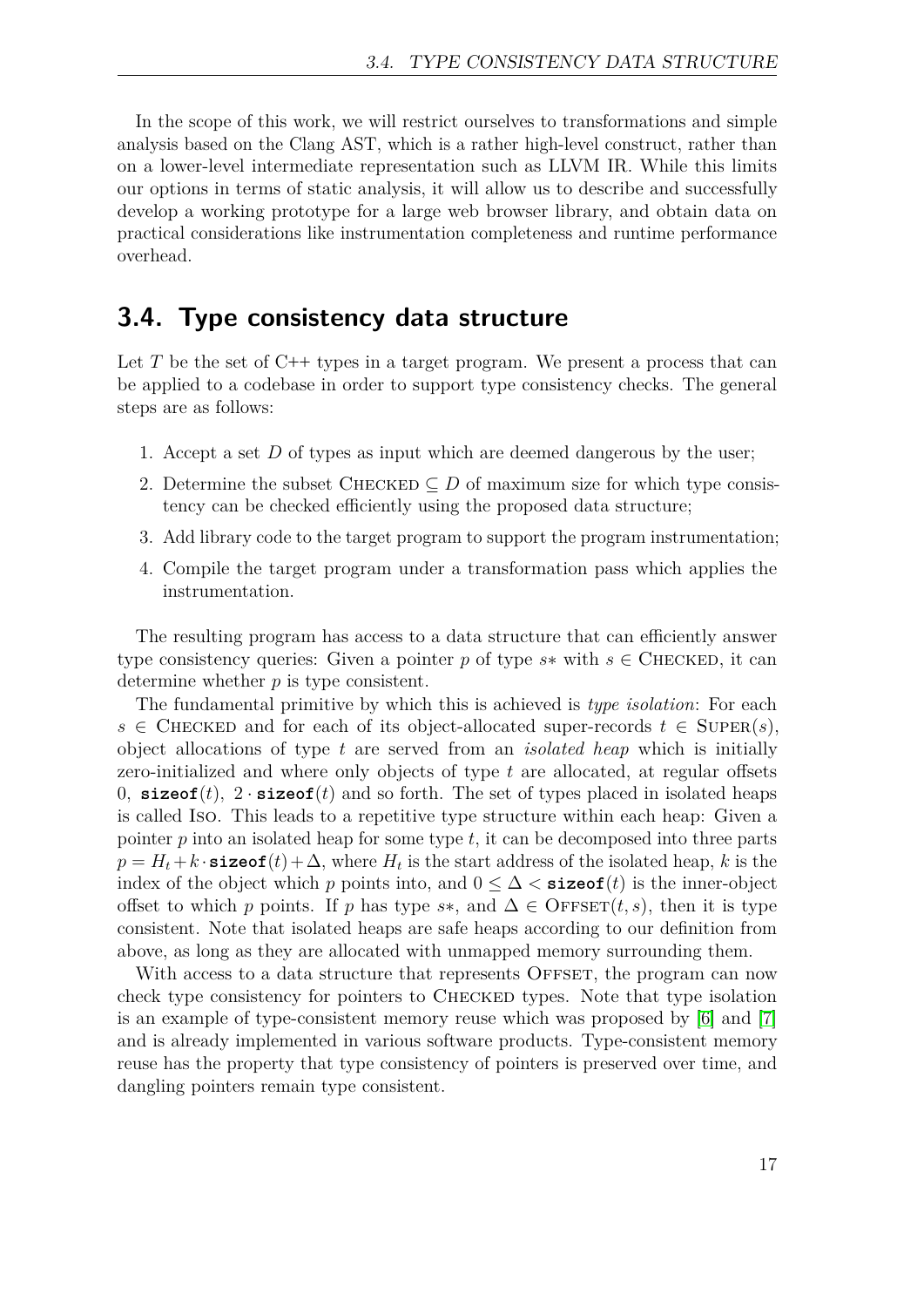In the scope of this work, we will restrict ourselves to transformations and simple analysis based on the Clang AST, which is a rather high-level construct, rather than on a lower-level intermediate representation such as LLVM IR. While this limits our options in terms of static analysis, it will allow us to describe and successfully develop a working prototype for a large web browser library, and obtain data on practical considerations like instrumentation completeness and runtime performance overhead.

### <span id="page-16-0"></span>**3.4. Type consistency data structure**

Let *T* be the set of C**++** types in a target program. We present a process that can be applied to a codebase in order to support type consistency checks. The general steps are as follows:

- 1. Accept a set *D* of types as input which are deemed dangerous by the user;
- 2. Determine the subset CHECKED  $\subseteq$  *D* of maximum size for which type consistency can be checked efficiently using the proposed data structure;
- 3. Add library code to the target program to support the program instrumentation;
- 4. Compile the target program under a transformation pass which applies the instrumentation.

The resulting program has access to a data structure that can efficiently answer type consistency queries: Given a pointer *p* of type  $s$ \* with  $s \in$  CHECKED, it can determine whether *p* is type consistent.

The fundamental primitive by which this is achieved is *type isolation*: For each  $s \in$  CHECKED and for each of its object-allocated super-records  $t \in$  SUPER(*s*), object allocations of type *t* are served from an *isolated heap* which is initially zero-initialized and where only objects of type *t* are allocated, at regular offsets 0,  $\textbf{sizeof}(t)$ ,  $2 \cdot \textbf{sizeof}(t)$  and so forth. The set of types placed in isolated heaps is called Iso. This leads to a repetitive type structure within each heap: Given a pointer *p* into an isolated heap for some type *t*, it can be decomposed into three parts  $p = H_t + k \cdot \texttt{sizeof}(t) + \Delta$ , where  $H_t$  is the start address of the isolated heap,  $k$  is the index of the object which *p* points into, and  $0 \leq \Delta <$  **sizeof**(*t*) is the inner-object offset to which *p* points. If *p* has type *s*\*, and  $\Delta \in \text{OFFSET}(t, s)$ , then it is type consistent. Note that isolated heaps are safe heaps according to our definition from above, as long as they are allocated with unmapped memory surrounding them.

With access to a data structure that represents OFFSET, the program can now check type consistency for pointers to Checked types. Note that type isolation is an example of type-consistent memory reuse which was proposed by [\[6\]](#page-48-5) and [\[7\]](#page-48-6) and is already implemented in various software products. Type-consistent memory reuse has the property that type consistency of pointers is preserved over time, and dangling pointers remain type consistent.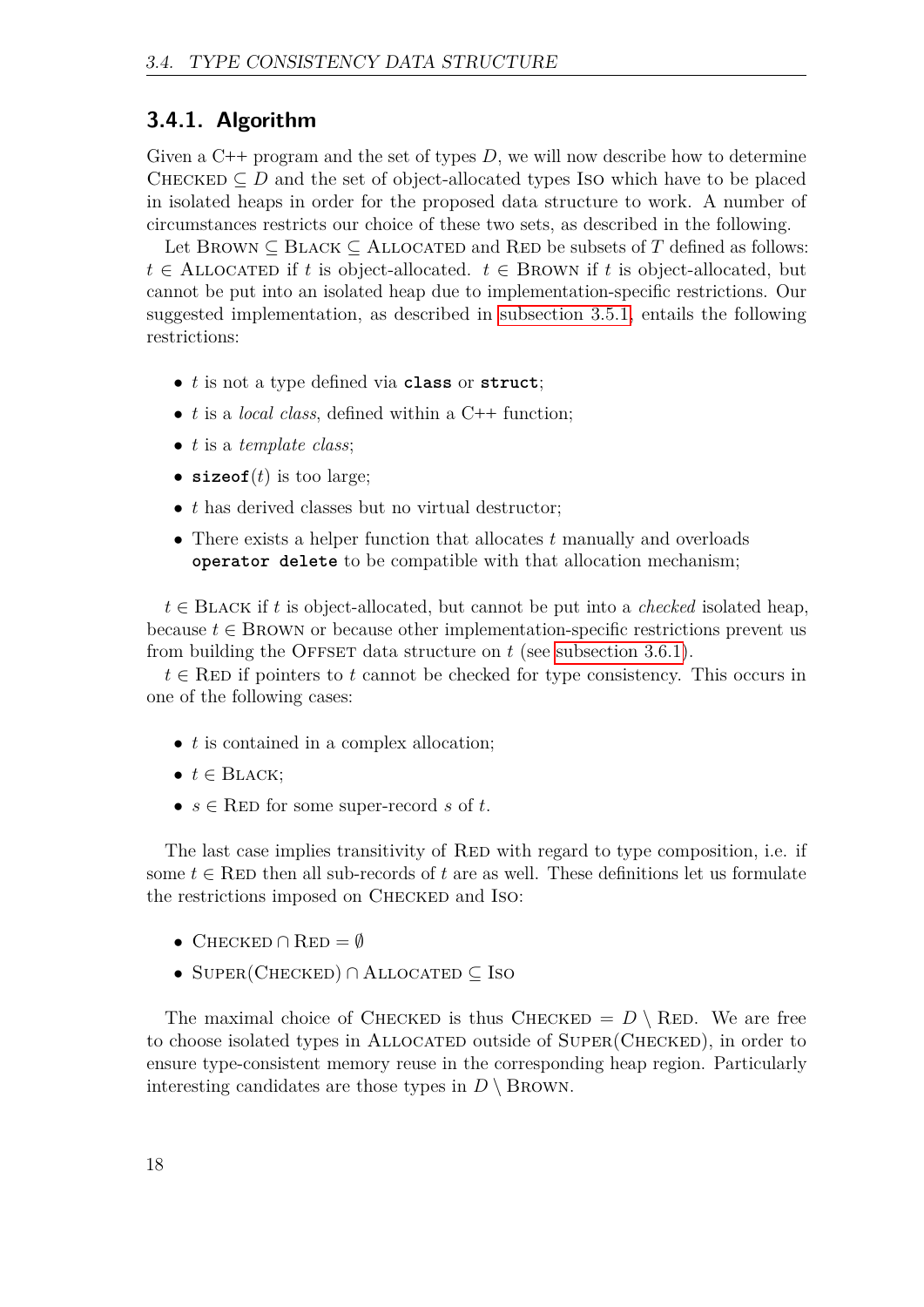#### <span id="page-17-0"></span>**3.4.1. Algorithm**

Given a C**++** program and the set of types *D*, we will now describe how to determine CHECKED  $\subseteq D$  and the set of object-allocated types Iso which have to be placed in isolated heaps in order for the proposed data structure to work. A number of circumstances restricts our choice of these two sets, as described in the following.

Let BROWN  $\subseteq$  BLACK  $\subseteq$  ALLOCATED and RED be subsets of *T* defined as follows:  $t \in$  ALLOCATED if *t* is object-allocated.  $t \in$  BROWN if *t* is object-allocated, but cannot be put into an isolated heap due to implementation-specific restrictions. Our suggested implementation, as described in [subsection 3.5.1,](#page-18-1) entails the following restrictions:

- *t* is not a type defined via **class** or **struct**;
- *t* is a *local class*, defined within a C**++** function;
- *t* is a *template class*;
- $sizeof(t)$  is too large;
- *t* has derived classes but no virtual destructor;
- There exists a helper function that allocates *t* manually and overloads **operator delete** to be compatible with that allocation mechanism;

 $t \in$  BLACK if *t* is object-allocated, but cannot be put into a *checked* isolated heap, because  $t \in$  BROWN or because other implementation-specific restrictions prevent us from building the OFFSET data structure on  $t$  (see [subsection 3.6.1\)](#page-24-1).

 $t \in \text{RED}$  if pointers to *t* cannot be checked for type consistency. This occurs in one of the following cases:

- *t* is contained in a complex allocation;
- $\bullet$   $t \in$  BLACK;
- $s \in \text{RED}$  for some super-record  $s$  of  $t$ .

The last case implies transitivity of RED with regard to type composition, i.e. if some  $t \in \text{RED}$  then all sub-records of  $t$  are as well. These definitions let us formulate the restrictions imposed on CHECKED and ISO:

- CHECKED  $\cap$  RED =  $\emptyset$
- SUPER(CHECKED) ∩ ALLOCATED ⊂ ISO

The maximal choice of CHECKED is thus CHECKED =  $D \setminus$  RED. We are free to choose isolated types in Allocated outside of Super(Checked), in order to ensure type-consistent memory reuse in the corresponding heap region. Particularly interesting candidates are those types in  $D \setminus$  BROWN.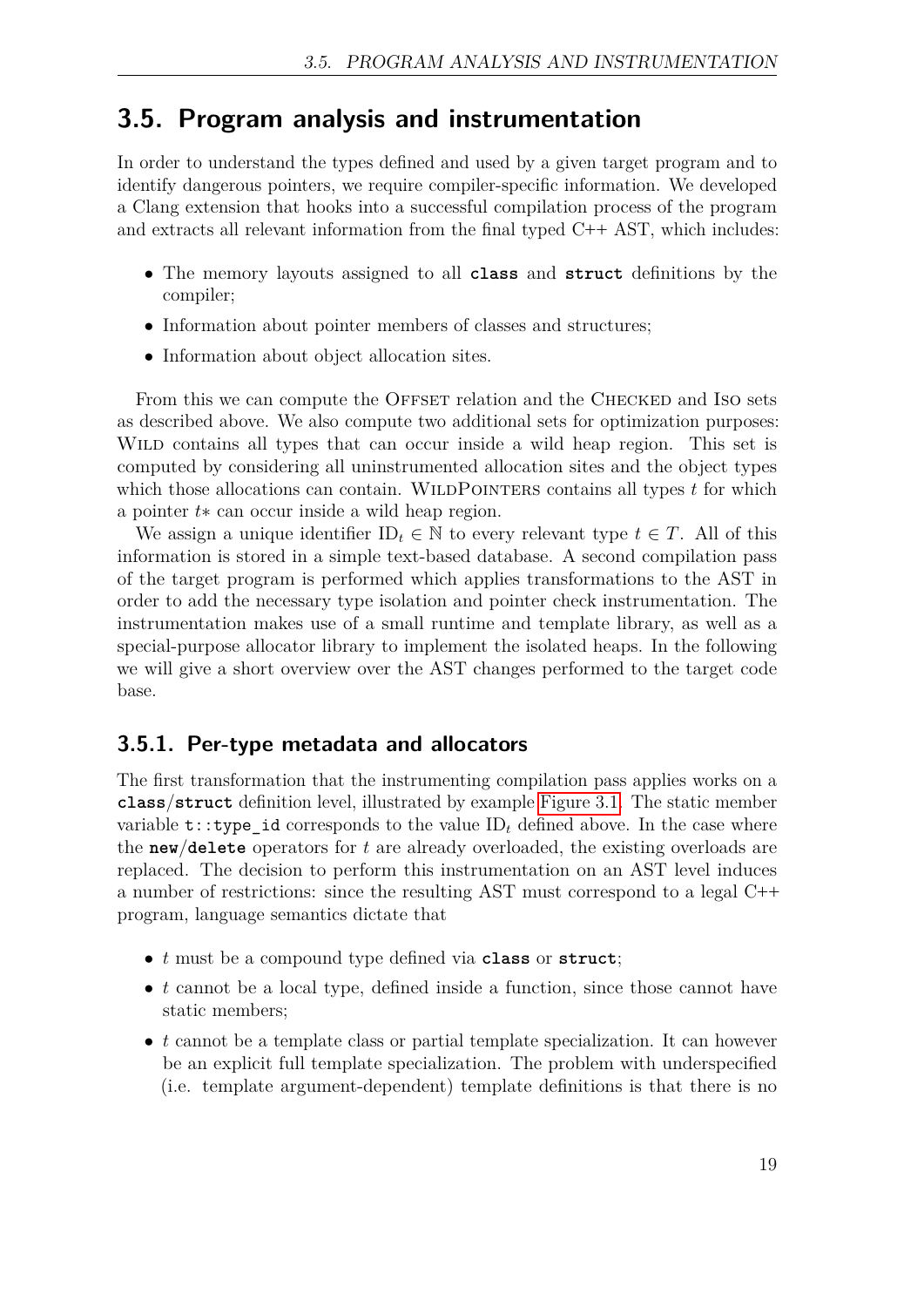### <span id="page-18-0"></span>**3.5. Program analysis and instrumentation**

In order to understand the types defined and used by a given target program and to identify dangerous pointers, we require compiler-specific information. We developed a Clang extension that hooks into a successful compilation process of the program and extracts all relevant information from the final typed C**++** AST, which includes:

- The memory layouts assigned to all **class** and **struct** definitions by the compiler;
- Information about pointer members of classes and structures;
- Information about object allocation sites.

From this we can compute the OFFSET relation and the CHECKED and ISO sets as described above. We also compute two additional sets for optimization purposes: Wild contains all types that can occur inside a wild heap region. This set is computed by considering all uninstrumented allocation sites and the object types which those allocations can contain. WILDPOINTERS contains all types t for which a pointer *t*∗ can occur inside a wild heap region.

We assign a unique identifier  $ID_t \in \mathbb{N}$  to every relevant type  $t \in T$ . All of this information is stored in a simple text-based database. A second compilation pass of the target program is performed which applies transformations to the AST in order to add the necessary type isolation and pointer check instrumentation. The instrumentation makes use of a small runtime and template library, as well as a special-purpose allocator library to implement the isolated heaps. In the following we will give a short overview over the AST changes performed to the target code base.

#### <span id="page-18-1"></span>**3.5.1. Per-type metadata and allocators**

The first transformation that the instrumenting compilation pass applies works on a **class**/**struct** definition level, illustrated by example [Figure 3.1.](#page-19-0) The static member variable  $t: y$  is determined to the value ID<sub>t</sub> defined above. In the case where the **new**/**delete** operators for *t* are already overloaded, the existing overloads are replaced. The decision to perform this instrumentation on an AST level induces a number of restrictions: since the resulting AST must correspond to a legal C**++** program, language semantics dictate that

- *t* must be a compound type defined via **class** or **struct**;
- *t* cannot be a local type, defined inside a function, since those cannot have static members;
- *t* cannot be a template class or partial template specialization. It can however be an explicit full template specialization. The problem with underspecified (i.e. template argument-dependent) template definitions is that there is no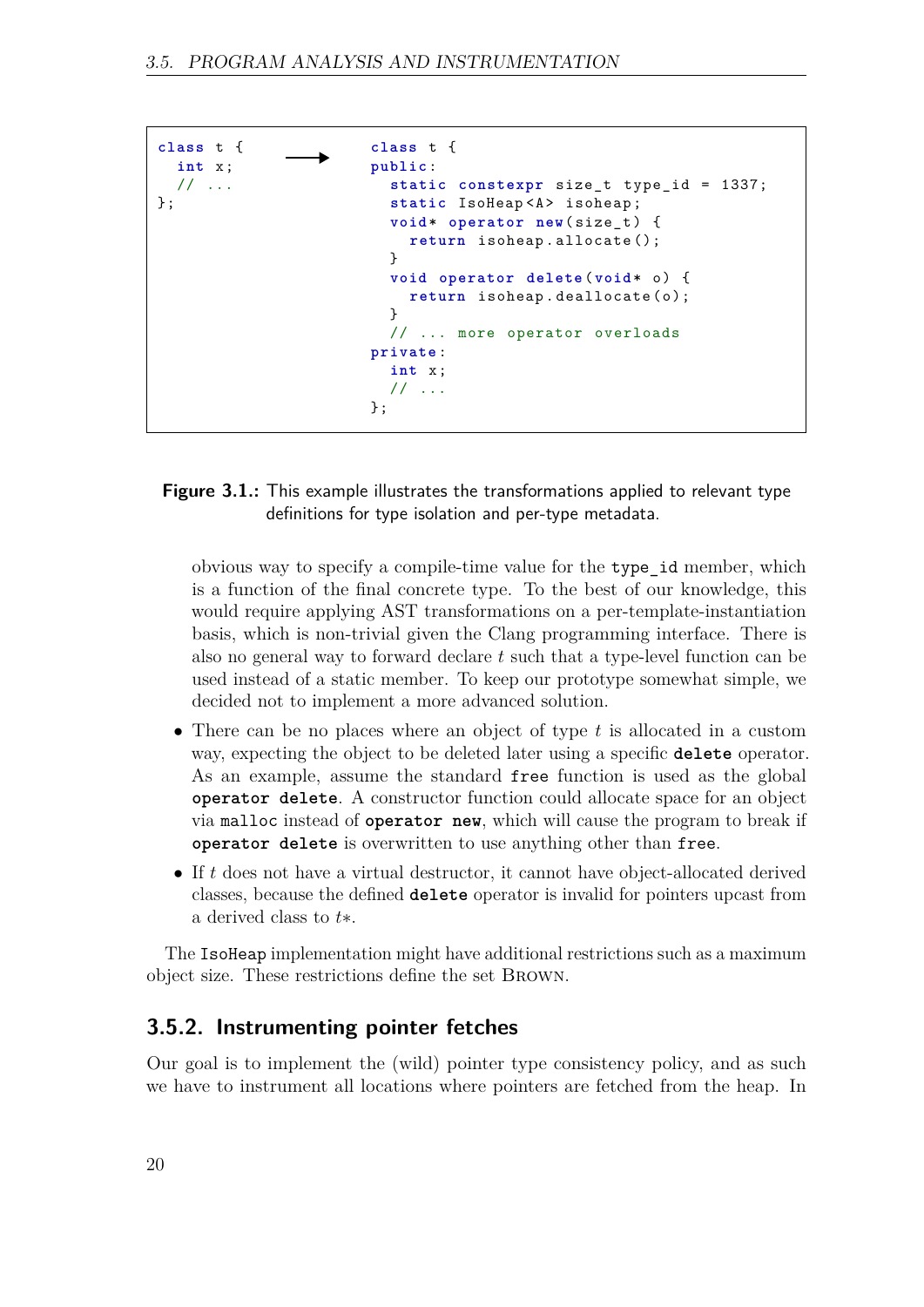```
class t {
class t {
                 \rightarrowpublic :
  int x ;
                           static constexpr size_t type_id = 1337;
  // ...
};
                           static IsoHeap<A> isoheap;
                           void * operator new( size_t ) {
                             return isoheap . allocate ();
                           }
                           void operator delete ( void * o ) {
                             return isoheap.deallocate(o);
                           }
                           // ... more operator overloads
                         private :
                           int x ;
                           // ...
                         };
```
<span id="page-19-0"></span>**Figure 3.1.:** This example illustrates the transformations applied to relevant type definitions for type isolation and per-type metadata.

obvious way to specify a compile-time value for the type\_id member, which is a function of the final concrete type. To the best of our knowledge, this would require applying AST transformations on a per-template-instantiation basis, which is non-trivial given the Clang programming interface. There is also no general way to forward declare *t* such that a type-level function can be used instead of a static member. To keep our prototype somewhat simple, we decided not to implement a more advanced solution.

- There can be no places where an object of type *t* is allocated in a custom way, expecting the object to be deleted later using a specific **delete** operator. As an example, assume the standard free function is used as the global **operator delete**. A constructor function could allocate space for an object via malloc instead of **operator new**, which will cause the program to break if **operator delete** is overwritten to use anything other than free.
- If *t* does not have a virtual destructor, it cannot have object-allocated derived classes, because the defined **delete** operator is invalid for pointers upcast from a derived class to *t*∗.

The IsoHeap implementation might have additional restrictions such as a maximum object size. These restrictions define the set Brown.

#### <span id="page-19-1"></span>**3.5.2. Instrumenting pointer fetches**

Our goal is to implement the (wild) pointer type consistency policy, and as such we have to instrument all locations where pointers are fetched from the heap. In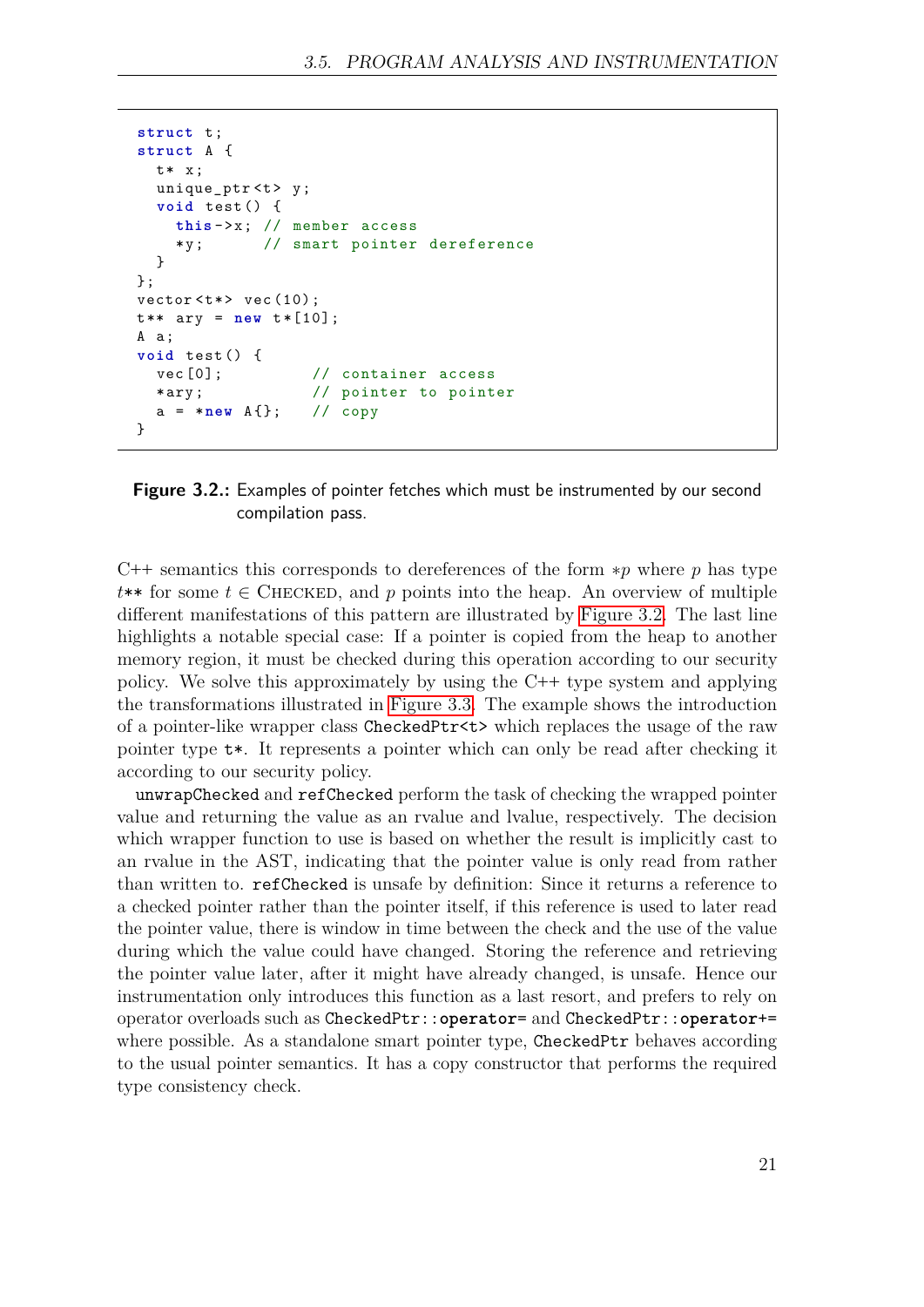```
struct t;
struct A {
 t* x;
  unique_ptr <t>y;
  void test () {
    this - > x ; // member access
    *y; // smart pointer dereference
 }
};
vector < t*> vec(10);
t** ary = new t*[10];
A a ;
void test () {
  vec [0]; // container access
                  // pointer to pointer
  a = * new A {}; // copy
}
```
<span id="page-20-0"></span>

C**++** semantics this corresponds to dereferences of the form ∗*p* where *p* has type  $t**$  for some  $t \in$  CHECKED, and p points into the heap. An overview of multiple different manifestations of this pattern are illustrated by [Figure 3.2.](#page-20-0) The last line highlights a notable special case: If a pointer is copied from the heap to another memory region, it must be checked during this operation according to our security policy. We solve this approximately by using the C**++** type system and applying the transformations illustrated in [Figure 3.3.](#page-21-0) The example shows the introduction of a pointer-like wrapper class CheckedPtr<t> which replaces the usage of the raw pointer type t\*. It represents a pointer which can only be read after checking it according to our security policy.

unwrapChecked and refChecked perform the task of checking the wrapped pointer value and returning the value as an rvalue and lvalue, respectively. The decision which wrapper function to use is based on whether the result is implicitly cast to an rvalue in the AST, indicating that the pointer value is only read from rather than written to. refChecked is unsafe by definition: Since it returns a reference to a checked pointer rather than the pointer itself, if this reference is used to later read the pointer value, there is window in time between the check and the use of the value during which the value could have changed. Storing the reference and retrieving the pointer value later, after it might have already changed, is unsafe. Hence our instrumentation only introduces this function as a last resort, and prefers to rely on operator overloads such as CheckedPtr::**operator**= and CheckedPtr::**operator**+= where possible. As a standalone smart pointer type, CheckedPtr behaves according to the usual pointer semantics. It has a copy constructor that performs the required type consistency check.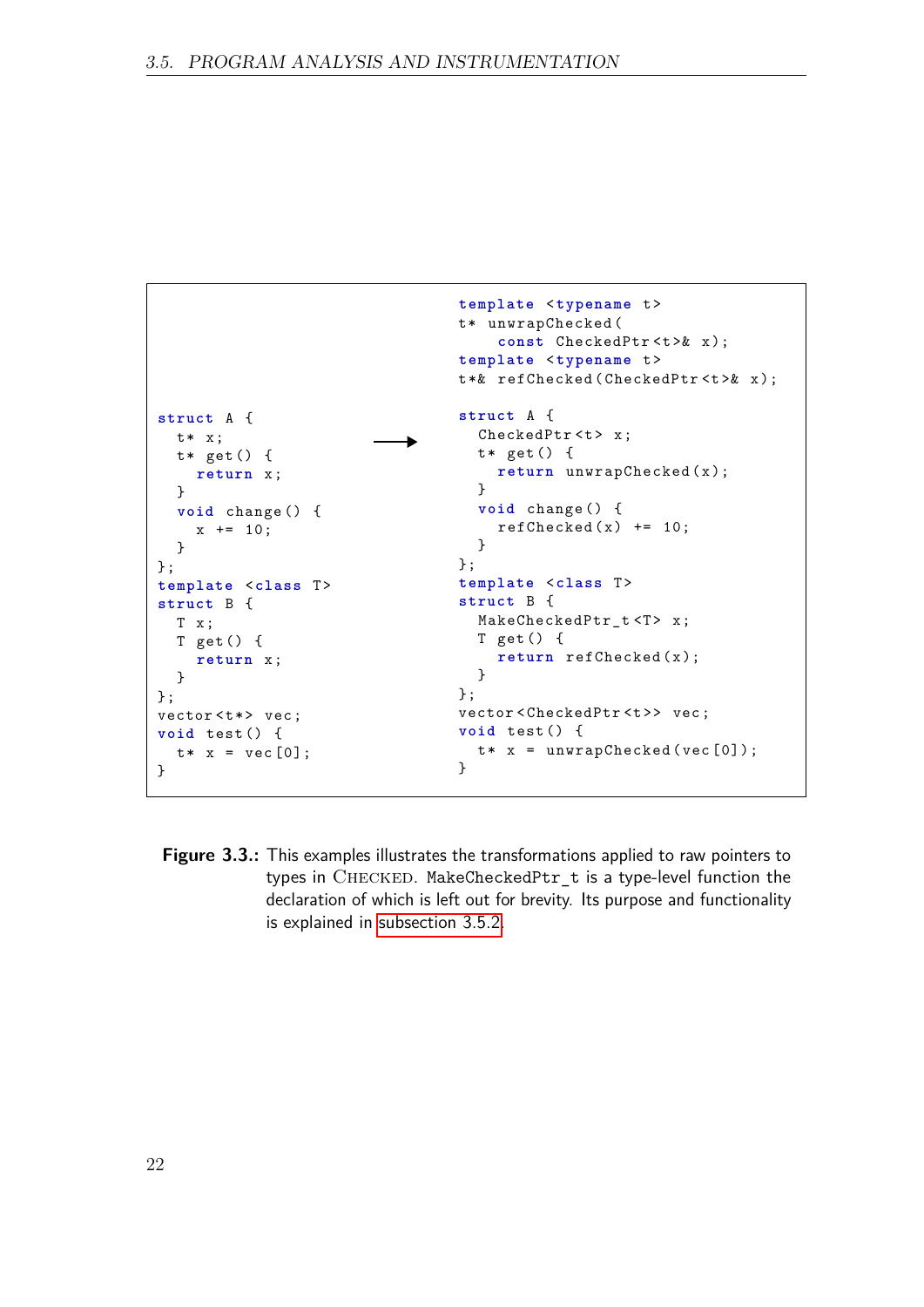```
template <typename t >
                                 t* unwrapChecked (
                                      const CheckedPtr <t>& x);
                                  template <typename t >
                                 t *& refChecked ( CheckedPtr <t >& x );
                                  struct A {
struct A {
                                    CheckedPtr <t> x;
 t* x;
                            Ł
                                    t * get() ft* get() {
                                      return unwrapChecked (x);
    return x ;
                                    }
  }
  void change () {
                                    void change () {
                                      refChecked(x) += 10;x += 10;
                                    }
  }
                                 };
};
template <class T>
                                 template <class T>
                                 struct B {
struct B {
                                   MakeCheckedPtr_t <T> x;
  T x ;
                                   T get () {
  T get () {
                                      return refChecked(x);
    return x ;
                                    }
  }
                                 };
};
vector < t * > vec;
                                 vector<CheckedPtr<t>> vec;
                                 void test () {
void test () {
                                   t * x = unwrapChecked(vec[0]);t * x = vec[0];}
}
```
<span id="page-21-0"></span>**Figure 3.3.:** This examples illustrates the transformations applied to raw pointers to types in CHECKED. MakeCheckedPtr t is a type-level function the declaration of which is left out for brevity. Its purpose and functionality is explained in [subsection 3.5.2.](#page-19-1)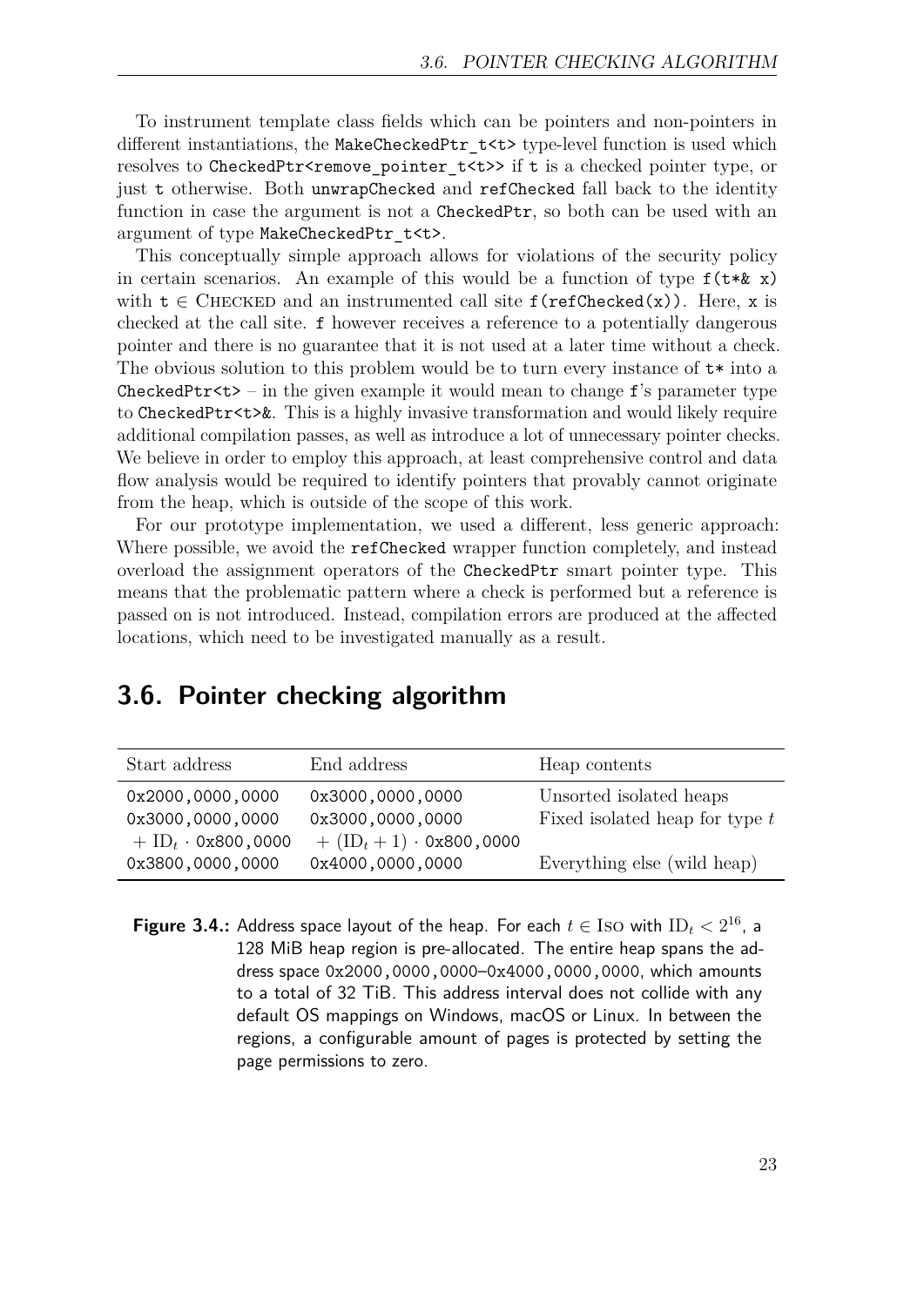To instrument template class fields which can be pointers and non-pointers in different instantiations, the MakeCheckedPtr t<t> type-level function is used which resolves to CheckedPtr<remove\_pointer\_t<t>> if t is a checked pointer type, or just t otherwise. Both unwrapChecked and refChecked fall back to the identity function in case the argument is not a CheckedPtr, so both can be used with an argument of type MakeCheckedPtr\_t<t>.

This conceptually simple approach allows for violations of the security policy in certain scenarios. An example of this would be a function of type  $f(t * \& x)$ with  $t \in$  CHECKED and an instrumented call site  $f(\text{refChecked}(x))$ . Here, x is checked at the call site. f however receives a reference to a potentially dangerous pointer and there is no guarantee that it is not used at a later time without a check. The obvious solution to this problem would be to turn every instance of t\* into a CheckedPtr $\lt$ t> – in the given example it would mean to change f's parameter type to CheckedPtr<t>&. This is a highly invasive transformation and would likely require additional compilation passes, as well as introduce a lot of unnecessary pointer checks. We believe in order to employ this approach, at least comprehensive control and data flow analysis would be required to identify pointers that provably cannot originate from the heap, which is outside of the scope of this work.

For our prototype implementation, we used a different, less generic approach: Where possible, we avoid the refChecked wrapper function completely, and instead overload the assignment operators of the CheckedPtr smart pointer type. This means that the problematic pattern where a check is performed but a reference is passed on is not introduced. Instead, compilation errors are produced at the affected locations, which need to be investigated manually as a result.

## <span id="page-22-0"></span>**3.6. Pointer checking algorithm**

| Start address                    | End address                                  | Heap contents                    |
|----------------------------------|----------------------------------------------|----------------------------------|
| 0x2000,0000,0000                 | 0x3000,0000,0000                             | Unsorted isolated heaps          |
| 0x3000,0000,0000                 | 0x3000,0000,0000                             | Fixed isolated heap for type $t$ |
| $+$ ID <sub>t</sub> · 0x800,0000 | $+$ (ID <sub>t</sub> + 1) $\cdot$ 0x800,0000 |                                  |
| 0x3800,0000,0000                 | 0x4000,0000,0000                             | Everything else (wild heap)      |

<span id="page-22-1"></span>**Figure 3.4.:** Address space layout of the heap. For each  $t \in \text{Iso with ID}_t < 2^{16}$ , a 128 MiB heap region is pre-allocated. The entire heap spans the address space 0x2000,0000,0000–0x4000,0000,0000, which amounts to a total of 32 TiB. This address interval does not collide with any default OS mappings on Windows, macOS or Linux. In between the regions, a configurable amount of pages is protected by setting the page permissions to zero.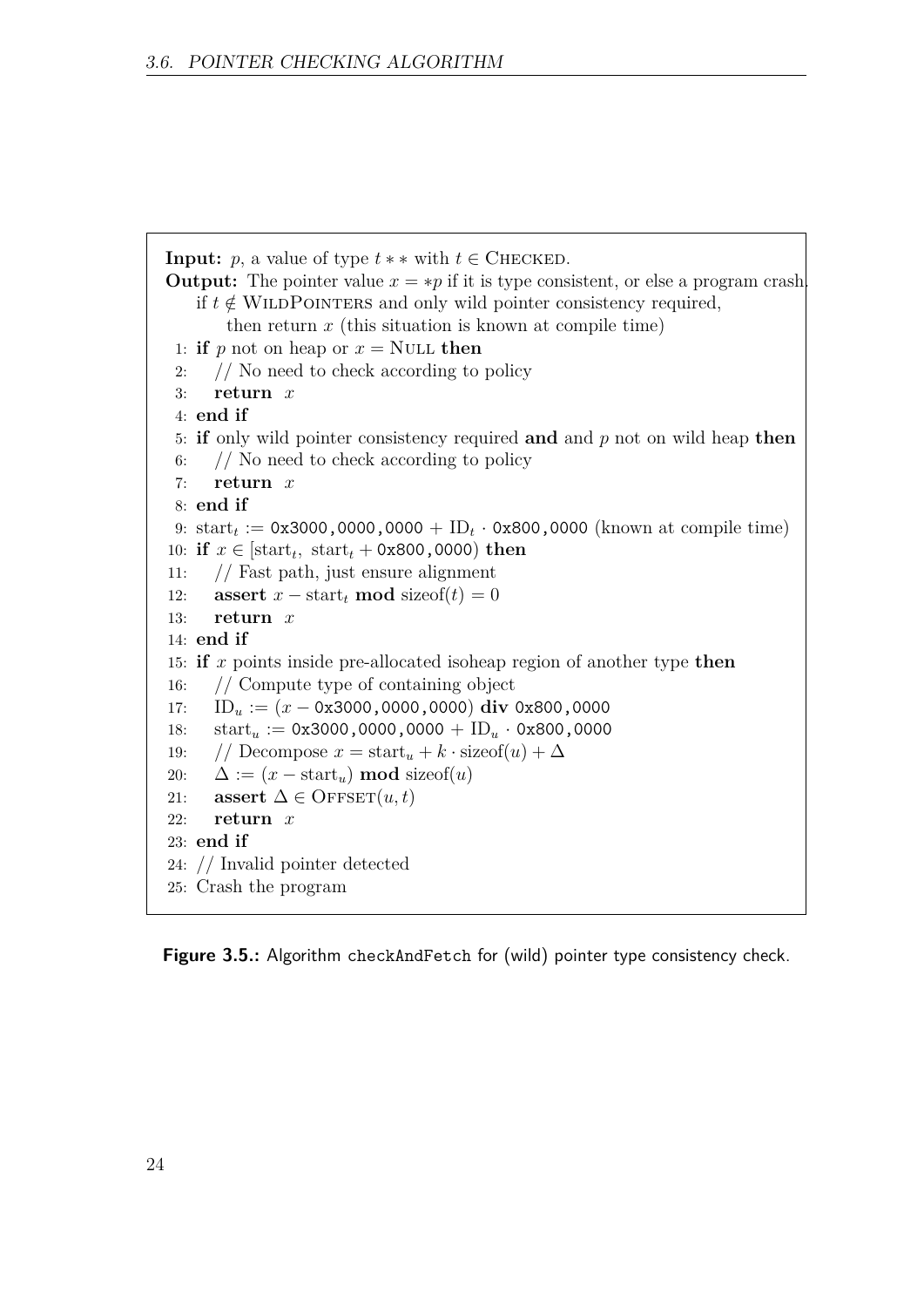```
Input: p, a value of type t * * with t \in CHECKED.
Output: The pointer value x = *p if it is type consistent, or else a program crash.
    if t \notin WILDPOINTERS and only wild pointer consistency required,
        then return x (this situation is known at compile time)
 1: if p not on heap or x = NULL then
 2: // No need to check according to policy
 3: return x
 4: end if
 5: if only wild pointer consistency required and and p not on wild heap then
 6: // No need to check according to policy
 7: return x
 8: end if
 9: \text{start}_t := 0x3000,0000,0000 + ID<sub>t</sub> · 0x800,0000 (known at compile time)
10: if x \in [\text{start}_t, \text{ start}_t + 0 \times 800, 0000) then
11: // Fast path, just ensure alignment
12: assert x - \text{start}_t \text{ mod } \text{sizeof}(t) = 013: return x
14: end if
15: if x points inside pre-allocated isoheap region of another type then
16: // Compute type of containing object
17: IDu := (x − 0x3000,0000,0000) div 0x800,0000
18: \text{start}_u := 0 \times 3000,0000,0000 + \text{ID}_u \cdot 0 \times 800,000019: // Decompose x = \text{start}_u + k \cdot \text{sizeof}(u) + \Delta20: \Delta := (x - \text{start}_u) \text{ mod } \text{sizeof}(u)21: assert \Delta \in \text{OFFSET}(u, t)22: return x
23: end if
24: // Invalid pointer detected
25: Crash the program
```
<span id="page-23-0"></span>**Figure 3.5.:** Algorithm checkAndFetch for (wild) pointer type consistency check.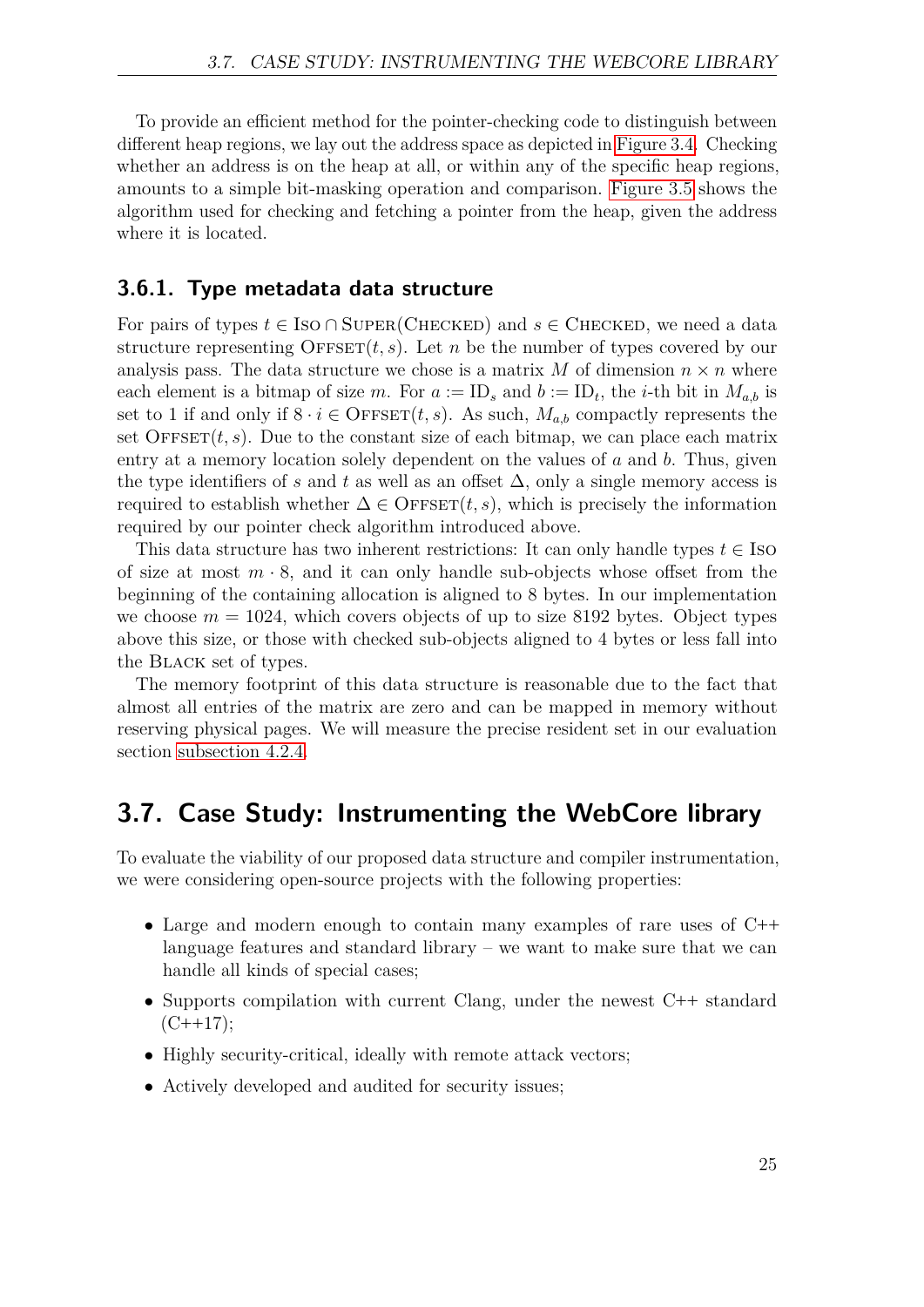To provide an efficient method for the pointer-checking code to distinguish between different heap regions, we lay out the address space as depicted in [Figure 3.4.](#page-22-1) Checking whether an address is on the heap at all, or within any of the specific heap regions, amounts to a simple bit-masking operation and comparison. [Figure 3.5](#page-23-0) shows the algorithm used for checking and fetching a pointer from the heap, given the address where it is located.

#### <span id="page-24-1"></span>**3.6.1. Type metadata data structure**

For pairs of types  $t \in \text{Iso} \cap \text{Super(CHECKED})$  and  $s \in \text{CHECKED}$ , we need a data structure representing  $\text{OFFSET}(t, s)$ . Let *n* be the number of types covered by our analysis pass. The data structure we chose is a matrix M of dimension  $n \times n$  where each element is a bitmap of size *m*. For  $a := \text{ID}_s$  and  $b := \text{ID}_t$ , the *i*-th bit in  $M_{a,b}$  is set to 1 if and only if  $8 \cdot i \in$  OFFSET $(t, s)$ . As such,  $M_{a,b}$  compactly represents the set  $\text{OFFSET}(t, s)$ . Due to the constant size of each bitmap, we can place each matrix entry at a memory location solely dependent on the values of *a* and *b*. Thus, given the type identifiers of *s* and *t* as well as an offset  $\Delta$ , only a single memory access is required to establish whether  $\Delta \in \text{OFFSET}(t, s)$ , which is precisely the information required by our pointer check algorithm introduced above.

This data structure has two inherent restrictions: It can only handle types  $t \in$  Iso of size at most  $m \cdot 8$ , and it can only handle sub-objects whose offset from the beginning of the containing allocation is aligned to 8 bytes. In our implementation we choose  $m = 1024$ , which covers objects of up to size 8192 bytes. Object types above this size, or those with checked sub-objects aligned to 4 bytes or less fall into the Black set of types.

The memory footprint of this data structure is reasonable due to the fact that almost all entries of the matrix are zero and can be mapped in memory without reserving physical pages. We will measure the precise resident set in our evaluation section [subsection 4.2.4.](#page-34-0)

## <span id="page-24-0"></span>**3.7. Case Study: Instrumenting the WebCore library**

To evaluate the viability of our proposed data structure and compiler instrumentation, we were considering open-source projects with the following properties:

- Large and modern enough to contain many examples of rare uses of C**++** language features and standard library – we want to make sure that we can handle all kinds of special cases;
- Supports compilation with current Clang, under the newest C**++** standard  $(C++17);$
- Highly security-critical, ideally with remote attack vectors;
- Actively developed and audited for security issues;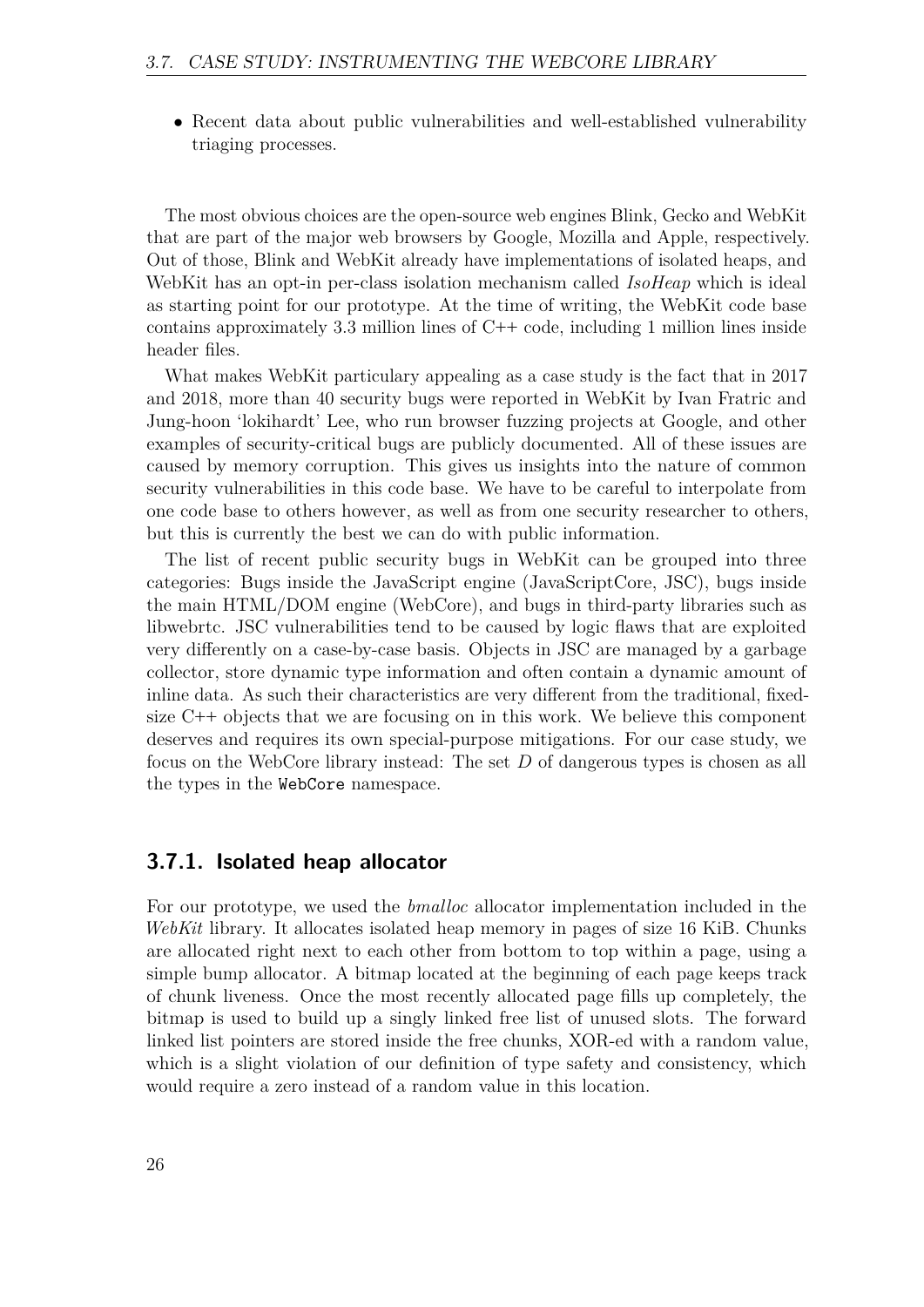• Recent data about public vulnerabilities and well-established vulnerability triaging processes.

The most obvious choices are the open-source web engines Blink, Gecko and WebKit that are part of the major web browsers by Google, Mozilla and Apple, respectively. Out of those, Blink and WebKit already have implementations of isolated heaps, and WebKit has an opt-in per-class isolation mechanism called *IsoHeap* which is ideal as starting point for our prototype. At the time of writing, the WebKit code base contains approximately 3.3 million lines of C**++** code, including 1 million lines inside header files.

What makes WebKit particulary appealing as a case study is the fact that in 2017 and 2018, more than 40 security bugs were reported in WebKit by Ivan Fratric and Jung-hoon 'lokihardt' Lee, who run browser fuzzing projects at Google, and other examples of security-critical bugs are publicly documented. All of these issues are caused by memory corruption. This gives us insights into the nature of common security vulnerabilities in this code base. We have to be careful to interpolate from one code base to others however, as well as from one security researcher to others, but this is currently the best we can do with public information.

The list of recent public security bugs in WebKit can be grouped into three categories: Bugs inside the JavaScript engine (JavaScriptCore, JSC), bugs inside the main HTML/DOM engine (WebCore), and bugs in third-party libraries such as libwebrtc. JSC vulnerabilities tend to be caused by logic flaws that are exploited very differently on a case-by-case basis. Objects in JSC are managed by a garbage collector, store dynamic type information and often contain a dynamic amount of inline data. As such their characteristics are very different from the traditional, fixedsize C**++** objects that we are focusing on in this work. We believe this component deserves and requires its own special-purpose mitigations. For our case study, we focus on the WebCore library instead: The set *D* of dangerous types is chosen as all the types in the WebCore namespace.

#### <span id="page-25-0"></span>**3.7.1. Isolated heap allocator**

For our prototype, we used the *bmalloc* allocator implementation included in the *WebKit* library. It allocates isolated heap memory in pages of size 16 KiB. Chunks are allocated right next to each other from bottom to top within a page, using a simple bump allocator. A bitmap located at the beginning of each page keeps track of chunk liveness. Once the most recently allocated page fills up completely, the bitmap is used to build up a singly linked free list of unused slots. The forward linked list pointers are stored inside the free chunks, XOR-ed with a random value, which is a slight violation of our definition of type safety and consistency, which would require a zero instead of a random value in this location.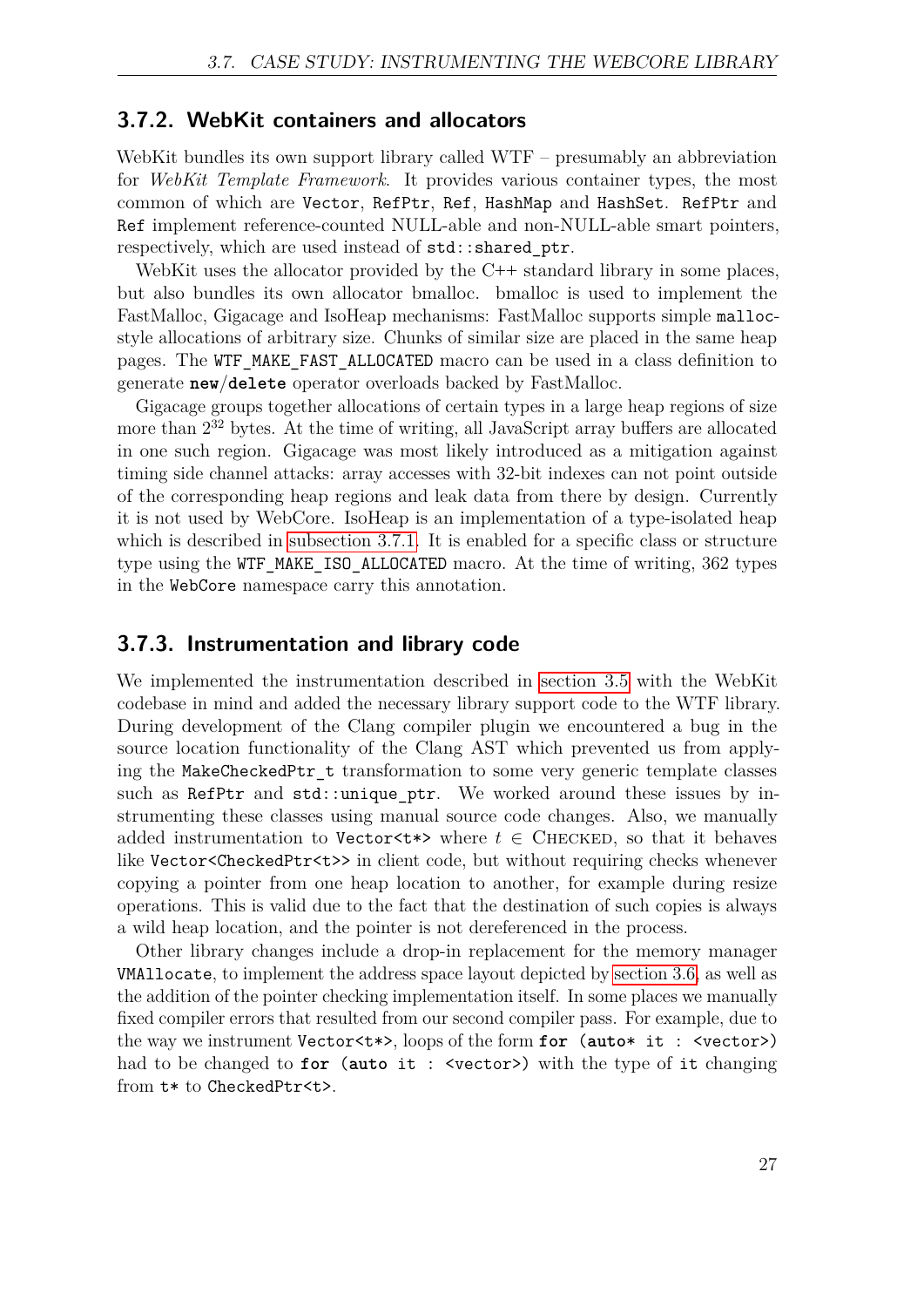#### **3.7.2. WebKit containers and allocators**

WebKit bundles its own support library called WTF – presumably an abbreviation for *WebKit Template Framework*. It provides various container types, the most common of which are Vector, RefPtr, Ref, HashMap and HashSet. RefPtr and Ref implement reference-counted NULL-able and non-NULL-able smart pointers, respectively, which are used instead of  $std::shared$  ptr.

WebKit uses the allocator provided by the C<sup>++</sup> standard library in some places, but also bundles its own allocator bmalloc. bmalloc is used to implement the FastMalloc, Gigacage and IsoHeap mechanisms: FastMalloc supports simple mallocstyle allocations of arbitrary size. Chunks of similar size are placed in the same heap pages. The WTF\_MAKE\_FAST\_ALLOCATED macro can be used in a class definition to generate **new**/**delete** operator overloads backed by FastMalloc.

Gigacage groups together allocations of certain types in a large heap regions of size more than  $2^{32}$  bytes. At the time of writing, all JavaScript array buffers are allocated in one such region. Gigacage was most likely introduced as a mitigation against timing side channel attacks: array accesses with 32-bit indexes can not point outside of the corresponding heap regions and leak data from there by design. Currently it is not used by WebCore. IsoHeap is an implementation of a type-isolated heap which is described in [subsection 3.7.1.](#page-25-0) It is enabled for a specific class or structure type using the WTF\_MAKE\_ISO\_ALLOCATED macro. At the time of writing, 362 types in the WebCore namespace carry this annotation.

#### **3.7.3. Instrumentation and library code**

We implemented the instrumentation described in [section 3.5](#page-18-0) with the WebKit codebase in mind and added the necessary library support code to the WTF library. During development of the Clang compiler plugin we encountered a bug in the source location functionality of the Clang AST which prevented us from applying the MakeCheckedPtr\_t transformation to some very generic template classes such as RefPtr and std::unique ptr. We worked around these issues by instrumenting these classes using manual source code changes. Also, we manually added instrumentation to Vector <t\*> where  $t \in$  CHECKED, so that it behaves like Vector<CheckedPtr<t>> in client code, but without requiring checks whenever copying a pointer from one heap location to another, for example during resize operations. This is valid due to the fact that the destination of such copies is always a wild heap location, and the pointer is not dereferenced in the process.

Other library changes include a drop-in replacement for the memory manager VMAllocate, to implement the address space layout depicted by [section 3.6,](#page-22-0) as well as the addition of the pointer checking implementation itself. In some places we manually fixed compiler errors that resulted from our second compiler pass. For example, due to the way we instrument Vector<t\*>, loops of the form **for** (**auto**\* it : <vector>) had to be changed to **for** (**auto** it : <vector>) with the type of it changing from t\* to CheckedPtr<t>.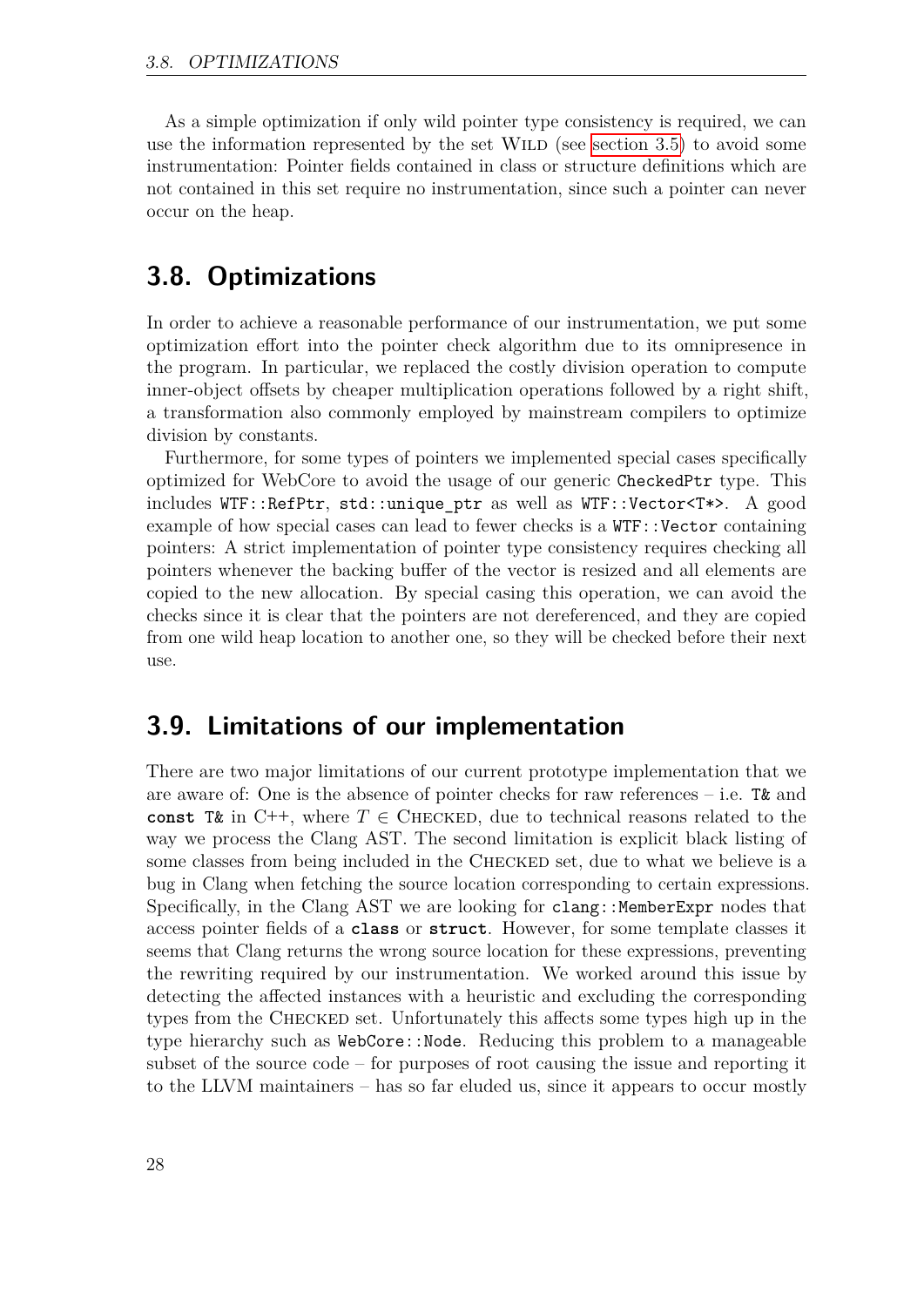As a simple optimization if only wild pointer type consistency is required, we can use the information represented by the set  $WILD$  (see [section 3.5\)](#page-18-0) to avoid some instrumentation: Pointer fields contained in class or structure definitions which are not contained in this set require no instrumentation, since such a pointer can never occur on the heap.

## <span id="page-27-0"></span>**3.8. Optimizations**

In order to achieve a reasonable performance of our instrumentation, we put some optimization effort into the pointer check algorithm due to its omnipresence in the program. In particular, we replaced the costly division operation to compute inner-object offsets by cheaper multiplication operations followed by a right shift, a transformation also commonly employed by mainstream compilers to optimize division by constants.

Furthermore, for some types of pointers we implemented special cases specifically optimized for WebCore to avoid the usage of our generic CheckedPtr type. This includes WTF::RefPtr, std::unique\_ptr as well as WTF::Vector<T\*>. A good example of how special cases can lead to fewer checks is a WTF::Vector containing pointers: A strict implementation of pointer type consistency requires checking all pointers whenever the backing buffer of the vector is resized and all elements are copied to the new allocation. By special casing this operation, we can avoid the checks since it is clear that the pointers are not dereferenced, and they are copied from one wild heap location to another one, so they will be checked before their next use.

## <span id="page-27-1"></span>**3.9. Limitations of our implementation**

There are two major limitations of our current prototype implementation that we are aware of: One is the absence of pointer checks for raw references – i.e. T& and const T& in C++, where  $T \in$  CHECKED, due to technical reasons related to the way we process the Clang AST. The second limitation is explicit black listing of some classes from being included in the CHECKED set, due to what we believe is a bug in Clang when fetching the source location corresponding to certain expressions. Specifically, in the Clang AST we are looking for clang::MemberExpr nodes that access pointer fields of a **class** or **struct**. However, for some template classes it seems that Clang returns the wrong source location for these expressions, preventing the rewriting required by our instrumentation. We worked around this issue by detecting the affected instances with a heuristic and excluding the corresponding types from the Checked set. Unfortunately this affects some types high up in the type hierarchy such as WebCore::Node. Reducing this problem to a manageable subset of the source code – for purposes of root causing the issue and reporting it to the LLVM maintainers – has so far eluded us, since it appears to occur mostly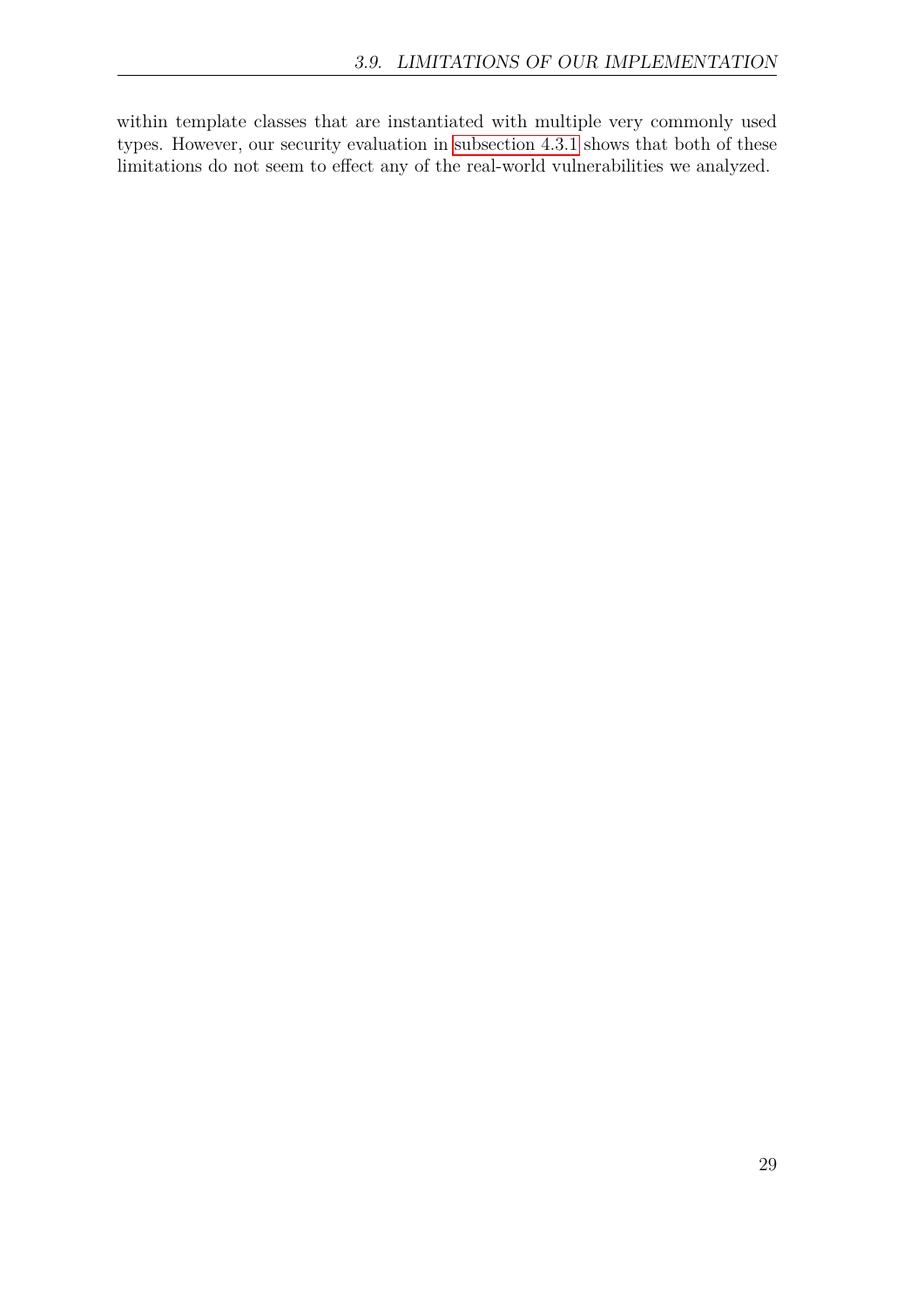within template classes that are instantiated with multiple very commonly used types. However, our security evaluation in [subsection 4.3.1](#page-37-0) shows that both of these limitations do not seem to effect any of the real-world vulnerabilities we analyzed.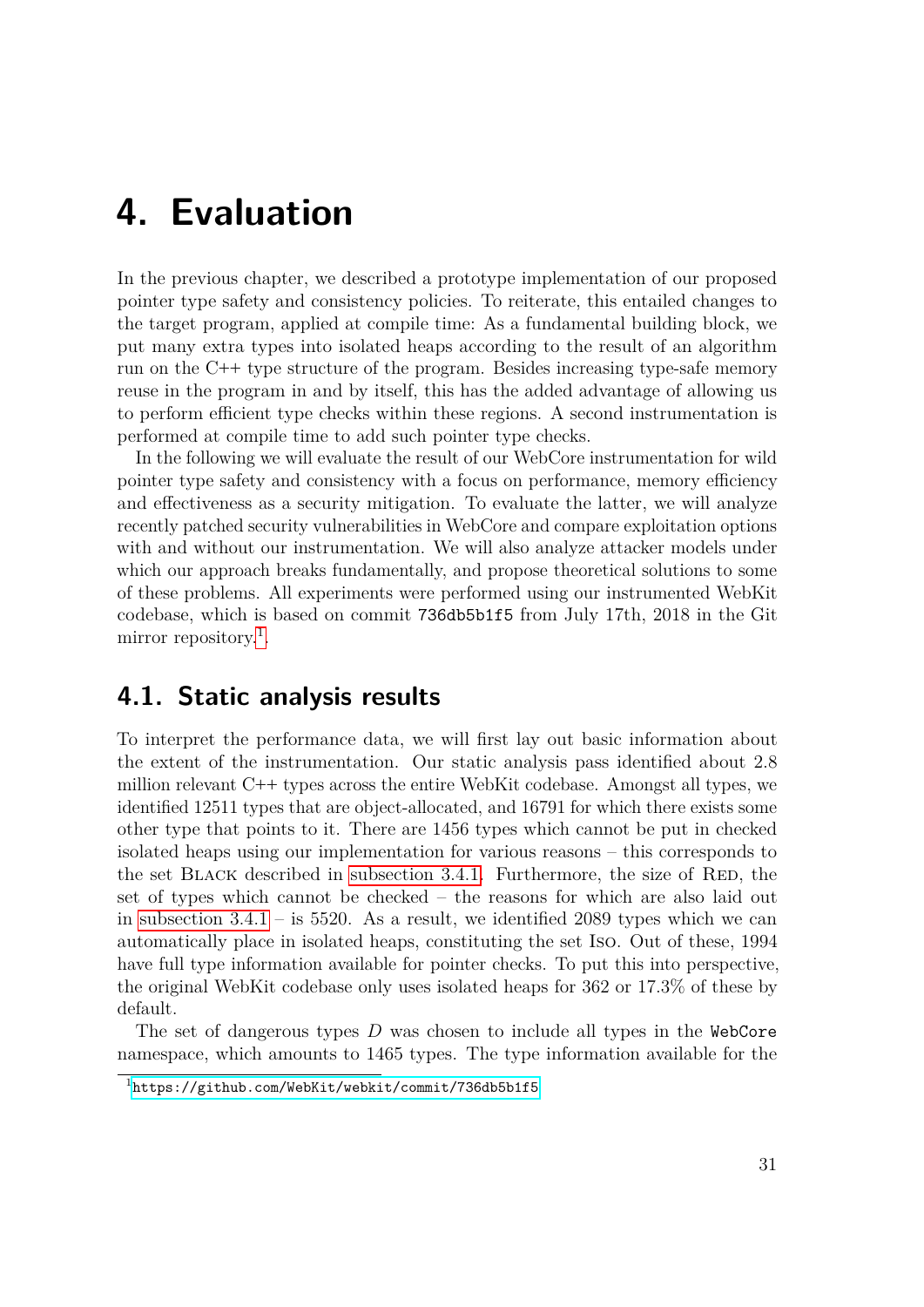## <span id="page-30-0"></span>**4. Evaluation**

In the previous chapter, we described a prototype implementation of our proposed pointer type safety and consistency policies. To reiterate, this entailed changes to the target program, applied at compile time: As a fundamental building block, we put many extra types into isolated heaps according to the result of an algorithm run on the C**++** type structure of the program. Besides increasing type-safe memory reuse in the program in and by itself, this has the added advantage of allowing us to perform efficient type checks within these regions. A second instrumentation is performed at compile time to add such pointer type checks.

In the following we will evaluate the result of our WebCore instrumentation for wild pointer type safety and consistency with a focus on performance, memory efficiency and effectiveness as a security mitigation. To evaluate the latter, we will analyze recently patched security vulnerabilities in WebCore and compare exploitation options with and without our instrumentation. We will also analyze attacker models under which our approach breaks fundamentally, and propose theoretical solutions to some of these problems. All experiments were performed using our instrumented WebKit codebase, which is based on commit 736db5b1f5 from July 17th, 2018 in the Git mirror repository.<sup>[1](#page-30-2)</sup>.

### <span id="page-30-1"></span>**4.1. Static analysis results**

To interpret the performance data, we will first lay out basic information about the extent of the instrumentation. Our static analysis pass identified about 2.8 million relevant C**++** types across the entire WebKit codebase. Amongst all types, we identified 12511 types that are object-allocated, and 16791 for which there exists some other type that points to it. There are 1456 types which cannot be put in checked isolated heaps using our implementation for various reasons – this corresponds to the set BLACK described in subsection  $3.4.1$ . Furthermore, the size of RED, the set of types which cannot be checked – the reasons for which are also laid out in subsection  $3.4.1 -$  is 5520. As a result, we identified 2089 types which we can automatically place in isolated heaps, constituting the set Iso. Out of these, 1994 have full type information available for pointer checks. To put this into perspective, the original WebKit codebase only uses isolated heaps for 362 or 17.3% of these by default.

The set of dangerous types *D* was chosen to include all types in the WebCore namespace, which amounts to 1465 types. The type information available for the

<span id="page-30-2"></span><sup>1</sup><https://github.com/WebKit/webkit/commit/736db5b1f5>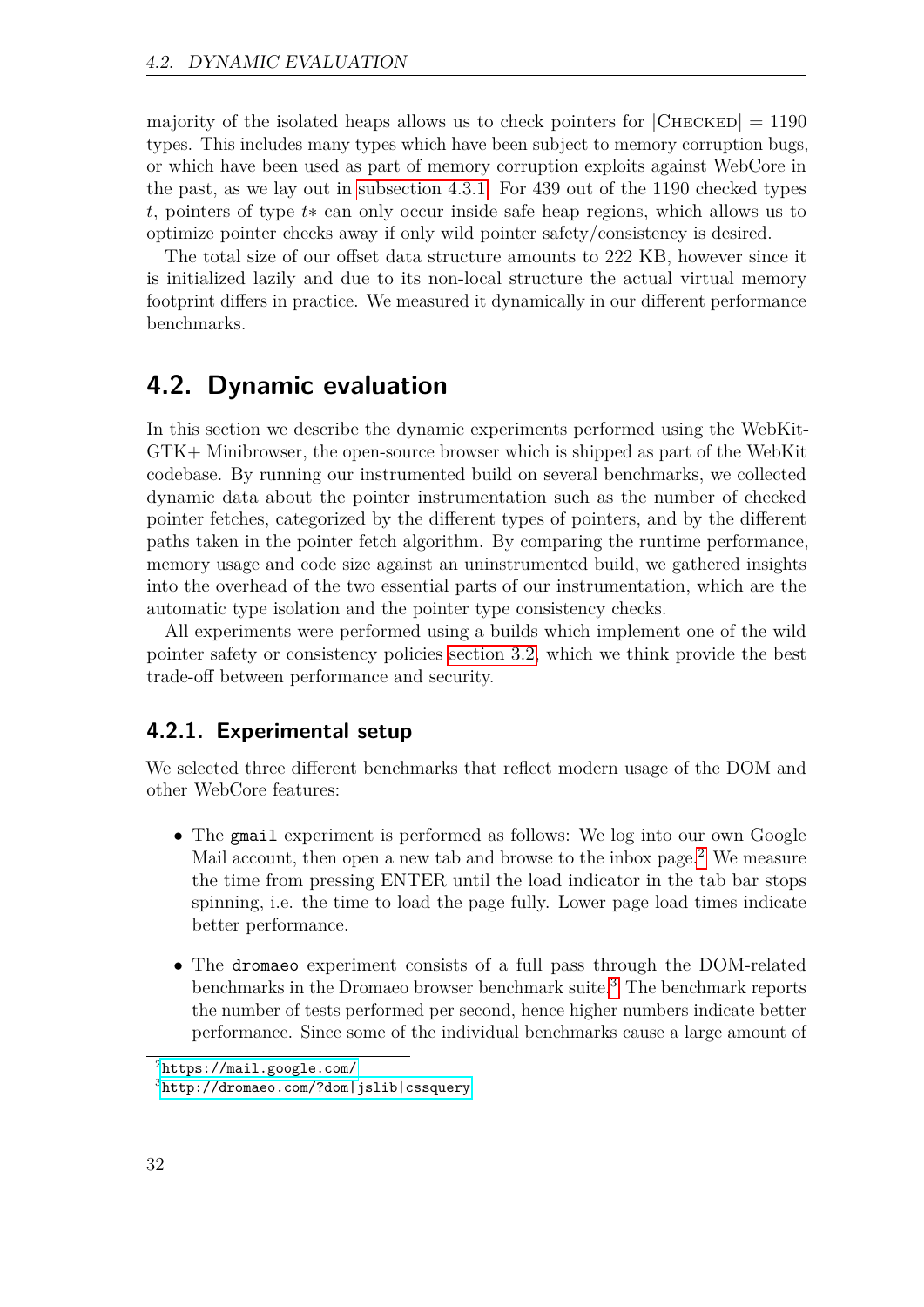majority of the isolated heaps allows us to check pointers for  $|{\rm CHECKED}| = 1190$ types. This includes many types which have been subject to memory corruption bugs, or which have been used as part of memory corruption exploits against WebCore in the past, as we lay out in [subsection 4.3.1.](#page-37-0) For 439 out of the 1190 checked types *t*, pointers of type *t*∗ can only occur inside safe heap regions, which allows us to optimize pointer checks away if only wild pointer safety/consistency is desired.

The total size of our offset data structure amounts to 222 KB, however since it is initialized lazily and due to its non-local structure the actual virtual memory footprint differs in practice. We measured it dynamically in our different performance benchmarks.

## <span id="page-31-0"></span>**4.2. Dynamic evaluation**

In this section we describe the dynamic experiments performed using the WebKit-GTK+ Minibrowser, the open-source browser which is shipped as part of the WebKit codebase. By running our instrumented build on several benchmarks, we collected dynamic data about the pointer instrumentation such as the number of checked pointer fetches, categorized by the different types of pointers, and by the different paths taken in the pointer fetch algorithm. By comparing the runtime performance, memory usage and code size against an uninstrumented build, we gathered insights into the overhead of the two essential parts of our instrumentation, which are the automatic type isolation and the pointer type consistency checks.

All experiments were performed using a builds which implement one of the wild pointer safety or consistency policies [section 3.2,](#page-14-2) which we think provide the best trade-off between performance and security.

### <span id="page-31-3"></span>**4.2.1. Experimental setup**

We selected three different benchmarks that reflect modern usage of the DOM and other WebCore features:

- The gmail experiment is performed as follows: We log into our own Google Mail account, then open a new tab and browse to the inbox page.<sup>[2](#page-31-1)</sup> We measure the time from pressing ENTER until the load indicator in the tab bar stops spinning, i.e. the time to load the page fully. Lower page load times indicate better performance.
- The dromaeo experiment consists of a full pass through the DOM-related benchmarks in the Dromaeo browser benchmark suite.[3](#page-31-2) The benchmark reports the number of tests performed per second, hence higher numbers indicate better performance. Since some of the individual benchmarks cause a large amount of

<span id="page-31-1"></span><sup>2</sup><https://mail.google.com/>

<span id="page-31-2"></span><sup>3</sup><http://dromaeo.com/?dom|jslib|cssquery>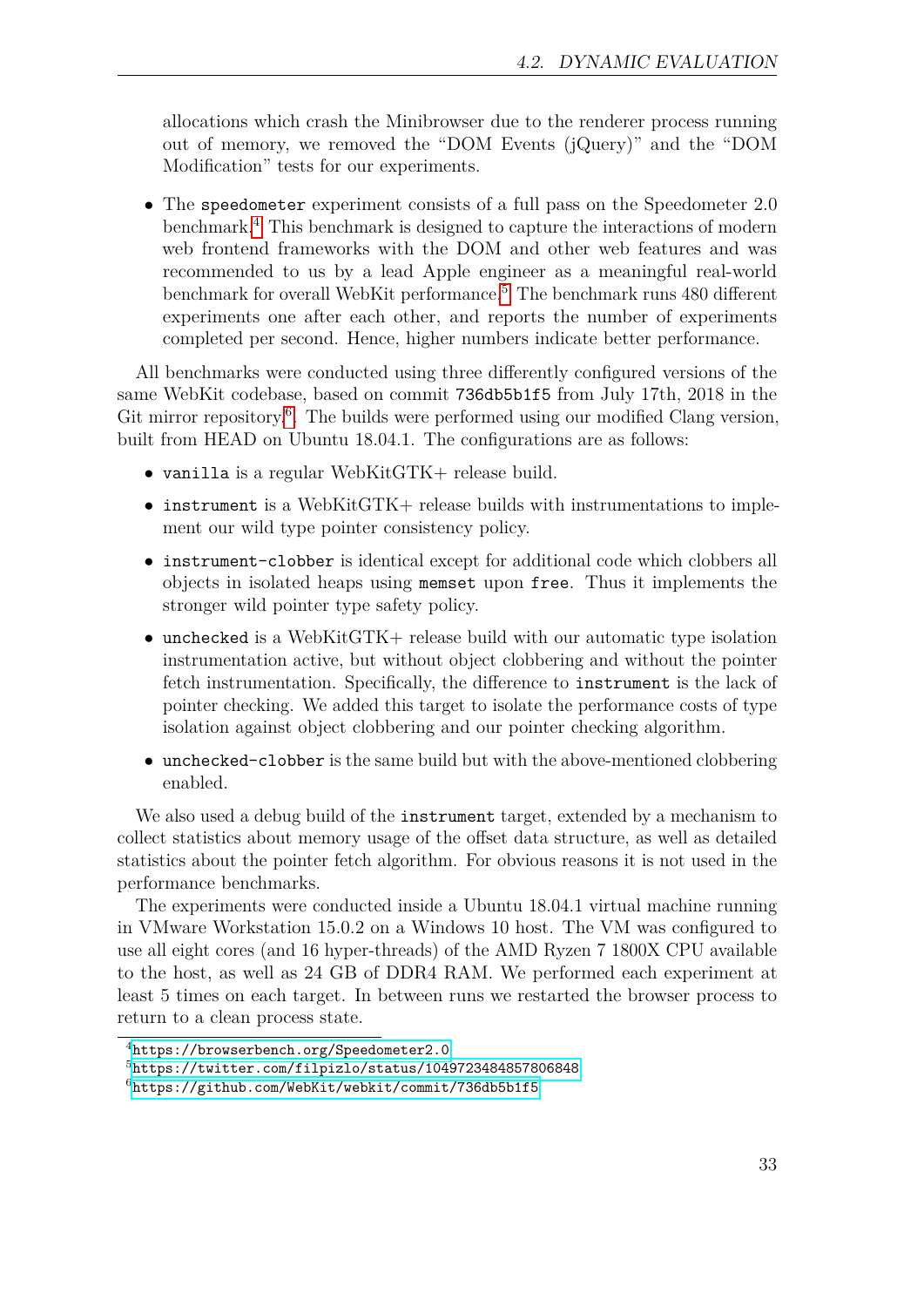allocations which crash the Minibrowser due to the renderer process running out of memory, we removed the "DOM Events (jQuery)" and the "DOM Modification" tests for our experiments.

• The speedometer experiment consists of a full pass on the Speedometer 2.0 benchmark.[4](#page-32-0) This benchmark is designed to capture the interactions of modern web frontend frameworks with the DOM and other web features and was recommended to us by a lead Apple engineer as a meaningful real-world benchmark for overall WebKit performance.<sup>[5](#page-32-1)</sup> The benchmark runs 480 different experiments one after each other, and reports the number of experiments completed per second. Hence, higher numbers indicate better performance.

All benchmarks were conducted using three differently configured versions of the same WebKit codebase, based on commit 736db5b1f5 from July 17th, 2018 in the Git mirror repository.<sup>[6](#page-32-2)</sup>. The builds were performed using our modified Clang version, built from HEAD on Ubuntu 18.04.1. The configurations are as follows:

- vanilla is a regular WebKitGTK+ release build.
- instrument is a WebKitGTK+ release builds with instrumentations to implement our wild type pointer consistency policy.
- instrument-clobber is identical except for additional code which clobbers all objects in isolated heaps using memset upon free. Thus it implements the stronger wild pointer type safety policy.
- unchecked is a WebKitGTK+ release build with our automatic type isolation instrumentation active, but without object clobbering and without the pointer fetch instrumentation. Specifically, the difference to instrument is the lack of pointer checking. We added this target to isolate the performance costs of type isolation against object clobbering and our pointer checking algorithm.
- unchecked-clobber is the same build but with the above-mentioned clobbering enabled.

We also used a debug build of the instrument target, extended by a mechanism to collect statistics about memory usage of the offset data structure, as well as detailed statistics about the pointer fetch algorithm. For obvious reasons it is not used in the performance benchmarks.

The experiments were conducted inside a Ubuntu 18.04.1 virtual machine running in VMware Workstation 15.0.2 on a Windows 10 host. The VM was configured to use all eight cores (and 16 hyper-threads) of the AMD Ryzen 7 1800X CPU available to the host, as well as 24 GB of DDR4 RAM. We performed each experiment at least 5 times on each target. In between runs we restarted the browser process to return to a clean process state.

<span id="page-32-0"></span><sup>4</sup><https://browserbench.org/Speedometer2.0>

<span id="page-32-1"></span><sup>5</sup><https://twitter.com/filpizlo/status/1049723484857806848>

<span id="page-32-2"></span><sup>6</sup><https://github.com/WebKit/webkit/commit/736db5b1f5>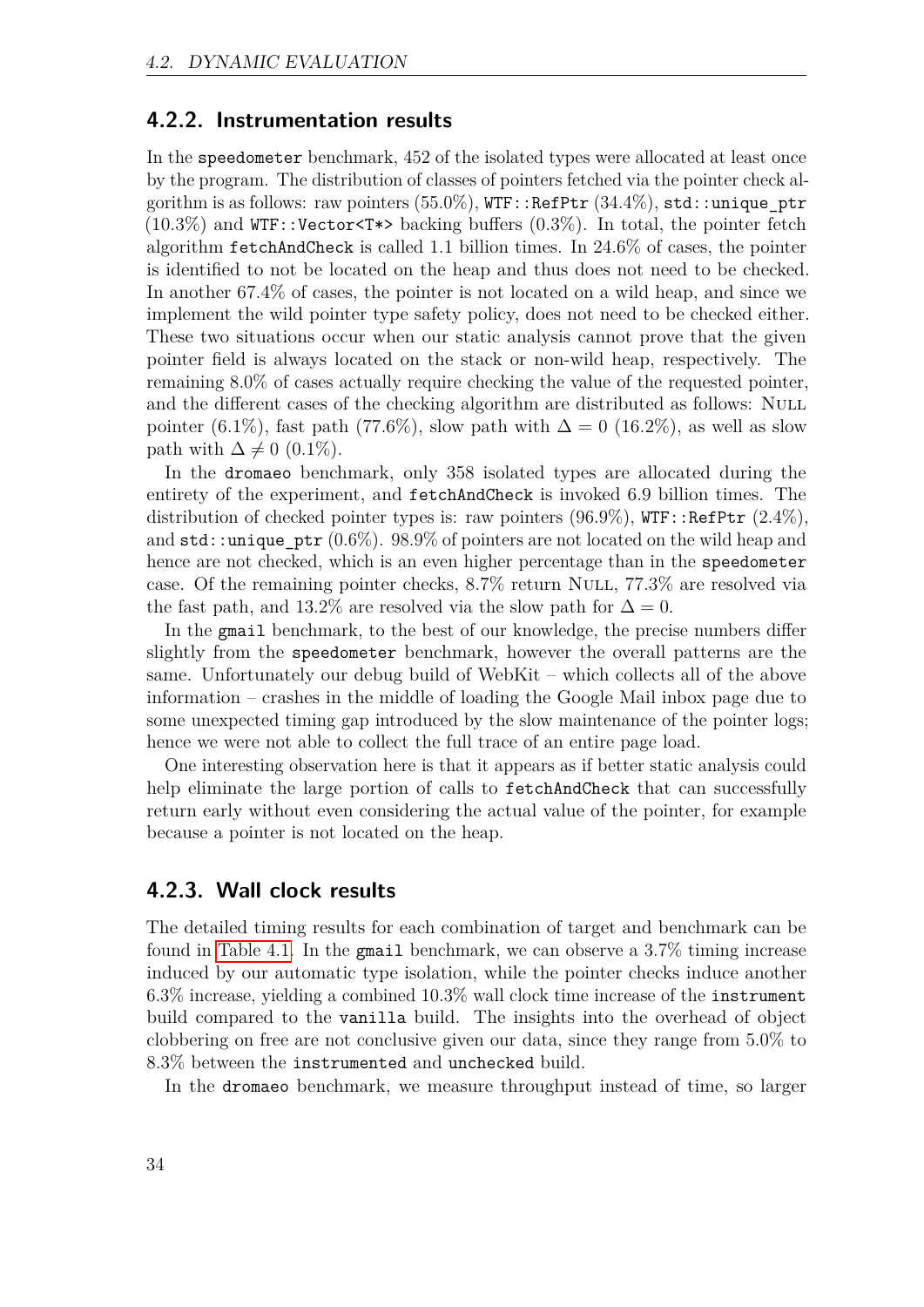#### **4.2.2. Instrumentation results**

In the speedometer benchmark, 452 of the isolated types were allocated at least once by the program. The distribution of classes of pointers fetched via the pointer check algorithm is as follows: raw pointers  $(55.0\%)$ , WTF::RefPtr  $(34.4\%)$ , std::unique ptr  $(10.3\%)$  and WTF::Vector<T\*> backing buffers  $(0.3\%)$ . In total, the pointer fetch algorithm fetchAndCheck is called 1.1 billion times. In 24.6% of cases, the pointer is identified to not be located on the heap and thus does not need to be checked. In another 67.4% of cases, the pointer is not located on a wild heap, and since we implement the wild pointer type safety policy, does not need to be checked either. These two situations occur when our static analysis cannot prove that the given pointer field is always located on the stack or non-wild heap, respectively. The remaining 8.0% of cases actually require checking the value of the requested pointer, and the different cases of the checking algorithm are distributed as follows: NULL pointer (6.1%), fast path (77.6%), slow path with  $\Delta = 0$  (16.2%), as well as slow path with  $\Delta \neq 0$  (0.1%).

In the dromaeo benchmark, only 358 isolated types are allocated during the entirety of the experiment, and fetchAndCheck is invoked 6.9 billion times. The distribution of checked pointer types is: raw pointers  $(96.9\%)$ , WTF::RefPtr  $(2.4\%)$ , and  $\text{std}$ ::unique  $\text{ptr}$  (0.6%). 98.9% of pointers are not located on the wild heap and hence are not checked, which is an even higher percentage than in the speedometer case. Of the remaining pointer checks, 8.7% return Null, 77.3% are resolved via the fast path, and 13.2% are resolved via the slow path for  $\Delta = 0$ .

In the gmail benchmark, to the best of our knowledge, the precise numbers differ slightly from the speedometer benchmark, however the overall patterns are the same. Unfortunately our debug build of WebKit – which collects all of the above information – crashes in the middle of loading the Google Mail inbox page due to some unexpected timing gap introduced by the slow maintenance of the pointer logs; hence we were not able to collect the full trace of an entire page load.

One interesting observation here is that it appears as if better static analysis could help eliminate the large portion of calls to fetchAndCheck that can successfully return early without even considering the actual value of the pointer, for example because a pointer is not located on the heap.

#### <span id="page-33-0"></span>**4.2.3. Wall clock results**

The detailed timing results for each combination of target and benchmark can be found in [Table 4.1.](#page-35-0) In the gmail benchmark, we can observe a 3.7% timing increase induced by our automatic type isolation, while the pointer checks induce another 6.3% increase, yielding a combined 10.3% wall clock time increase of the instrument build compared to the vanilla build. The insights into the overhead of object clobbering on free are not conclusive given our data, since they range from 5.0% to 8.3% between the instrumented and unchecked build.

In the dromaeo benchmark, we measure throughput instead of time, so larger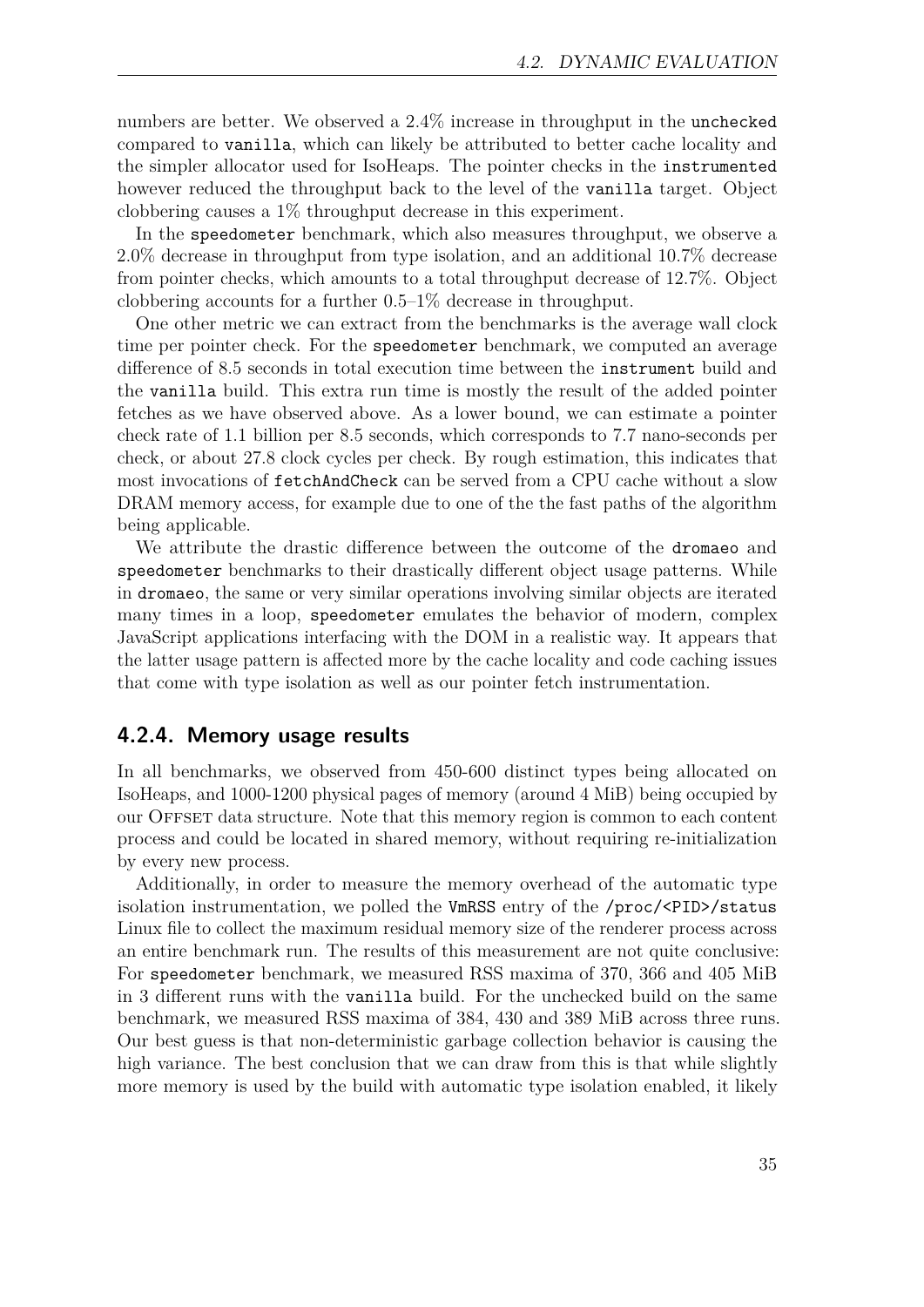numbers are better. We observed a 2.4% increase in throughput in the unchecked compared to vanilla, which can likely be attributed to better cache locality and the simpler allocator used for IsoHeaps. The pointer checks in the instrumented however reduced the throughput back to the level of the vanilla target. Object clobbering causes a 1% throughput decrease in this experiment.

In the speedometer benchmark, which also measures throughput, we observe a 2.0% decrease in throughput from type isolation, and an additional 10.7% decrease from pointer checks, which amounts to a total throughput decrease of 12.7%. Object clobbering accounts for a further 0.5–1% decrease in throughput.

One other metric we can extract from the benchmarks is the average wall clock time per pointer check. For the speedometer benchmark, we computed an average difference of 8.5 seconds in total execution time between the instrument build and the vanilla build. This extra run time is mostly the result of the added pointer fetches as we have observed above. As a lower bound, we can estimate a pointer check rate of 1.1 billion per 8.5 seconds, which corresponds to 7.7 nano-seconds per check, or about 27.8 clock cycles per check. By rough estimation, this indicates that most invocations of fetchAndCheck can be served from a CPU cache without a slow DRAM memory access, for example due to one of the the fast paths of the algorithm being applicable.

We attribute the drastic difference between the outcome of the dromaeo and speedometer benchmarks to their drastically different object usage patterns. While in dromaeo, the same or very similar operations involving similar objects are iterated many times in a loop, speedometer emulates the behavior of modern, complex JavaScript applications interfacing with the DOM in a realistic way. It appears that the latter usage pattern is affected more by the cache locality and code caching issues that come with type isolation as well as our pointer fetch instrumentation.

#### <span id="page-34-0"></span>**4.2.4. Memory usage results**

In all benchmarks, we observed from 450-600 distinct types being allocated on IsoHeaps, and 1000-1200 physical pages of memory (around 4 MiB) being occupied by our OFFSET data structure. Note that this memory region is common to each content process and could be located in shared memory, without requiring re-initialization by every new process.

Additionally, in order to measure the memory overhead of the automatic type isolation instrumentation, we polled the VmRSS entry of the /proc/<PID>/status Linux file to collect the maximum residual memory size of the renderer process across an entire benchmark run. The results of this measurement are not quite conclusive: For speedometer benchmark, we measured RSS maxima of 370, 366 and 405 MiB in 3 different runs with the vanilla build. For the unchecked build on the same benchmark, we measured RSS maxima of 384, 430 and 389 MiB across three runs. Our best guess is that non-deterministic garbage collection behavior is causing the high variance. The best conclusion that we can draw from this is that while slightly more memory is used by the build with automatic type isolation enabled, it likely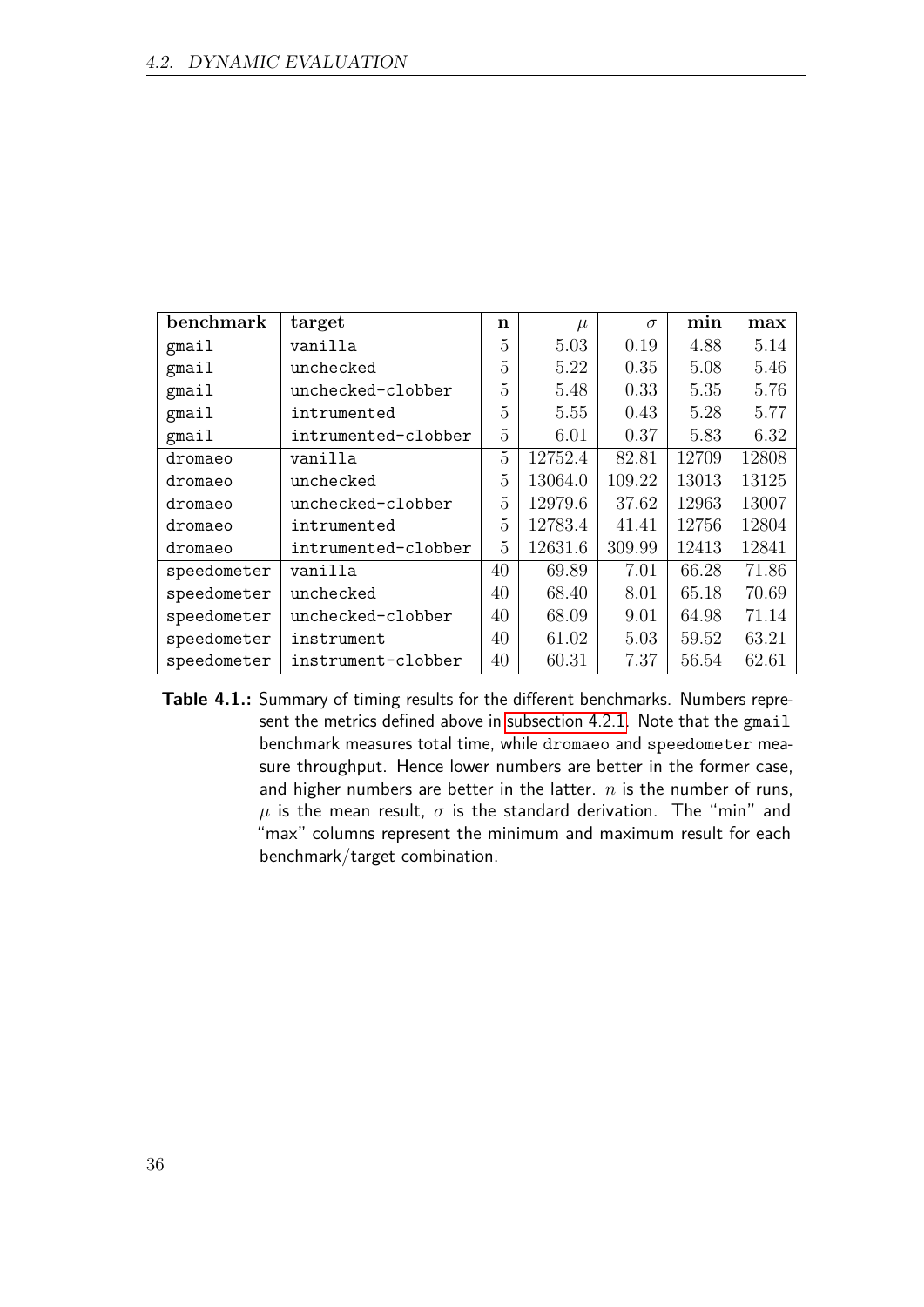| benchmark   | target              | n  | $\mu$   | $\sigma$ | min   | max   |
|-------------|---------------------|----|---------|----------|-------|-------|
| gmail       | vanilla             | 5  | 5.03    | 0.19     | 4.88  | 5.14  |
| gmail       | unchecked           | 5  | 5.22    | 0.35     | 5.08  | 5.46  |
| gmail       | unchecked-clobber   | 5  | 5.48    | 0.33     | 5.35  | 5.76  |
| gmail       | intrumented         | 5  | 5.55    | 0.43     | 5.28  | 5.77  |
| gmail       | intrumented-clobber | 5  | 6.01    | 0.37     | 5.83  | 6.32  |
| dromaeo     | vanilla             | 5  | 12752.4 | 82.81    | 12709 | 12808 |
| dromaeo     | unchecked           | 5  | 13064.0 | 109.22   | 13013 | 13125 |
| dromaeo     | unchecked-clobber   | 5  | 12979.6 | 37.62    | 12963 | 13007 |
| dromaeo     | intrumented         | 5  | 12783.4 | 41.41    | 12756 | 12804 |
| dromaeo     | intrumented-clobber | 5  | 12631.6 | 309.99   | 12413 | 12841 |
| speedometer | vanilla             | 40 | 69.89   | 7.01     | 66.28 | 71.86 |
| speedometer | unchecked           | 40 | 68.40   | 8.01     | 65.18 | 70.69 |
| speedometer | unchecked-clobber   | 40 | 68.09   | 9.01     | 64.98 | 71.14 |
| speedometer | instrument          | 40 | 61.02   | 5.03     | 59.52 | 63.21 |
| speedometer | instrument-clobber  | 40 | 60.31   | 7.37     | 56.54 | 62.61 |

<span id="page-35-0"></span>**Table 4.1.:** Summary of timing results for the different benchmarks. Numbers represent the metrics defined above in [subsection 4.2.1.](#page-31-3) Note that the gmail benchmark measures total time, while dromaeo and speedometer measure throughput. Hence lower numbers are better in the former case, and higher numbers are better in the latter. *n* is the number of runs,  $\mu$  is the mean result,  $\sigma$  is the standard derivation. The "min" and "max" columns represent the minimum and maximum result for each benchmark/target combination.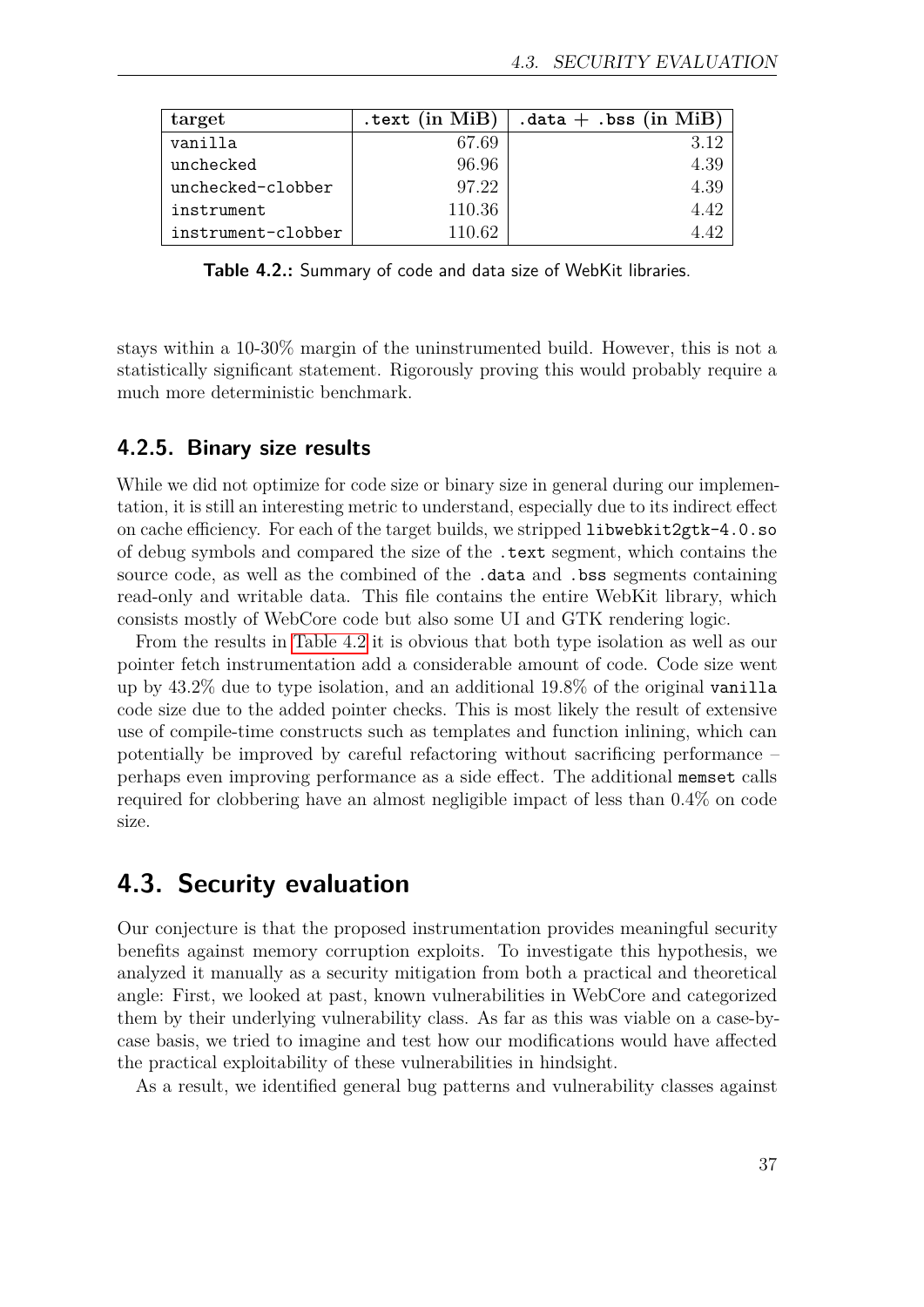| target             | .text $(in$ $MiB)$ | $\cdot$ data $+$ $\cdot$ bss (in MiB) $ $ |
|--------------------|--------------------|-------------------------------------------|
| vanilla            | 67.69              |                                           |
| unchecked          | 96.96              | 4.39                                      |
| unchecked-clobber  | 97.22              | 4.39                                      |
| instrument         | 110.36             | 442                                       |
| instrument-clobber | 110 62             |                                           |

<span id="page-36-1"></span>**Table 4.2.:** Summary of code and data size of WebKit libraries.

stays within a 10-30% margin of the uninstrumented build. However, this is not a statistically significant statement. Rigorously proving this would probably require a much more deterministic benchmark.

#### **4.2.5. Binary size results**

While we did not optimize for code size or binary size in general during our implementation, it is still an interesting metric to understand, especially due to its indirect effect on cache efficiency. For each of the target builds, we stripped libwebkit2gtk-4.0.so of debug symbols and compared the size of the .text segment, which contains the source code, as well as the combined of the .data and .bss segments containing read-only and writable data. This file contains the entire WebKit library, which consists mostly of WebCore code but also some UI and GTK rendering logic.

From the results in [Table 4.2](#page-36-1) it is obvious that both type isolation as well as our pointer fetch instrumentation add a considerable amount of code. Code size went up by 43.2% due to type isolation, and an additional 19.8% of the original vanilla code size due to the added pointer checks. This is most likely the result of extensive use of compile-time constructs such as templates and function inlining, which can potentially be improved by careful refactoring without sacrificing performance – perhaps even improving performance as a side effect. The additional memset calls required for clobbering have an almost negligible impact of less than 0.4% on code size.

### <span id="page-36-0"></span>**4.3. Security evaluation**

Our conjecture is that the proposed instrumentation provides meaningful security benefits against memory corruption exploits. To investigate this hypothesis, we analyzed it manually as a security mitigation from both a practical and theoretical angle: First, we looked at past, known vulnerabilities in WebCore and categorized them by their underlying vulnerability class. As far as this was viable on a case-bycase basis, we tried to imagine and test how our modifications would have affected the practical exploitability of these vulnerabilities in hindsight.

As a result, we identified general bug patterns and vulnerability classes against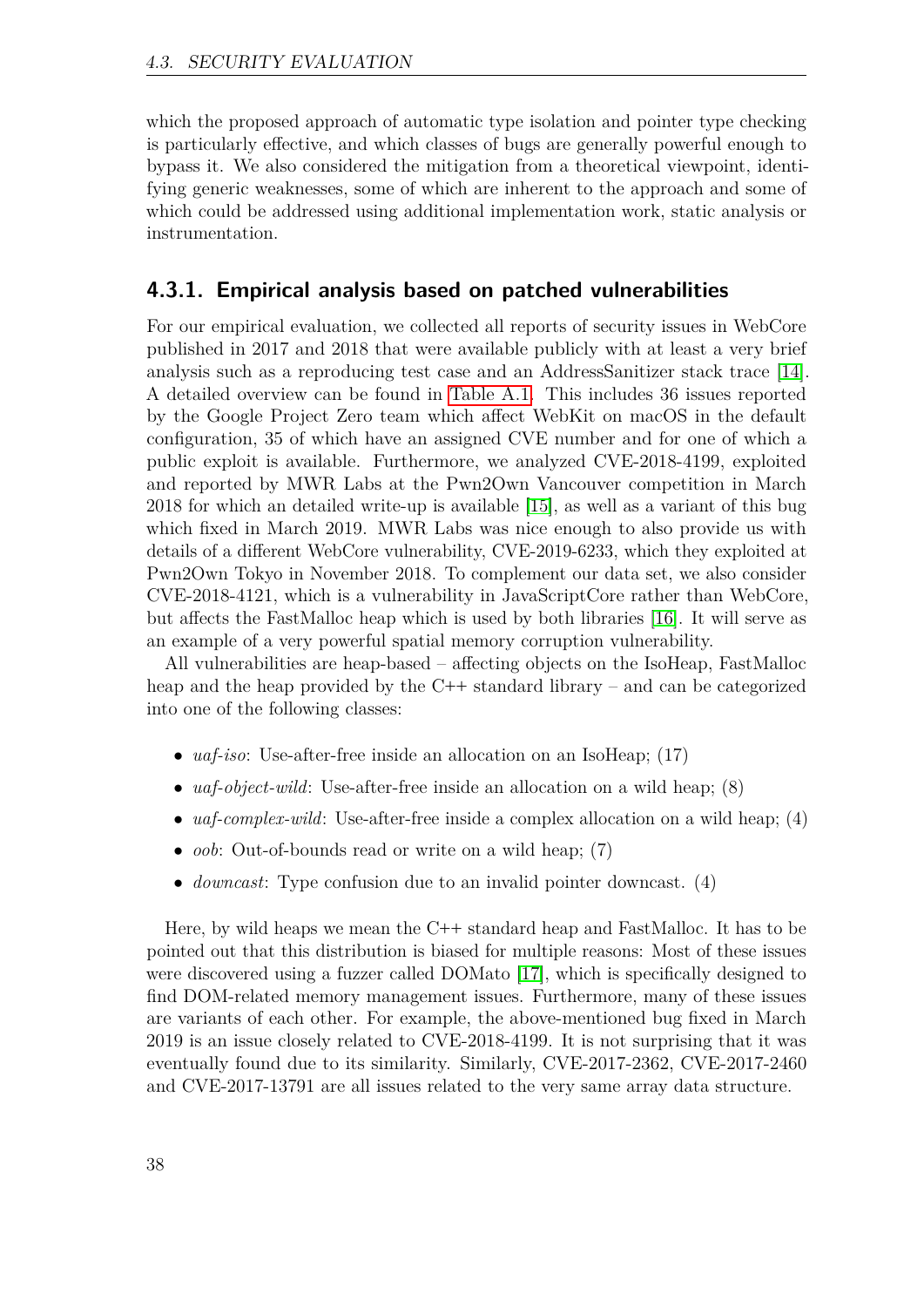which the proposed approach of automatic type isolation and pointer type checking is particularly effective, and which classes of bugs are generally powerful enough to bypass it. We also considered the mitigation from a theoretical viewpoint, identifying generic weaknesses, some of which are inherent to the approach and some of which could be addressed using additional implementation work, static analysis or instrumentation.

#### <span id="page-37-0"></span>**4.3.1. Empirical analysis based on patched vulnerabilities**

For our empirical evaluation, we collected all reports of security issues in WebCore published in 2017 and 2018 that were available publicly with at least a very brief analysis such as a reproducing test case and an AddressSanitizer stack trace [\[14\]](#page-49-4). A detailed overview can be found in [Table A.1.](#page-53-0) This includes 36 issues reported by the Google Project Zero team which affect WebKit on macOS in the default configuration, 35 of which have an assigned CVE number and for one of which a public exploit is available. Furthermore, we analyzed CVE-2018-4199, exploited and reported by MWR Labs at the Pwn2Own Vancouver competition in March 2018 for which an detailed write-up is available [\[15\]](#page-49-5), as well as a variant of this bug which fixed in March 2019. MWR Labs was nice enough to also provide us with details of a different WebCore vulnerability, CVE-2019-6233, which they exploited at Pwn2Own Tokyo in November 2018. To complement our data set, we also consider CVE-2018-4121, which is a vulnerability in JavaScriptCore rather than WebCore, but affects the FastMalloc heap which is used by both libraries [\[16\]](#page-49-6). It will serve as an example of a very powerful spatial memory corruption vulnerability.

All vulnerabilities are heap-based – affecting objects on the IsoHeap, FastMalloc heap and the heap provided by the C<sup>++</sup> standard library – and can be categorized into one of the following classes:

- *uaf-iso*: Use-after-free inside an allocation on an IsoHeap; (17)
- *uaf-object-wild*: Use-after-free inside an allocation on a wild heap; (8)
- *uaf-complex-wild*: Use-after-free inside a complex allocation on a wild heap; (4)
- *oob*: Out-of-bounds read or write on a wild heap; (7)
- *downcast*: Type confusion due to an invalid pointer downcast. (4)

Here, by wild heaps we mean the C**++** standard heap and FastMalloc. It has to be pointed out that this distribution is biased for multiple reasons: Most of these issues were discovered using a fuzzer called DOMato [\[17\]](#page-49-7), which is specifically designed to find DOM-related memory management issues. Furthermore, many of these issues are variants of each other. For example, the above-mentioned bug fixed in March 2019 is an issue closely related to CVE-2018-4199. It is not surprising that it was eventually found due to its similarity. Similarly, CVE-2017-2362, CVE-2017-2460 and CVE-2017-13791 are all issues related to the very same array data structure.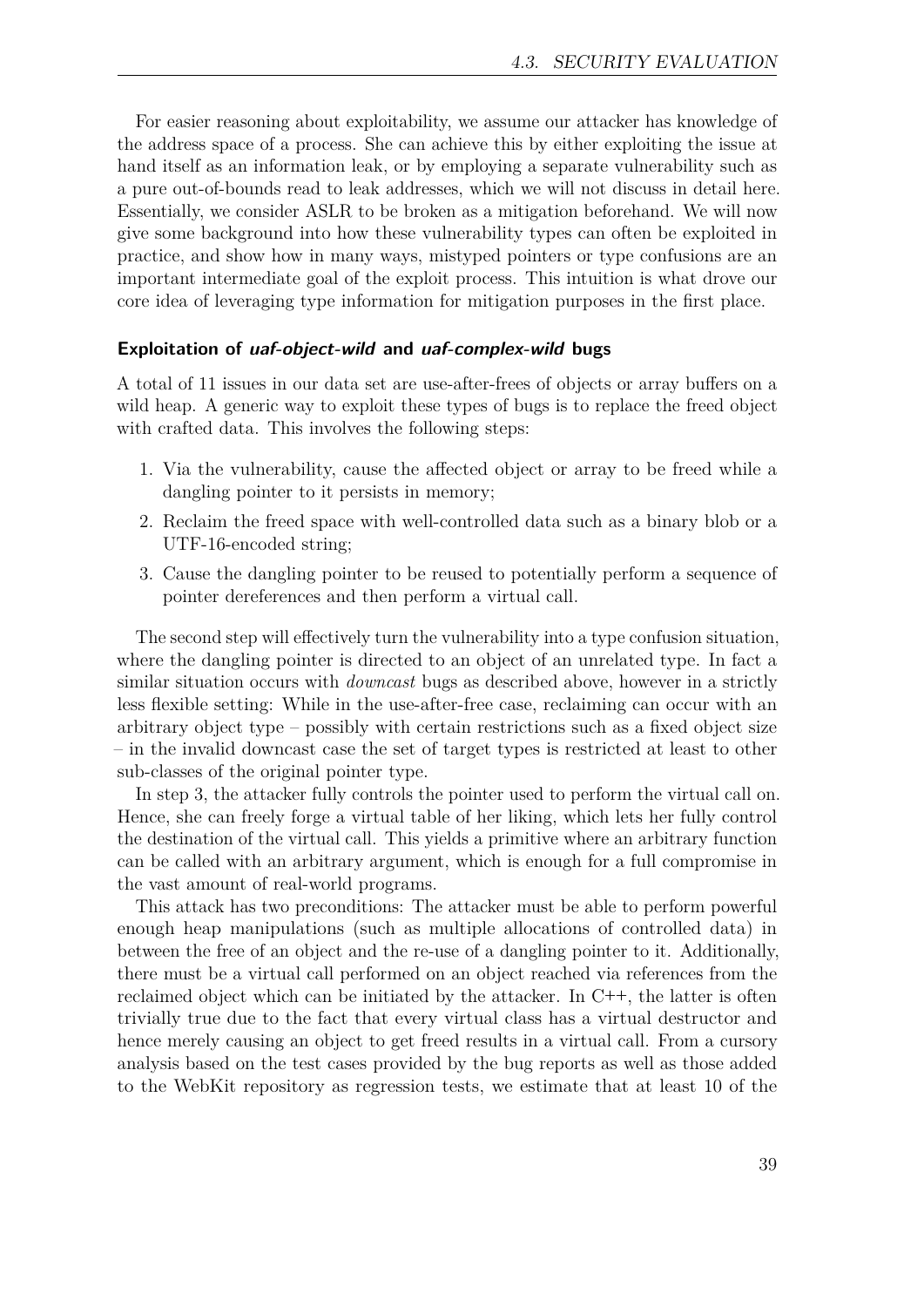For easier reasoning about exploitability, we assume our attacker has knowledge of the address space of a process. She can achieve this by either exploiting the issue at hand itself as an information leak, or by employing a separate vulnerability such as a pure out-of-bounds read to leak addresses, which we will not discuss in detail here. Essentially, we consider ASLR to be broken as a mitigation beforehand. We will now give some background into how these vulnerability types can often be exploited in practice, and show how in many ways, mistyped pointers or type confusions are an important intermediate goal of the exploit process. This intuition is what drove our core idea of leveraging type information for mitigation purposes in the first place.

#### <span id="page-38-0"></span>**Exploitation of uaf-object-wild and uaf-complex-wild bugs**

A total of 11 issues in our data set are use-after-frees of objects or array buffers on a wild heap. A generic way to exploit these types of bugs is to replace the freed object with crafted data. This involves the following steps:

- 1. Via the vulnerability, cause the affected object or array to be freed while a dangling pointer to it persists in memory;
- 2. Reclaim the freed space with well-controlled data such as a binary blob or a UTF-16-encoded string;
- 3. Cause the dangling pointer to be reused to potentially perform a sequence of pointer dereferences and then perform a virtual call.

The second step will effectively turn the vulnerability into a type confusion situation, where the dangling pointer is directed to an object of an unrelated type. In fact a similar situation occurs with *downcast* bugs as described above, however in a strictly less flexible setting: While in the use-after-free case, reclaiming can occur with an arbitrary object type – possibly with certain restrictions such as a fixed object size – in the invalid downcast case the set of target types is restricted at least to other sub-classes of the original pointer type.

In step 3, the attacker fully controls the pointer used to perform the virtual call on. Hence, she can freely forge a virtual table of her liking, which lets her fully control the destination of the virtual call. This yields a primitive where an arbitrary function can be called with an arbitrary argument, which is enough for a full compromise in the vast amount of real-world programs.

This attack has two preconditions: The attacker must be able to perform powerful enough heap manipulations (such as multiple allocations of controlled data) in between the free of an object and the re-use of a dangling pointer to it. Additionally, there must be a virtual call performed on an object reached via references from the reclaimed object which can be initiated by the attacker. In C**++**, the latter is often trivially true due to the fact that every virtual class has a virtual destructor and hence merely causing an object to get freed results in a virtual call. From a cursory analysis based on the test cases provided by the bug reports as well as those added to the WebKit repository as regression tests, we estimate that at least 10 of the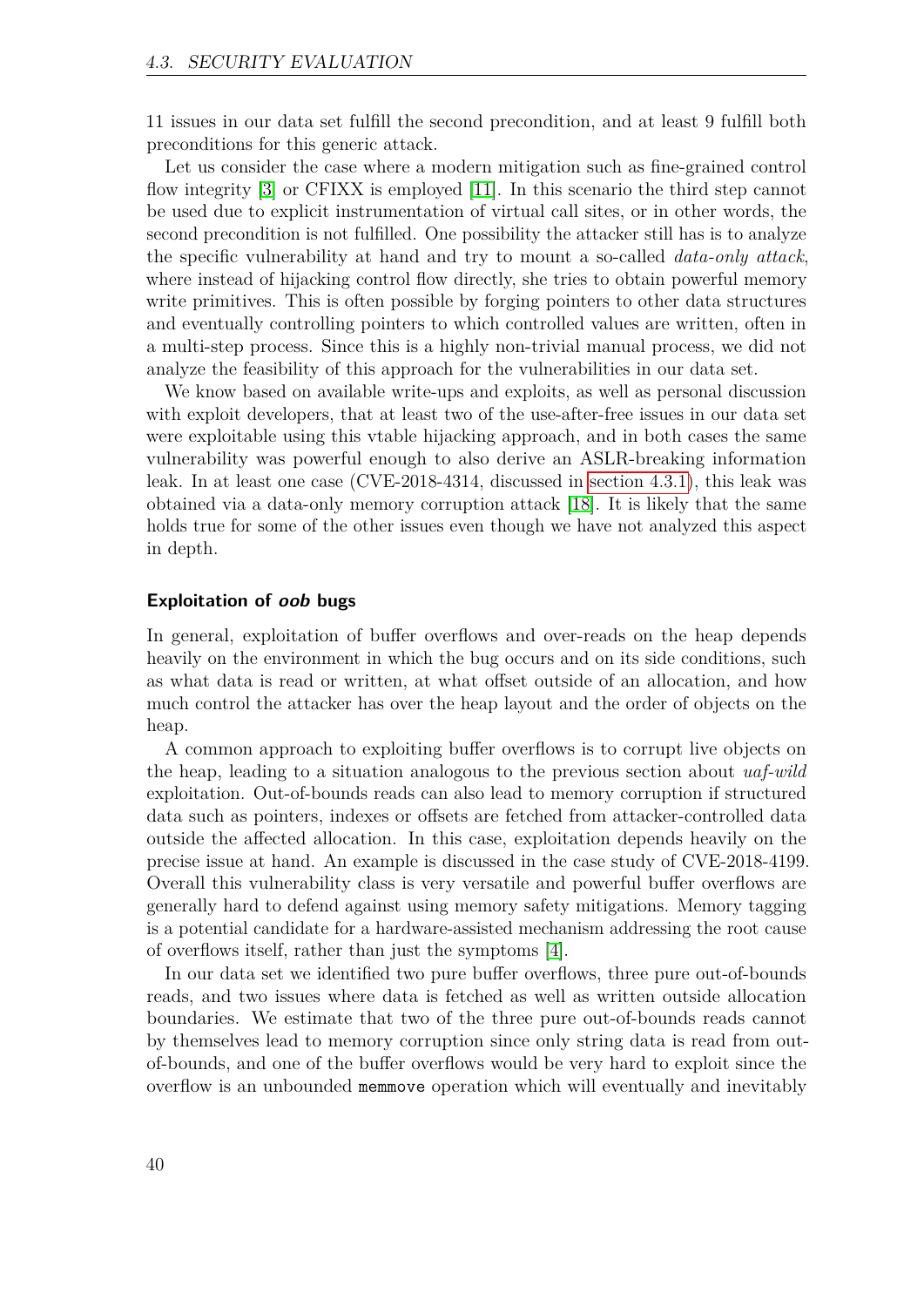11 issues in our data set fulfill the second precondition, and at least 9 fulfill both preconditions for this generic attack.

Let us consider the case where a modern mitigation such as fine-grained control flow integrity [\[3\]](#page-48-2) or CFIXX is employed [\[11\]](#page-49-1). In this scenario the third step cannot be used due to explicit instrumentation of virtual call sites, or in other words, the second precondition is not fulfilled. One possibility the attacker still has is to analyze the specific vulnerability at hand and try to mount a so-called *data-only attack*, where instead of hijacking control flow directly, she tries to obtain powerful memory write primitives. This is often possible by forging pointers to other data structures and eventually controlling pointers to which controlled values are written, often in a multi-step process. Since this is a highly non-trivial manual process, we did not analyze the feasibility of this approach for the vulnerabilities in our data set.

We know based on available write-ups and exploits, as well as personal discussion with exploit developers, that at least two of the use-after-free issues in our data set were exploitable using this vtable hijacking approach, and in both cases the same vulnerability was powerful enough to also derive an ASLR-breaking information leak. In at least one case (CVE-2018-4314, discussed in [section 4.3.1\)](#page-44-1), this leak was obtained via a data-only memory corruption attack [\[18\]](#page-49-8). It is likely that the same holds true for some of the other issues even though we have not analyzed this aspect in depth.

#### **Exploitation of oob bugs**

In general, exploitation of buffer overflows and over-reads on the heap depends heavily on the environment in which the bug occurs and on its side conditions, such as what data is read or written, at what offset outside of an allocation, and how much control the attacker has over the heap layout and the order of objects on the heap.

A common approach to exploiting buffer overflows is to corrupt live objects on the heap, leading to a situation analogous to the previous section about *uaf-wild* exploitation. Out-of-bounds reads can also lead to memory corruption if structured data such as pointers, indexes or offsets are fetched from attacker-controlled data outside the affected allocation. In this case, exploitation depends heavily on the precise issue at hand. An example is discussed in the case study of CVE-2018-4199. Overall this vulnerability class is very versatile and powerful buffer overflows are generally hard to defend against using memory safety mitigations. Memory tagging is a potential candidate for a hardware-assisted mechanism addressing the root cause of overflows itself, rather than just the symptoms [\[4\]](#page-48-3).

In our data set we identified two pure buffer overflows, three pure out-of-bounds reads, and two issues where data is fetched as well as written outside allocation boundaries. We estimate that two of the three pure out-of-bounds reads cannot by themselves lead to memory corruption since only string data is read from outof-bounds, and one of the buffer overflows would be very hard to exploit since the overflow is an unbounded memmove operation which will eventually and inevitably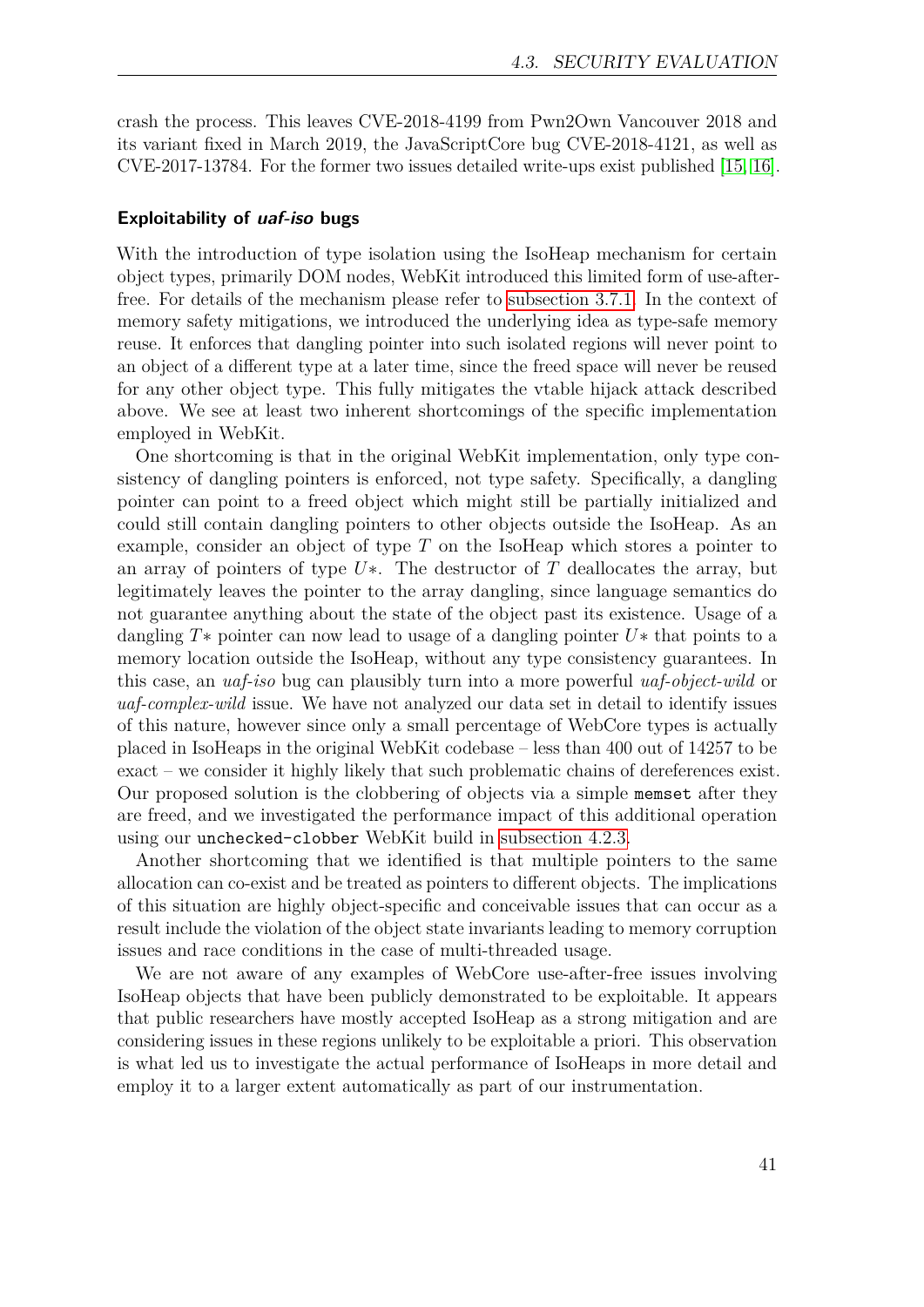crash the process. This leaves CVE-2018-4199 from Pwn2Own Vancouver 2018 and its variant fixed in March 2019, the JavaScriptCore bug CVE-2018-4121, as well as CVE-2017-13784. For the former two issues detailed write-ups exist published [\[15,](#page-49-5) [16\]](#page-49-6).

#### **Exploitability of uaf-iso bugs**

With the introduction of type isolation using the IsoHeap mechanism for certain object types, primarily DOM nodes, WebKit introduced this limited form of use-afterfree. For details of the mechanism please refer to [subsection 3.7.1.](#page-25-0) In the context of memory safety mitigations, we introduced the underlying idea as type-safe memory reuse. It enforces that dangling pointer into such isolated regions will never point to an object of a different type at a later time, since the freed space will never be reused for any other object type. This fully mitigates the vtable hijack attack described above. We see at least two inherent shortcomings of the specific implementation employed in WebKit.

One shortcoming is that in the original WebKit implementation, only type consistency of dangling pointers is enforced, not type safety. Specifically, a dangling pointer can point to a freed object which might still be partially initialized and could still contain dangling pointers to other objects outside the IsoHeap. As an example, consider an object of type *T* on the IsoHeap which stores a pointer to an array of pointers of type  $U^*$ . The destructor of *T* deallocates the array, but legitimately leaves the pointer to the array dangling, since language semantics do not guarantee anything about the state of the object past its existence. Usage of a dangling *T*∗ pointer can now lead to usage of a dangling pointer *U*∗ that points to a memory location outside the IsoHeap, without any type consistency guarantees. In this case, an *uaf-iso* bug can plausibly turn into a more powerful *uaf-object-wild* or *uaf-complex-wild* issue. We have not analyzed our data set in detail to identify issues of this nature, however since only a small percentage of WebCore types is actually placed in IsoHeaps in the original WebKit codebase – less than 400 out of 14257 to be exact – we consider it highly likely that such problematic chains of dereferences exist. Our proposed solution is the clobbering of objects via a simple memset after they are freed, and we investigated the performance impact of this additional operation using our unchecked-clobber WebKit build in [subsection 4.2.3.](#page-33-0)

Another shortcoming that we identified is that multiple pointers to the same allocation can co-exist and be treated as pointers to different objects. The implications of this situation are highly object-specific and conceivable issues that can occur as a result include the violation of the object state invariants leading to memory corruption issues and race conditions in the case of multi-threaded usage.

We are not aware of any examples of WebCore use-after-free issues involving IsoHeap objects that have been publicly demonstrated to be exploitable. It appears that public researchers have mostly accepted IsoHeap as a strong mitigation and are considering issues in these regions unlikely to be exploitable a priori. This observation is what led us to investigate the actual performance of IsoHeaps in more detail and employ it to a larger extent automatically as part of our instrumentation.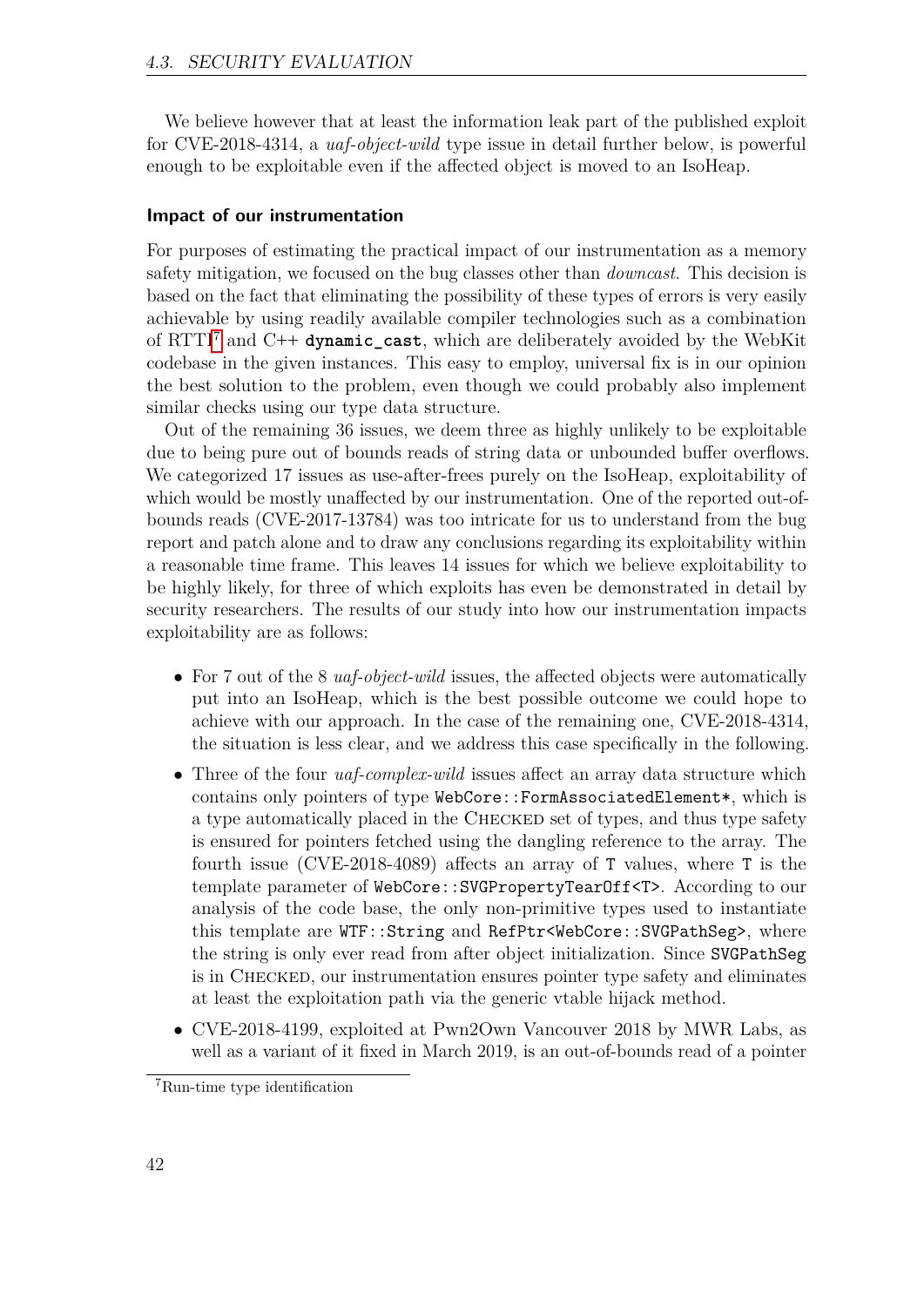We believe however that at least the information leak part of the published exploit for CVE-2018-4314, a *uaf-object-wild* type issue in detail further below, is powerful enough to be exploitable even if the affected object is moved to an IsoHeap.

#### <span id="page-41-1"></span>**Impact of our instrumentation**

For purposes of estimating the practical impact of our instrumentation as a memory safety mitigation, we focused on the bug classes other than *downcast*. This decision is based on the fact that eliminating the possibility of these types of errors is very easily achievable by using readily available compiler technologies such as a combination of RTTI[7](#page-41-0) and C**++ dynamic\_cast**, which are deliberately avoided by the WebKit codebase in the given instances. This easy to employ, universal fix is in our opinion the best solution to the problem, even though we could probably also implement similar checks using our type data structure.

Out of the remaining 36 issues, we deem three as highly unlikely to be exploitable due to being pure out of bounds reads of string data or unbounded buffer overflows. We categorized 17 issues as use-after-frees purely on the IsoHeap, exploitability of which would be mostly unaffected by our instrumentation. One of the reported out-ofbounds reads (CVE-2017-13784) was too intricate for us to understand from the bug report and patch alone and to draw any conclusions regarding its exploitability within a reasonable time frame. This leaves 14 issues for which we believe exploitability to be highly likely, for three of which exploits has even be demonstrated in detail by security researchers. The results of our study into how our instrumentation impacts exploitability are as follows:

- For 7 out of the 8 *uaf-object-wild* issues, the affected objects were automatically put into an IsoHeap, which is the best possible outcome we could hope to achieve with our approach. In the case of the remaining one, CVE-2018-4314, the situation is less clear, and we address this case specifically in the following.
- Three of the four *uaf-complex-wild* issues affect an array data structure which contains only pointers of type WebCore::FormAssociatedElement\*, which is a type automatically placed in the Checked set of types, and thus type safety is ensured for pointers fetched using the dangling reference to the array. The fourth issue (CVE-2018-4089) affects an array of T values, where T is the template parameter of WebCore::SVGPropertyTearOff<T>. According to our analysis of the code base, the only non-primitive types used to instantiate this template are WTF::String and RefPtr<WebCore::SVGPathSeg>, where the string is only ever read from after object initialization. Since SVGPathSeg is in Checked, our instrumentation ensures pointer type safety and eliminates at least the exploitation path via the generic vtable hijack method.
- CVE-2018-4199, exploited at Pwn2Own Vancouver 2018 by MWR Labs, as well as a variant of it fixed in March 2019, is an out-of-bounds read of a pointer

<span id="page-41-0"></span><sup>7</sup>Run-time type identification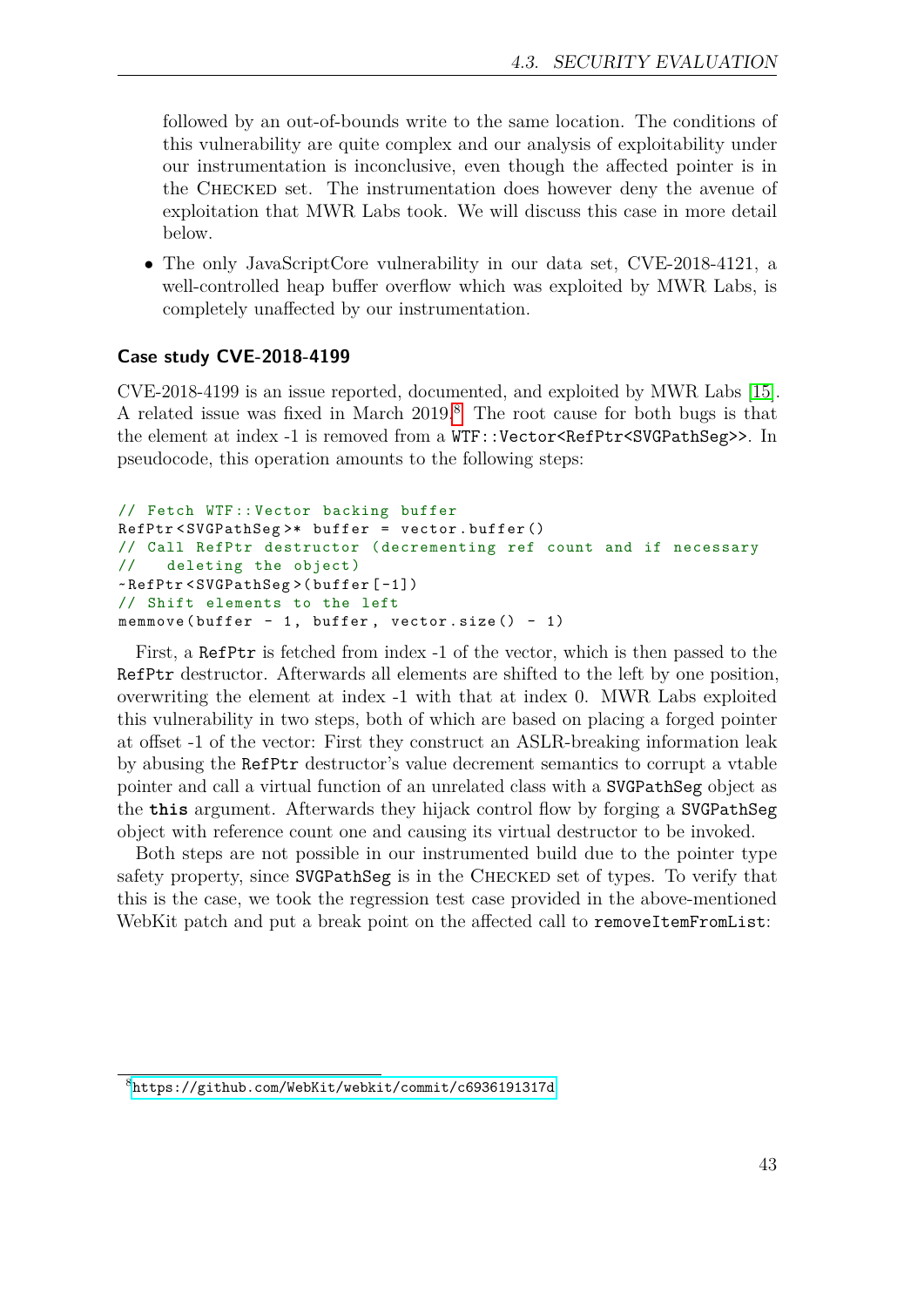followed by an out-of-bounds write to the same location. The conditions of this vulnerability are quite complex and our analysis of exploitability under our instrumentation is inconclusive, even though the affected pointer is in the Checked set. The instrumentation does however deny the avenue of exploitation that MWR Labs took. We will discuss this case in more detail below.

• The only JavaScriptCore vulnerability in our data set, CVE-2018-4121, a well-controlled heap buffer overflow which was exploited by MWR Labs, is completely unaffected by our instrumentation.

#### **Case study CVE-2018-4199**

CVE-2018-4199 is an issue reported, documented, and exploited by MWR Labs [\[15\]](#page-49-5). A related issue was fixed in March 2019.[8](#page-42-0) The root cause for both bugs is that the element at index -1 is removed from a  $WTF::Vector *RefPtr < SVGPathSeg>*$ . In pseudocode, this operation amounts to the following steps:

```
// Fetch WTF :: Vector backing buffer
RefPtr < SVGPathSeg >* buffer = vector . buffer ()
// Call RefPtr destructor ( decrementing ref count and if necessary
// deleting the object)
~ RefPtr < SVGPathSeg >( buffer [ -1])
// Shift elements to the left
memmove (buffer - 1, buffer, vector.size () - 1)
```
First, a RefPtr is fetched from index -1 of the vector, which is then passed to the RefPtr destructor. Afterwards all elements are shifted to the left by one position, overwriting the element at index -1 with that at index 0. MWR Labs exploited this vulnerability in two steps, both of which are based on placing a forged pointer at offset -1 of the vector: First they construct an ASLR-breaking information leak by abusing the RefPtr destructor's value decrement semantics to corrupt a vtable pointer and call a virtual function of an unrelated class with a SVGPathSeg object as the **this** argument. Afterwards they hijack control flow by forging a SVGPathSeg object with reference count one and causing its virtual destructor to be invoked.

Both steps are not possible in our instrumented build due to the pointer type safety property, since SVGPathSeg is in the Checked set of types. To verify that this is the case, we took the regression test case provided in the above-mentioned WebKit patch and put a break point on the affected call to removeItemFromList:

<span id="page-42-0"></span><sup>8</sup><https://github.com/WebKit/webkit/commit/c6936191317d>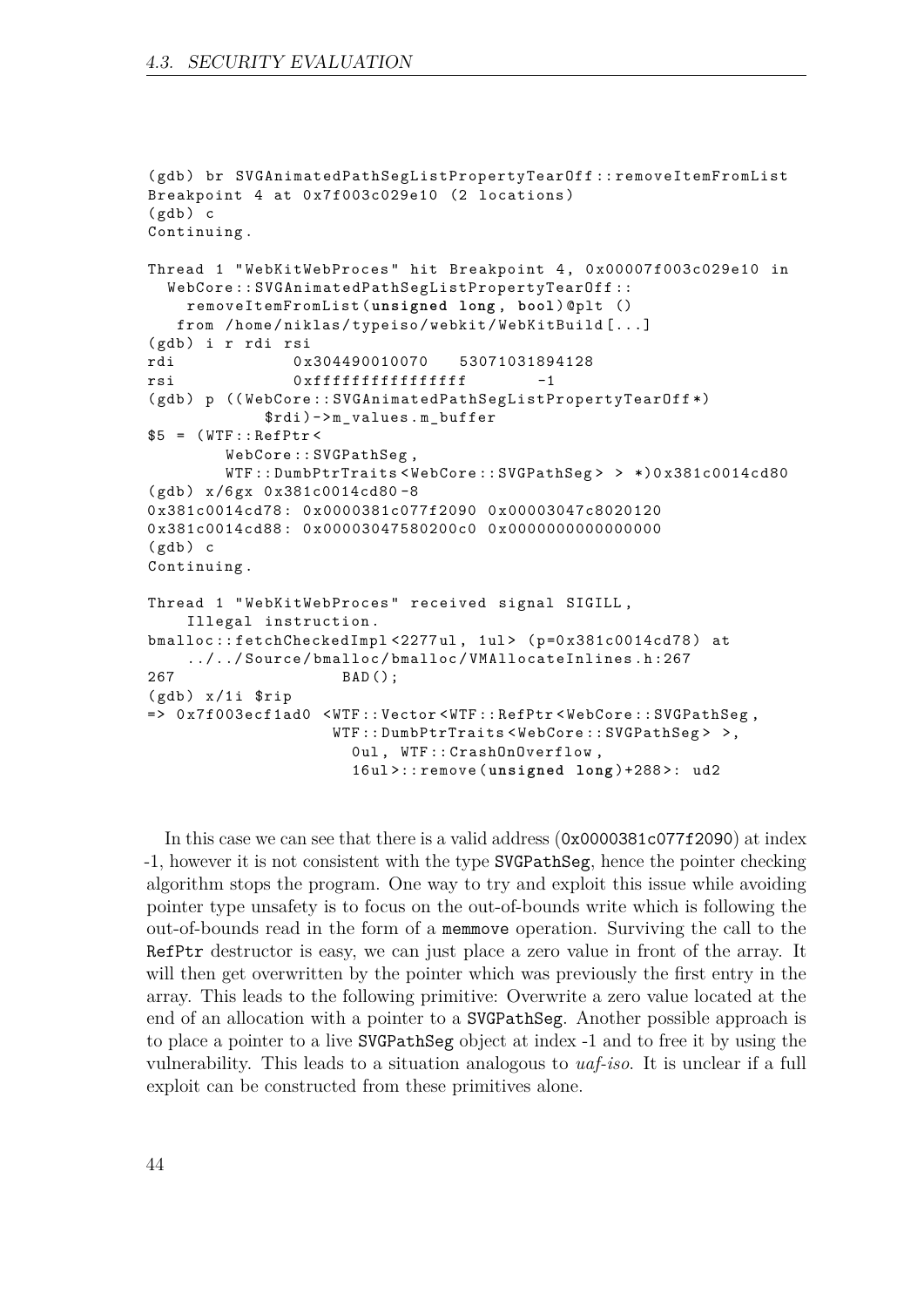```
( gdb ) br SVGAnimatedPathSegListPropertyTearOff :: removeItemFromList
Breakpoint 4 at 0x7f003c029e10 (2 locations)
(gdb) c
Continuing .
Thread 1 " WebKitWebProces " hit Breakpoint 4 , 0 x00007f003c029e10 in
  WebCore :: SVGAnimatedPathSegListPropertyTearOff ::
    removeItemFromList ( unsigned long , bool ) @plt ()
   from / home / niklas / typeiso / webkit / WebKitBuild [...]
(gdb) i r rdi rsi
rdi 0 x304490010070 53071031894128
rsi 0 xffffffffffffffff -1
(gdb) p ((WebCore:: SVGAnimatedPathSegListPropertyTearOff*)
            $rdi) ->m_values. m_buffer
$5 = (WTF::RefPtr \leWebCore :: SVGPathSeg ,
        WTF :: DumbPtrTraits < WebCore :: SVGPathSeg > > *)0 x381c0014cd80
(gdb) x/6gx 0x381c0014cd80-80 x381c0014cd78 : 0 x0000381c077f2090 0 x00003047c8020120
0x381c0014cd88: 0x00003047580200c0 0x00000000000000000
(gdb) c
Continuing .
Thread 1 " WebKitWebProces " received signal SIGILL ,
    Illegal instruction .
bmalloc :: fetchCheckedImpl <2277ul, 1ul> (p=0x381c0014cd78) at
    ../../ Source / bmalloc / bmalloc / VMAllocateInlines . h :267
267 BAD ();
(gdb) x/1i $rip
= > 0 x7f003ecf1ad0 < WTF :: Vector < WTF :: RefPtr < WebCore :: SVGPathSeg ,
                    WTF :: DumbPtrTraits < WebCore :: SVGPathSeg > >,
                      0 ul , WTF :: CrashOnOverflow ,
                      16 ul >:: remove ( unsigned long )+288 >: ud2
```
In this case we can see that there is a valid address (0x0000381c077f2090) at index -1, however it is not consistent with the type SVGPathSeg, hence the pointer checking algorithm stops the program. One way to try and exploit this issue while avoiding pointer type unsafety is to focus on the out-of-bounds write which is following the out-of-bounds read in the form of a memmove operation. Surviving the call to the RefPtr destructor is easy, we can just place a zero value in front of the array. It will then get overwritten by the pointer which was previously the first entry in the array. This leads to the following primitive: Overwrite a zero value located at the end of an allocation with a pointer to a SVGPathSeg. Another possible approach is to place a pointer to a live SVGPathSeg object at index -1 and to free it by using the vulnerability. This leads to a situation analogous to *uaf-iso*. It is unclear if a full exploit can be constructed from these primitives alone.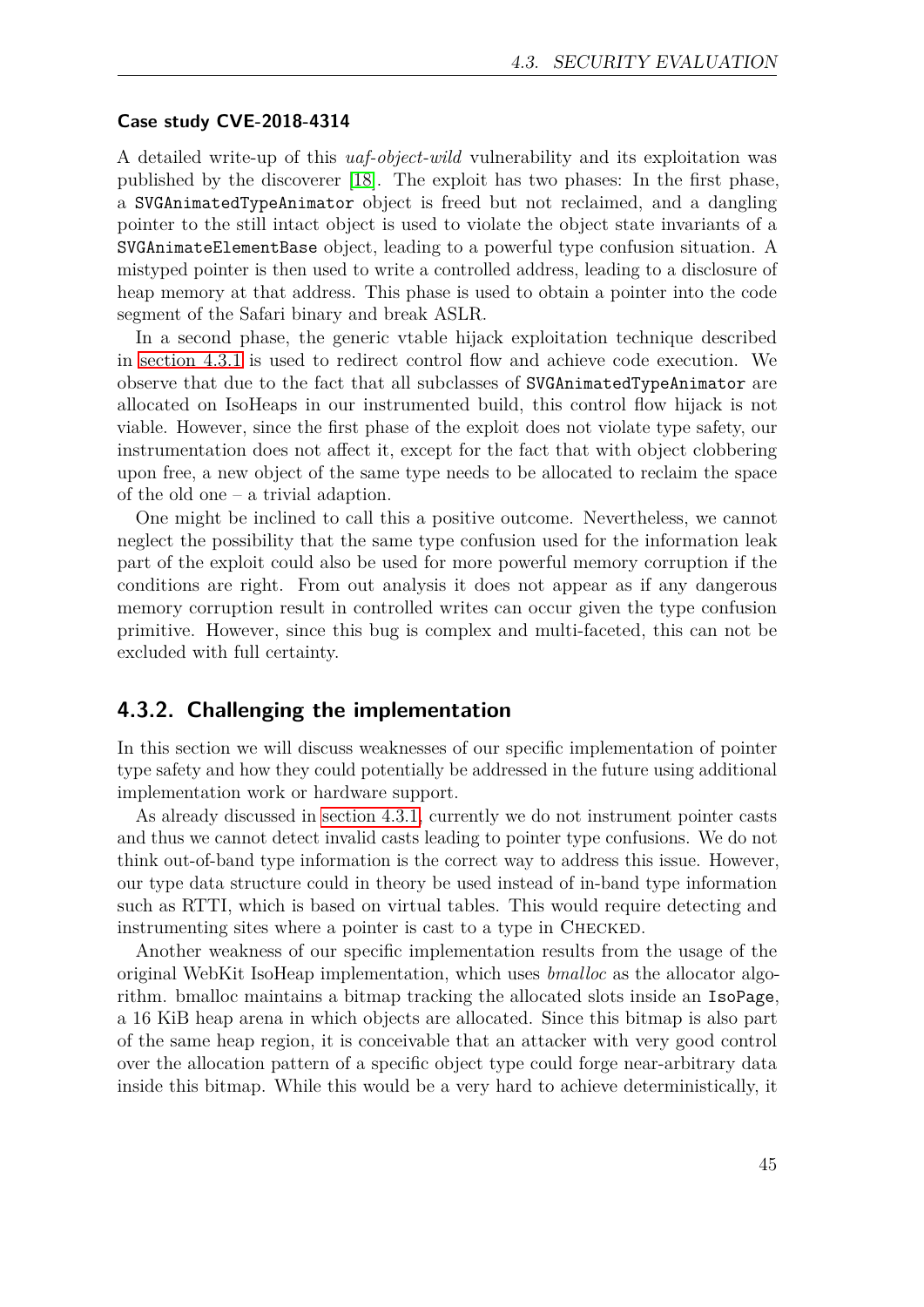#### <span id="page-44-1"></span>**Case study CVE-2018-4314**

A detailed write-up of this *uaf-object-wild* vulnerability and its exploitation was published by the discoverer [\[18\]](#page-49-8). The exploit has two phases: In the first phase, a SVGAnimatedTypeAnimator object is freed but not reclaimed, and a dangling pointer to the still intact object is used to violate the object state invariants of a SVGAnimateElementBase object, leading to a powerful type confusion situation. A mistyped pointer is then used to write a controlled address, leading to a disclosure of heap memory at that address. This phase is used to obtain a pointer into the code segment of the Safari binary and break ASLR.

In a second phase, the generic vtable hijack exploitation technique described in [section 4.3.1](#page-38-0) is used to redirect control flow and achieve code execution. We observe that due to the fact that all subclasses of SVGAnimatedTypeAnimator are allocated on IsoHeaps in our instrumented build, this control flow hijack is not viable. However, since the first phase of the exploit does not violate type safety, our instrumentation does not affect it, except for the fact that with object clobbering upon free, a new object of the same type needs to be allocated to reclaim the space of the old one – a trivial adaption.

One might be inclined to call this a positive outcome. Nevertheless, we cannot neglect the possibility that the same type confusion used for the information leak part of the exploit could also be used for more powerful memory corruption if the conditions are right. From out analysis it does not appear as if any dangerous memory corruption result in controlled writes can occur given the type confusion primitive. However, since this bug is complex and multi-faceted, this can not be excluded with full certainty.

#### <span id="page-44-0"></span>**4.3.2. Challenging the implementation**

In this section we will discuss weaknesses of our specific implementation of pointer type safety and how they could potentially be addressed in the future using additional implementation work or hardware support.

As already discussed in [section 4.3.1,](#page-41-1) currently we do not instrument pointer casts and thus we cannot detect invalid casts leading to pointer type confusions. We do not think out-of-band type information is the correct way to address this issue. However, our type data structure could in theory be used instead of in-band type information such as RTTI, which is based on virtual tables. This would require detecting and instrumenting sites where a pointer is cast to a type in Checked.

Another weakness of our specific implementation results from the usage of the original WebKit IsoHeap implementation, which uses *bmalloc* as the allocator algorithm. bmalloc maintains a bitmap tracking the allocated slots inside an IsoPage, a 16 KiB heap arena in which objects are allocated. Since this bitmap is also part of the same heap region, it is conceivable that an attacker with very good control over the allocation pattern of a specific object type could forge near-arbitrary data inside this bitmap. While this would be a very hard to achieve deterministically, it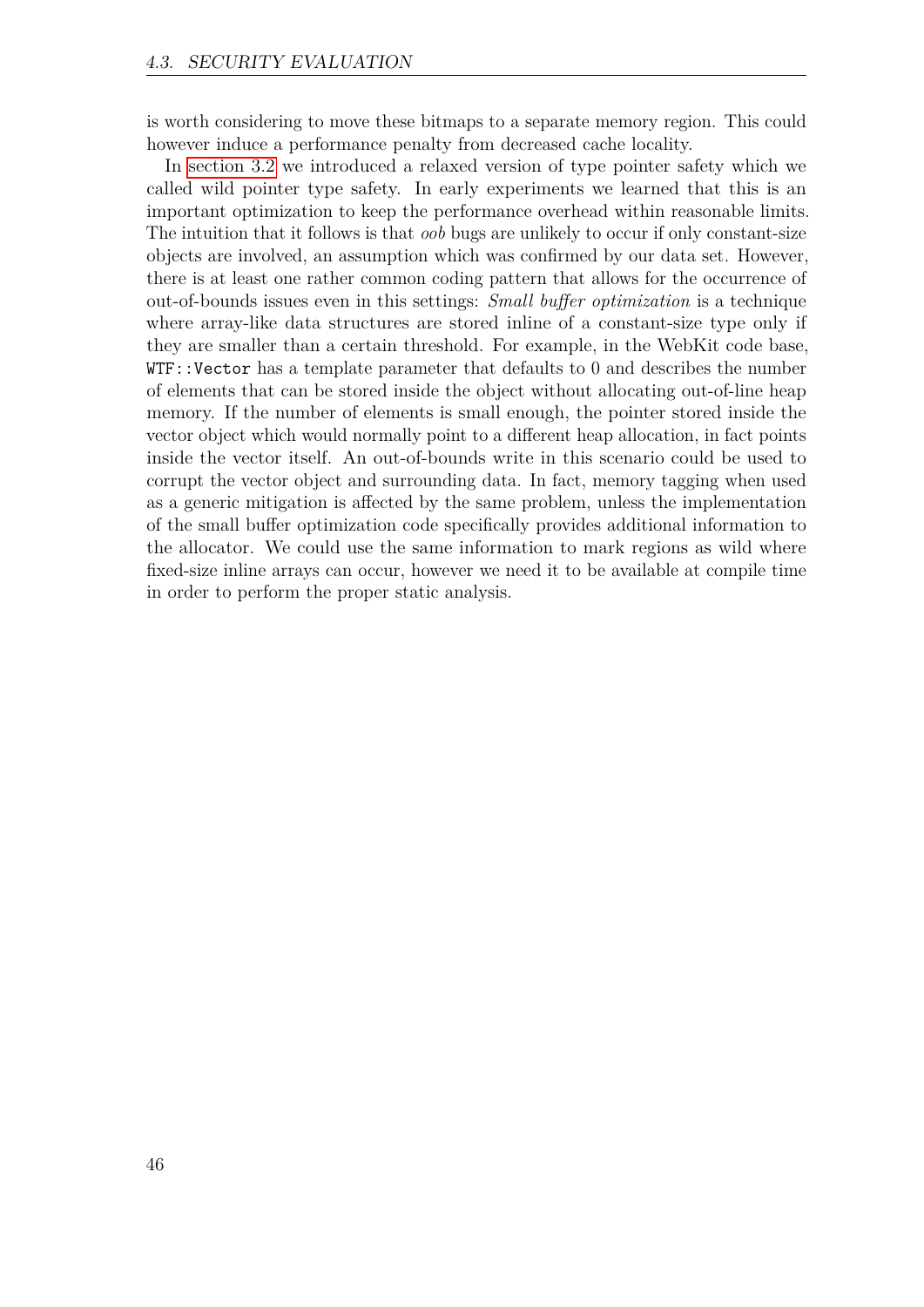is worth considering to move these bitmaps to a separate memory region. This could however induce a performance penalty from decreased cache locality.

In [section 3.2](#page-14-2) we introduced a relaxed version of type pointer safety which we called wild pointer type safety. In early experiments we learned that this is an important optimization to keep the performance overhead within reasonable limits. The intuition that it follows is that *oob* bugs are unlikely to occur if only constant-size objects are involved, an assumption which was confirmed by our data set. However, there is at least one rather common coding pattern that allows for the occurrence of out-of-bounds issues even in this settings: *Small buffer optimization* is a technique where array-like data structures are stored inline of a constant-size type only if they are smaller than a certain threshold. For example, in the WebKit code base, WTF::Vector has a template parameter that defaults to 0 and describes the number of elements that can be stored inside the object without allocating out-of-line heap memory. If the number of elements is small enough, the pointer stored inside the vector object which would normally point to a different heap allocation, in fact points inside the vector itself. An out-of-bounds write in this scenario could be used to corrupt the vector object and surrounding data. In fact, memory tagging when used as a generic mitigation is affected by the same problem, unless the implementation of the small buffer optimization code specifically provides additional information to the allocator. We could use the same information to mark regions as wild where fixed-size inline arrays can occur, however we need it to be available at compile time in order to perform the proper static analysis.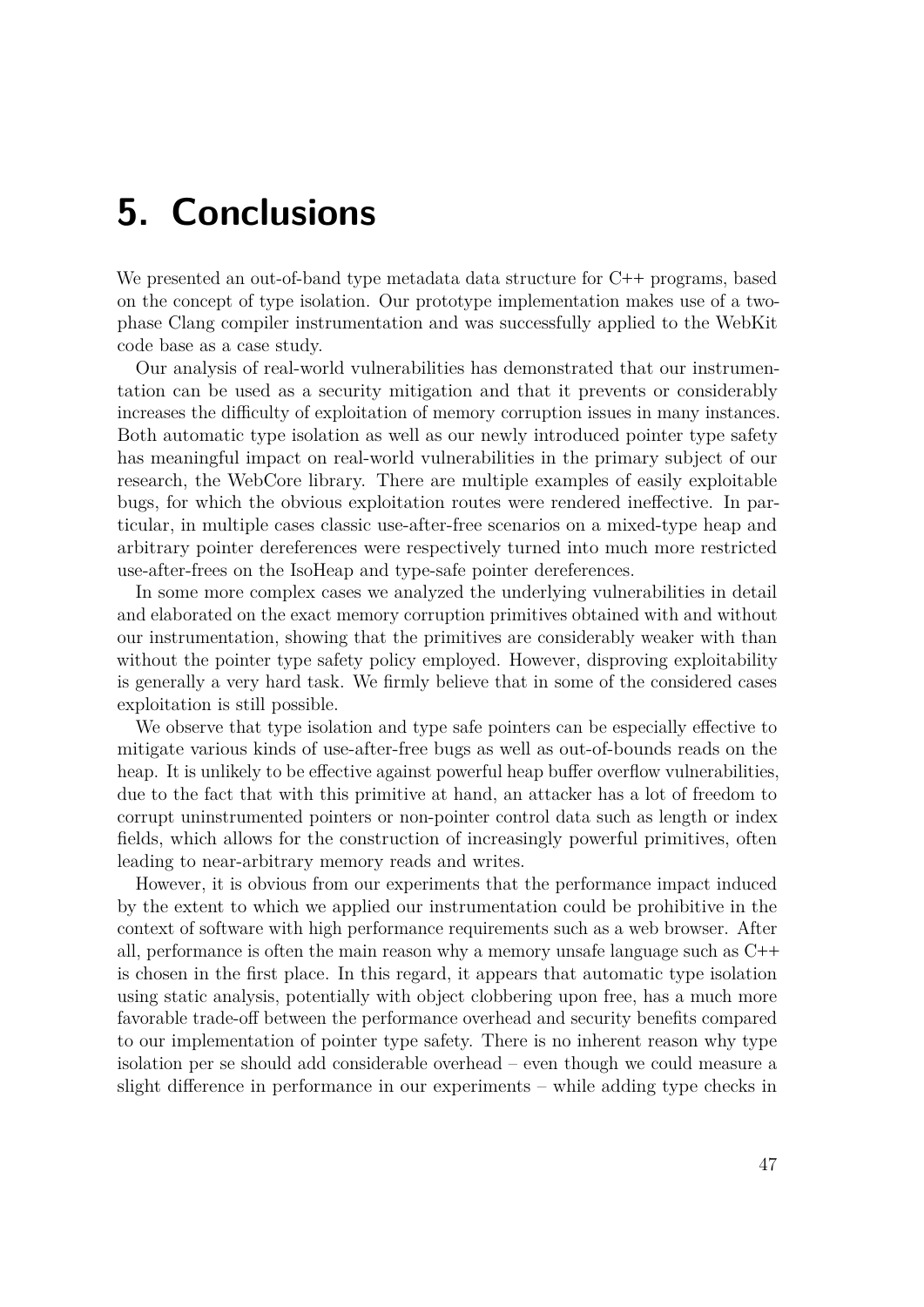## <span id="page-46-0"></span>**5. Conclusions**

We presented an out-of-band type metadata data structure for C**++** programs, based on the concept of type isolation. Our prototype implementation makes use of a twophase Clang compiler instrumentation and was successfully applied to the WebKit code base as a case study.

Our analysis of real-world vulnerabilities has demonstrated that our instrumentation can be used as a security mitigation and that it prevents or considerably increases the difficulty of exploitation of memory corruption issues in many instances. Both automatic type isolation as well as our newly introduced pointer type safety has meaningful impact on real-world vulnerabilities in the primary subject of our research, the WebCore library. There are multiple examples of easily exploitable bugs, for which the obvious exploitation routes were rendered ineffective. In particular, in multiple cases classic use-after-free scenarios on a mixed-type heap and arbitrary pointer dereferences were respectively turned into much more restricted use-after-frees on the IsoHeap and type-safe pointer dereferences.

In some more complex cases we analyzed the underlying vulnerabilities in detail and elaborated on the exact memory corruption primitives obtained with and without our instrumentation, showing that the primitives are considerably weaker with than without the pointer type safety policy employed. However, disproving exploitability is generally a very hard task. We firmly believe that in some of the considered cases exploitation is still possible.

We observe that type isolation and type safe pointers can be especially effective to mitigate various kinds of use-after-free bugs as well as out-of-bounds reads on the heap. It is unlikely to be effective against powerful heap buffer overflow vulnerabilities, due to the fact that with this primitive at hand, an attacker has a lot of freedom to corrupt uninstrumented pointers or non-pointer control data such as length or index fields, which allows for the construction of increasingly powerful primitives, often leading to near-arbitrary memory reads and writes.

However, it is obvious from our experiments that the performance impact induced by the extent to which we applied our instrumentation could be prohibitive in the context of software with high performance requirements such as a web browser. After all, performance is often the main reason why a memory unsafe language such as C**++** is chosen in the first place. In this regard, it appears that automatic type isolation using static analysis, potentially with object clobbering upon free, has a much more favorable trade-off between the performance overhead and security benefits compared to our implementation of pointer type safety. There is no inherent reason why type isolation per se should add considerable overhead – even though we could measure a slight difference in performance in our experiments – while adding type checks in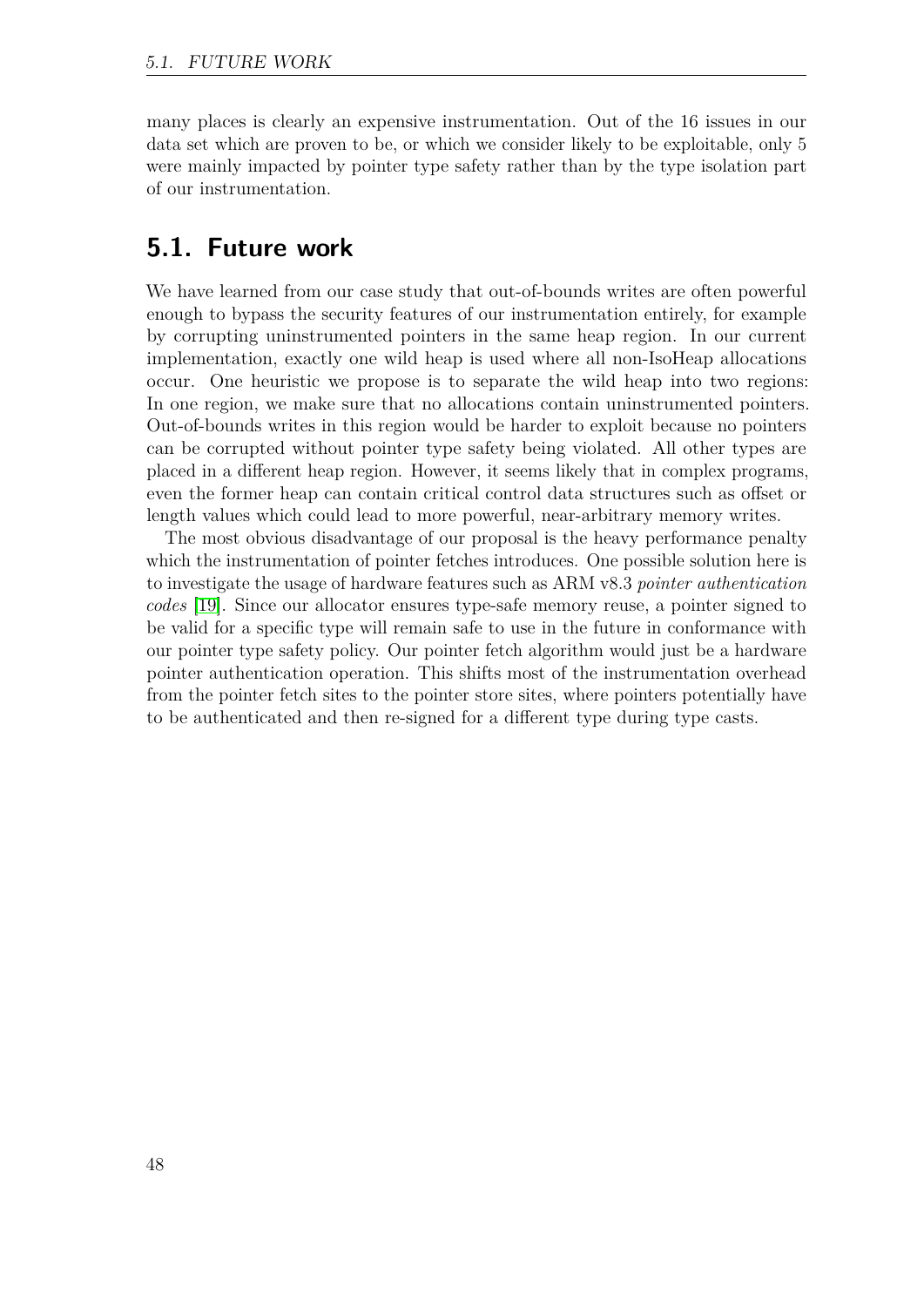many places is clearly an expensive instrumentation. Out of the 16 issues in our data set which are proven to be, or which we consider likely to be exploitable, only 5 were mainly impacted by pointer type safety rather than by the type isolation part of our instrumentation.

## <span id="page-47-0"></span>**5.1. Future work**

We have learned from our case study that out-of-bounds writes are often powerful enough to bypass the security features of our instrumentation entirely, for example by corrupting uninstrumented pointers in the same heap region. In our current implementation, exactly one wild heap is used where all non-IsoHeap allocations occur. One heuristic we propose is to separate the wild heap into two regions: In one region, we make sure that no allocations contain uninstrumented pointers. Out-of-bounds writes in this region would be harder to exploit because no pointers can be corrupted without pointer type safety being violated. All other types are placed in a different heap region. However, it seems likely that in complex programs, even the former heap can contain critical control data structures such as offset or length values which could lead to more powerful, near-arbitrary memory writes.

The most obvious disadvantage of our proposal is the heavy performance penalty which the instrumentation of pointer fetches introduces. One possible solution here is to investigate the usage of hardware features such as ARM v8.3 *pointer authentication codes* [\[19\]](#page-49-9). Since our allocator ensures type-safe memory reuse, a pointer signed to be valid for a specific type will remain safe to use in the future in conformance with our pointer type safety policy. Our pointer fetch algorithm would just be a hardware pointer authentication operation. This shifts most of the instrumentation overhead from the pointer fetch sites to the pointer store sites, where pointers potentially have to be authenticated and then re-signed for a different type during type casts.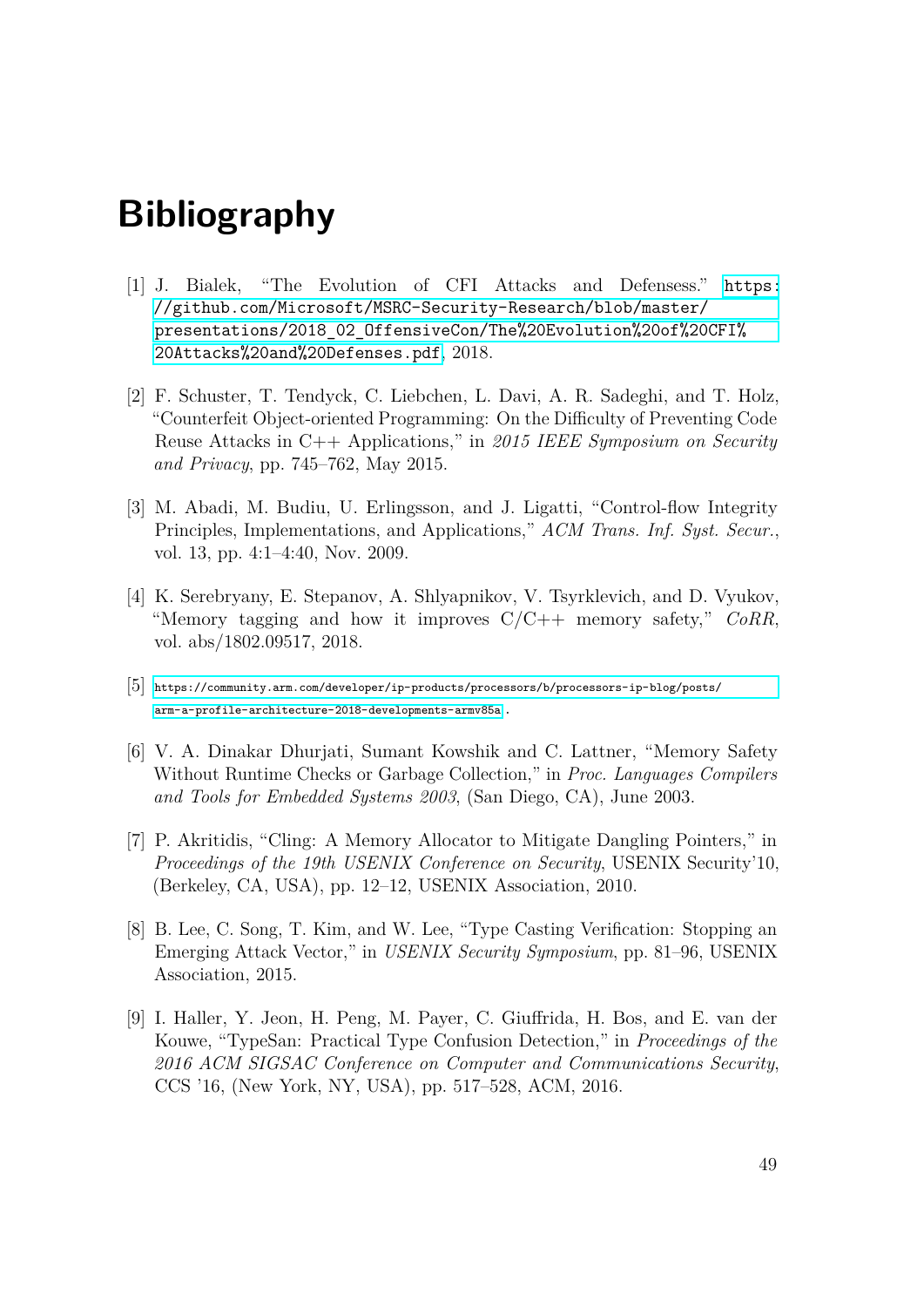## **Bibliography**

- <span id="page-48-0"></span>[1] J. Bialek, "The Evolution of CFI Attacks and Defensess." [https:](https://github.com/Microsoft/MSRC-Security-Research/blob/master/presentations/2018_02_OffensiveCon/The%20Evolution%20of%20CFI%20Attacks%20and%20Defenses.pdf) [//github.com/Microsoft/MSRC-Security-Research/blob/master/](https://github.com/Microsoft/MSRC-Security-Research/blob/master/presentations/2018_02_OffensiveCon/The%20Evolution%20of%20CFI%20Attacks%20and%20Defenses.pdf) [presentations/2018\\_02\\_OffensiveCon/The%20Evolution%20of%20CFI%](https://github.com/Microsoft/MSRC-Security-Research/blob/master/presentations/2018_02_OffensiveCon/The%20Evolution%20of%20CFI%20Attacks%20and%20Defenses.pdf) [20Attacks%20and%20Defenses.pdf](https://github.com/Microsoft/MSRC-Security-Research/blob/master/presentations/2018_02_OffensiveCon/The%20Evolution%20of%20CFI%20Attacks%20and%20Defenses.pdf), 2018.
- <span id="page-48-1"></span>[2] F. Schuster, T. Tendyck, C. Liebchen, L. Davi, A. R. Sadeghi, and T. Holz, "Counterfeit Object-oriented Programming: On the Difficulty of Preventing Code Reuse Attacks in C++ Applications," in *2015 IEEE Symposium on Security and Privacy*, pp. 745–762, May 2015.
- <span id="page-48-2"></span>[3] M. Abadi, M. Budiu, U. Erlingsson, and J. Ligatti, "Control-flow Integrity Principles, Implementations, and Applications," *ACM Trans. Inf. Syst. Secur.*, vol. 13, pp. 4:1–4:40, Nov. 2009.
- <span id="page-48-3"></span>[4] K. Serebryany, E. Stepanov, A. Shlyapnikov, V. Tsyrklevich, and D. Vyukov, "Memory tagging and how it improves C/C++ memory safety," *CoRR*, vol. abs/1802.09517, 2018.
- <span id="page-48-4"></span>[5] [https://community.arm.com/developer/ip-products/processors/b/processors-ip-blog/posts/](https://community.arm.com/developer/ip-products/processors/b/processors-ip-blog/posts/arm-a-profile-architecture-2018-developments-armv85a) [arm-a-profile-architecture-2018-developments-armv85a](https://community.arm.com/developer/ip-products/processors/b/processors-ip-blog/posts/arm-a-profile-architecture-2018-developments-armv85a) .
- <span id="page-48-5"></span>[6] V. A. Dinakar Dhurjati, Sumant Kowshik and C. Lattner, "Memory Safety Without Runtime Checks or Garbage Collection," in *Proc. Languages Compilers and Tools for Embedded Systems 2003*, (San Diego, CA), June 2003.
- <span id="page-48-6"></span>[7] P. Akritidis, "Cling: A Memory Allocator to Mitigate Dangling Pointers," in *Proceedings of the 19th USENIX Conference on Security*, USENIX Security'10, (Berkeley, CA, USA), pp. 12–12, USENIX Association, 2010.
- <span id="page-48-7"></span>[8] B. Lee, C. Song, T. Kim, and W. Lee, "Type Casting Verification: Stopping an Emerging Attack Vector," in *USENIX Security Symposium*, pp. 81–96, USENIX Association, 2015.
- <span id="page-48-8"></span>[9] I. Haller, Y. Jeon, H. Peng, M. Payer, C. Giuffrida, H. Bos, and E. van der Kouwe, "TypeSan: Practical Type Confusion Detection," in *Proceedings of the 2016 ACM SIGSAC Conference on Computer and Communications Security*, CCS '16, (New York, NY, USA), pp. 517–528, ACM, 2016.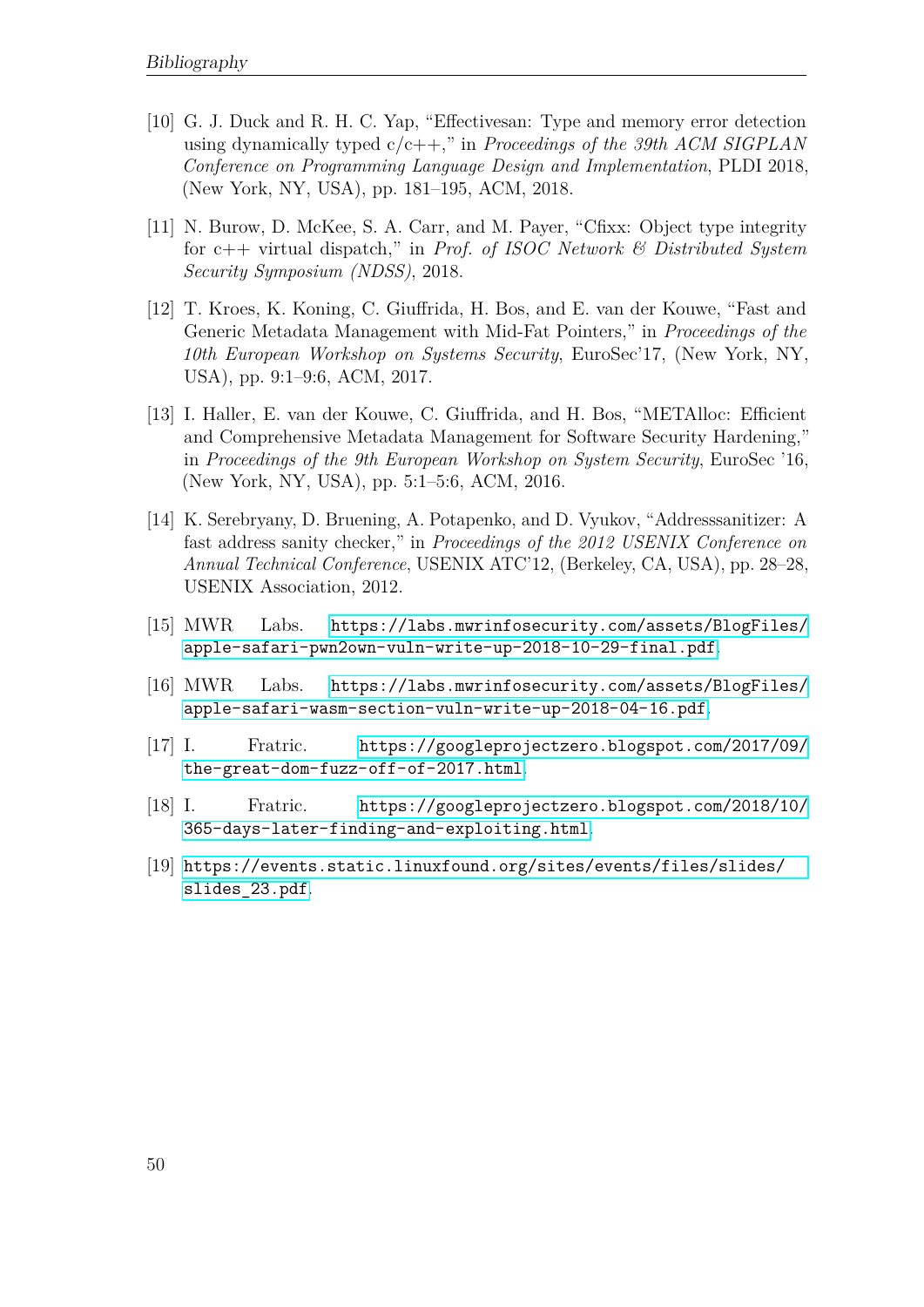- <span id="page-49-0"></span>[10] G. J. Duck and R. H. C. Yap, "Effectivesan: Type and memory error detection using dynamically typed c/c++," in *Proceedings of the 39th ACM SIGPLAN Conference on Programming Language Design and Implementation*, PLDI 2018, (New York, NY, USA), pp. 181–195, ACM, 2018.
- <span id="page-49-1"></span>[11] N. Burow, D. McKee, S. A. Carr, and M. Payer, "Cfixx: Object type integrity for c++ virtual dispatch," in *Prof. of ISOC Network & Distributed System Security Symposium (NDSS)*, 2018.
- <span id="page-49-2"></span>[12] T. Kroes, K. Koning, C. Giuffrida, H. Bos, and E. van der Kouwe, "Fast and Generic Metadata Management with Mid-Fat Pointers," in *Proceedings of the 10th European Workshop on Systems Security*, EuroSec'17, (New York, NY, USA), pp. 9:1–9:6, ACM, 2017.
- <span id="page-49-3"></span>[13] I. Haller, E. van der Kouwe, C. Giuffrida, and H. Bos, "METAlloc: Efficient and Comprehensive Metadata Management for Software Security Hardening," in *Proceedings of the 9th European Workshop on System Security*, EuroSec '16, (New York, NY, USA), pp. 5:1–5:6, ACM, 2016.
- <span id="page-49-4"></span>[14] K. Serebryany, D. Bruening, A. Potapenko, and D. Vyukov, "Addresssanitizer: A fast address sanity checker," in *Proceedings of the 2012 USENIX Conference on Annual Technical Conference*, USENIX ATC'12, (Berkeley, CA, USA), pp. 28–28, USENIX Association, 2012.
- <span id="page-49-5"></span>[15] MWR Labs. [https://labs.mwrinfosecurity.com/assets/BlogFiles/](https://labs.mwrinfosecurity.com/assets/BlogFiles/apple-safari-pwn2own-vuln-write-up-2018-10-29-final.pdf) [apple-safari-pwn2own-vuln-write-up-2018-10-29-final.pdf](https://labs.mwrinfosecurity.com/assets/BlogFiles/apple-safari-pwn2own-vuln-write-up-2018-10-29-final.pdf).
- <span id="page-49-6"></span>[16] MWR Labs. [https://labs.mwrinfosecurity.com/assets/BlogFiles/](https://labs.mwrinfosecurity.com/assets/BlogFiles/apple-safari-wasm-section-vuln-write-up-2018-04-16.pdf) [apple-safari-wasm-section-vuln-write-up-2018-04-16.pdf](https://labs.mwrinfosecurity.com/assets/BlogFiles/apple-safari-wasm-section-vuln-write-up-2018-04-16.pdf).
- <span id="page-49-7"></span>[17] I. Fratric. [https://googleprojectzero.blogspot.com/2017/09/](https://googleprojectzero.blogspot.com/2017/09/the-great-dom-fuzz-off-of-2017.html) [the-great-dom-fuzz-off-of-2017.html](https://googleprojectzero.blogspot.com/2017/09/the-great-dom-fuzz-off-of-2017.html).
- <span id="page-49-8"></span>[18] I. Fratric. [https://googleprojectzero.blogspot.com/2018/10/](https://googleprojectzero.blogspot.com/2018/10/365-days-later-finding-and-exploiting.html) [365-days-later-finding-and-exploiting.html](https://googleprojectzero.blogspot.com/2018/10/365-days-later-finding-and-exploiting.html).
- <span id="page-49-9"></span>[19] [https://events.static.linuxfound.org/sites/events/files/slides/](https://events.static.linuxfound.org/sites/events/files/slides/slides_23.pdf) [slides\\_23.pdf](https://events.static.linuxfound.org/sites/events/files/slides/slides_23.pdf).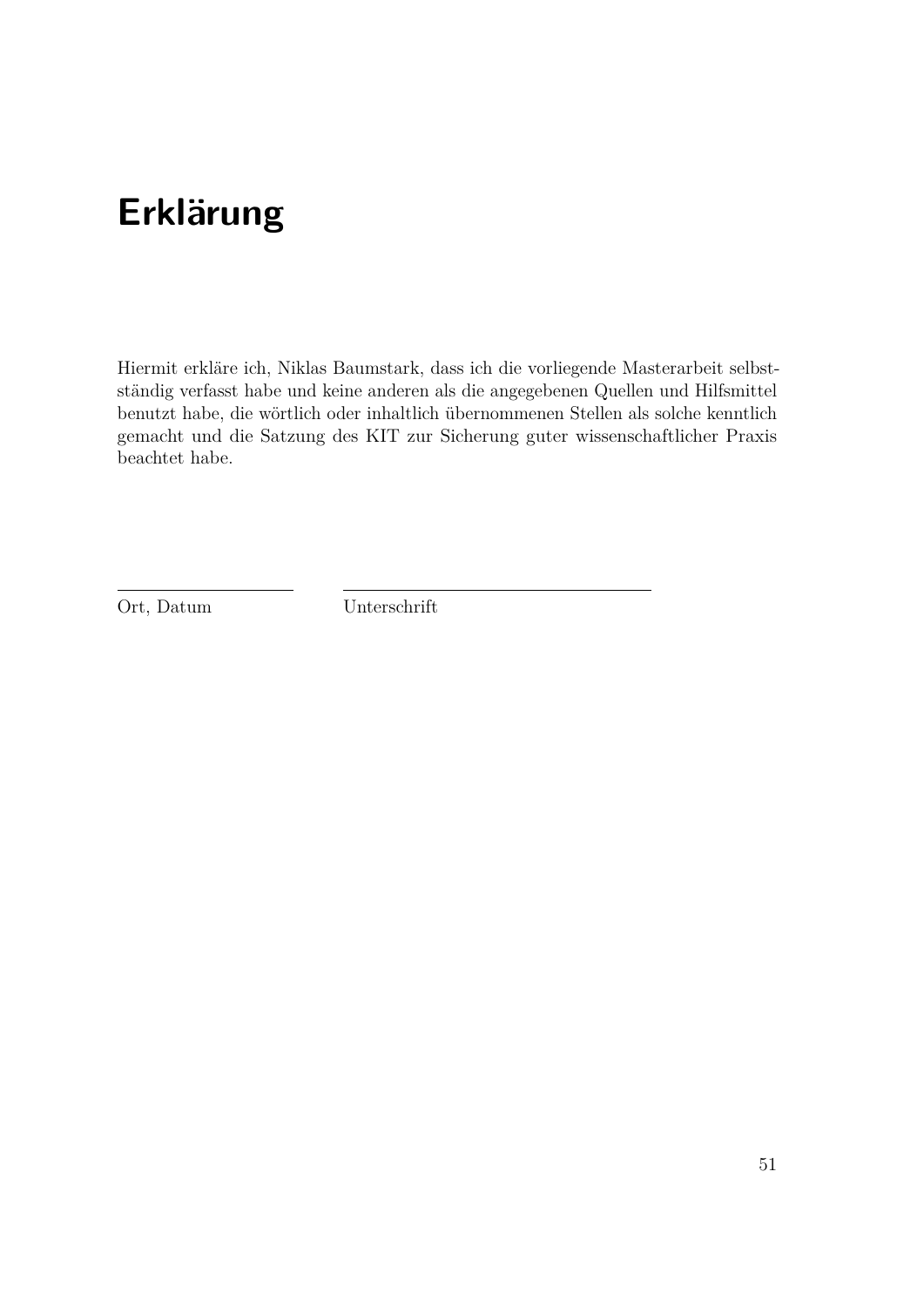## **Erklärung**

Hiermit erkläre ich, Niklas Baumstark, dass ich die vorliegende Masterarbeit selbstständig verfasst habe und keine anderen als die angegebenen Quellen und Hilfsmittel benutzt habe, die wörtlich oder inhaltlich übernommenen Stellen als solche kenntlich gemacht und die Satzung des KIT zur Sicherung guter wissenschaftlicher Praxis beachtet habe.

Ort, Datum Unterschrift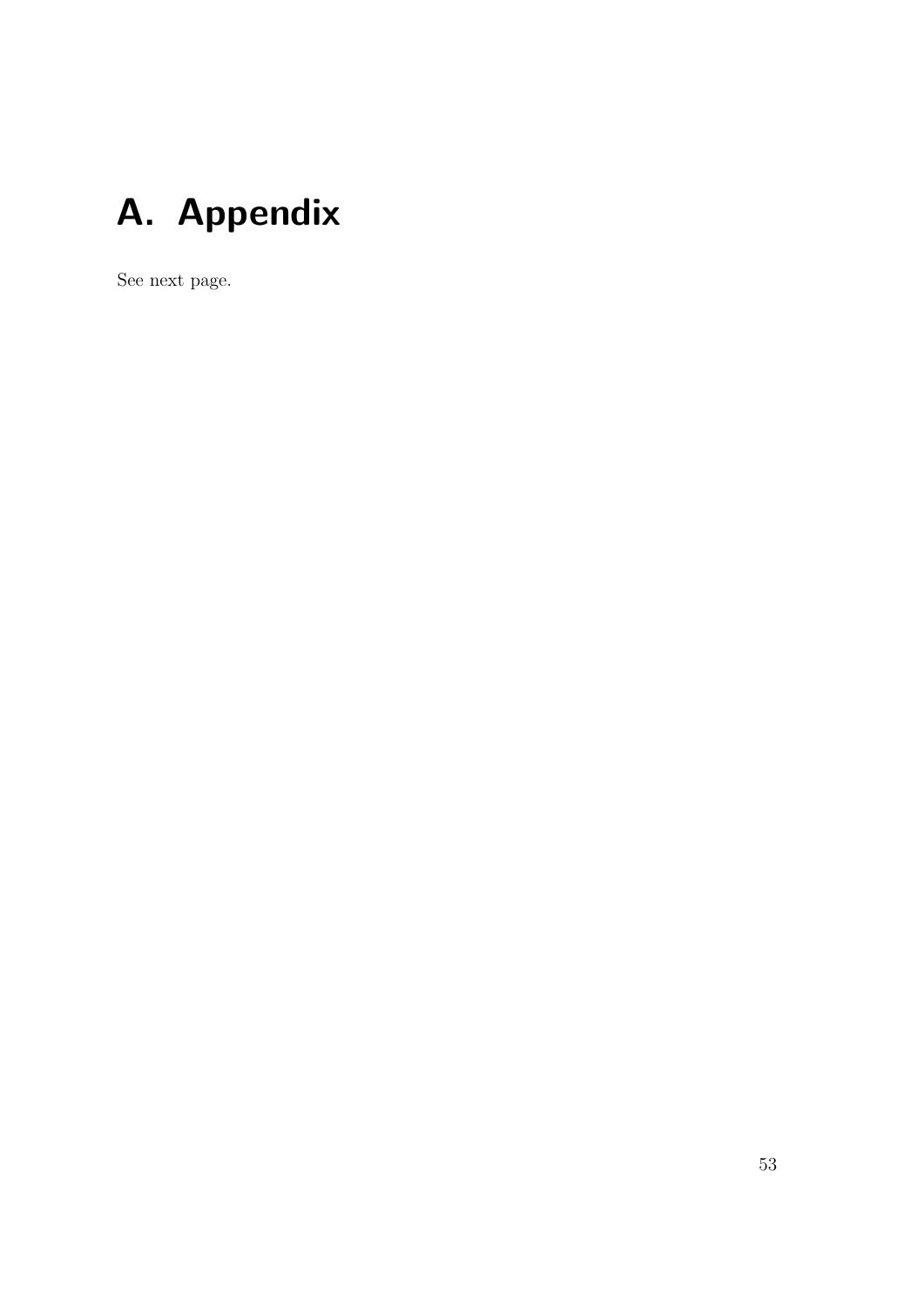# <span id="page-52-0"></span>**A. Appendix**

See next page.